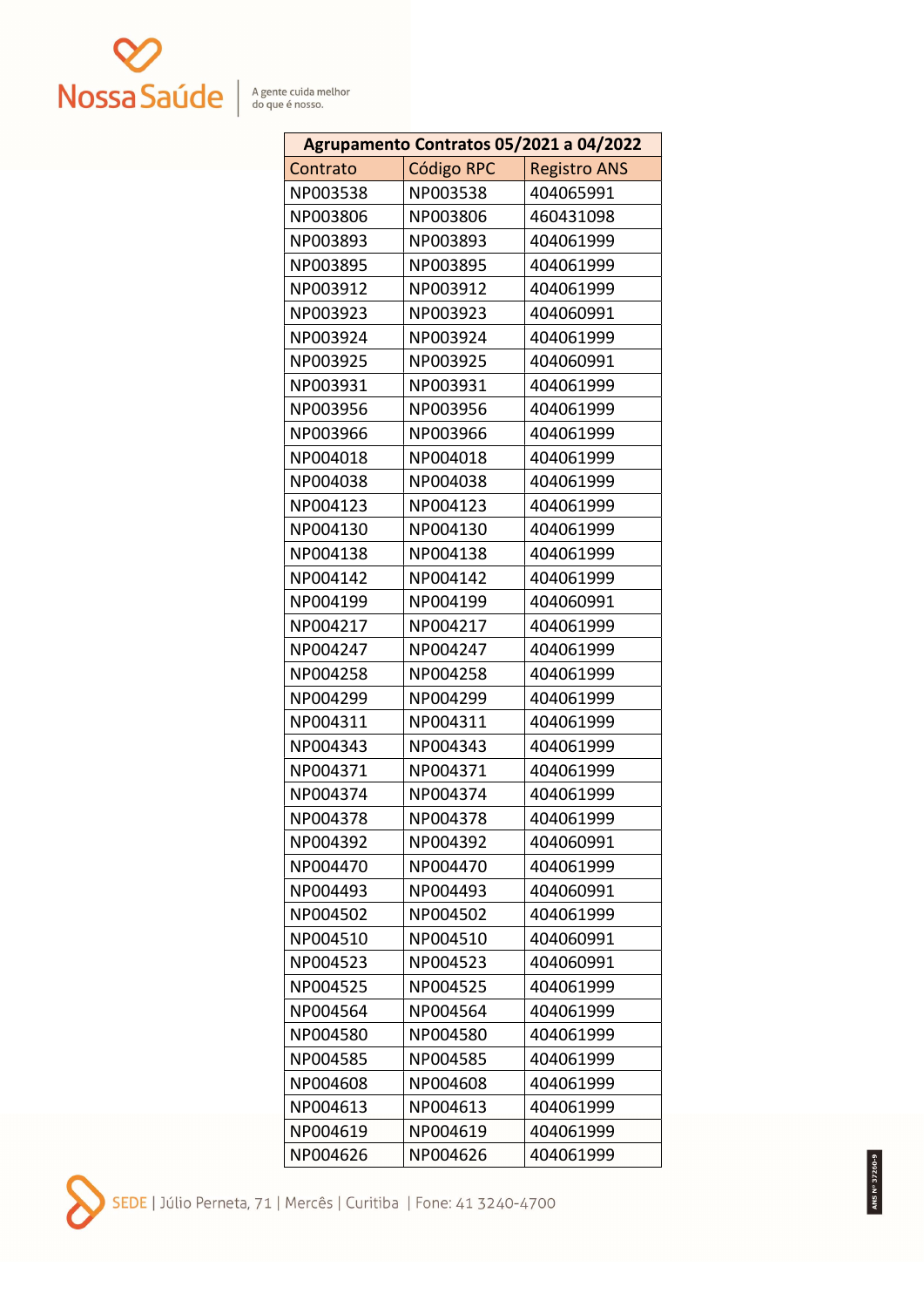

| Agrupamento Contratos 05/2021 a 04/2022 |                   |                     |
|-----------------------------------------|-------------------|---------------------|
| Contrato                                | <b>Código RPC</b> | <b>Registro ANS</b> |
| NP003538                                | NP003538          | 404065991           |
| NP003806                                | NP003806          | 460431098           |
| NP003893                                | NP003893          | 404061999           |
| NP003895                                | NP003895          | 404061999           |
| NP003912                                | NP003912          | 404061999           |
| NP003923                                | NP003923          | 404060991           |
| NP003924                                | NP003924          | 404061999           |
| NP003925                                | NP003925          | 404060991           |
| NP003931                                | NP003931          | 404061999           |
| NP003956                                | NP003956          | 404061999           |
| NP003966                                | NP003966          | 404061999           |
| NP004018                                | NP004018          | 404061999           |
| NP004038                                | NP004038          | 404061999           |
| NP004123                                | NP004123          | 404061999           |
| NP004130                                | NP004130          | 404061999           |
| NP004138                                | NP004138          | 404061999           |
| NP004142                                | NP004142          | 404061999           |
| NP004199                                | NP004199          | 404060991           |
| NP004217                                | NP004217          | 404061999           |
| NP004247                                | NP004247          | 404061999           |
| NP004258                                | NP004258          | 404061999           |
| NP004299                                | NP004299          | 404061999           |
| NP004311                                | NP004311          | 404061999           |
| NP004343                                | NP004343          | 404061999           |
| NP004371                                | NP004371          | 404061999           |
| NP004374                                | NP004374          | 404061999           |
| NP004378                                | NP004378          | 404061999           |
| NP004392                                | NP004392          | 404060991           |
| NP004470                                | NP004470          | 404061999           |
| NP004493                                | NP004493          | 404060991           |
| NP004502                                | NP004502          | 404061999           |
| NP004510                                | NP004510          | 404060991           |
| NP004523                                | NP004523          | 404060991           |
| NP004525                                | NP004525          | 404061999           |
| NP004564                                | NP004564          | 404061999           |
| NP004580                                | NP004580          | 404061999           |
| NP004585                                | NP004585          | 404061999           |
| NP004608                                | NP004608          | 404061999           |
| NP004613                                | NP004613          | 404061999           |
| NP004619                                | NP004619          | 404061999           |
| NP004626                                | NP004626          | 404061999           |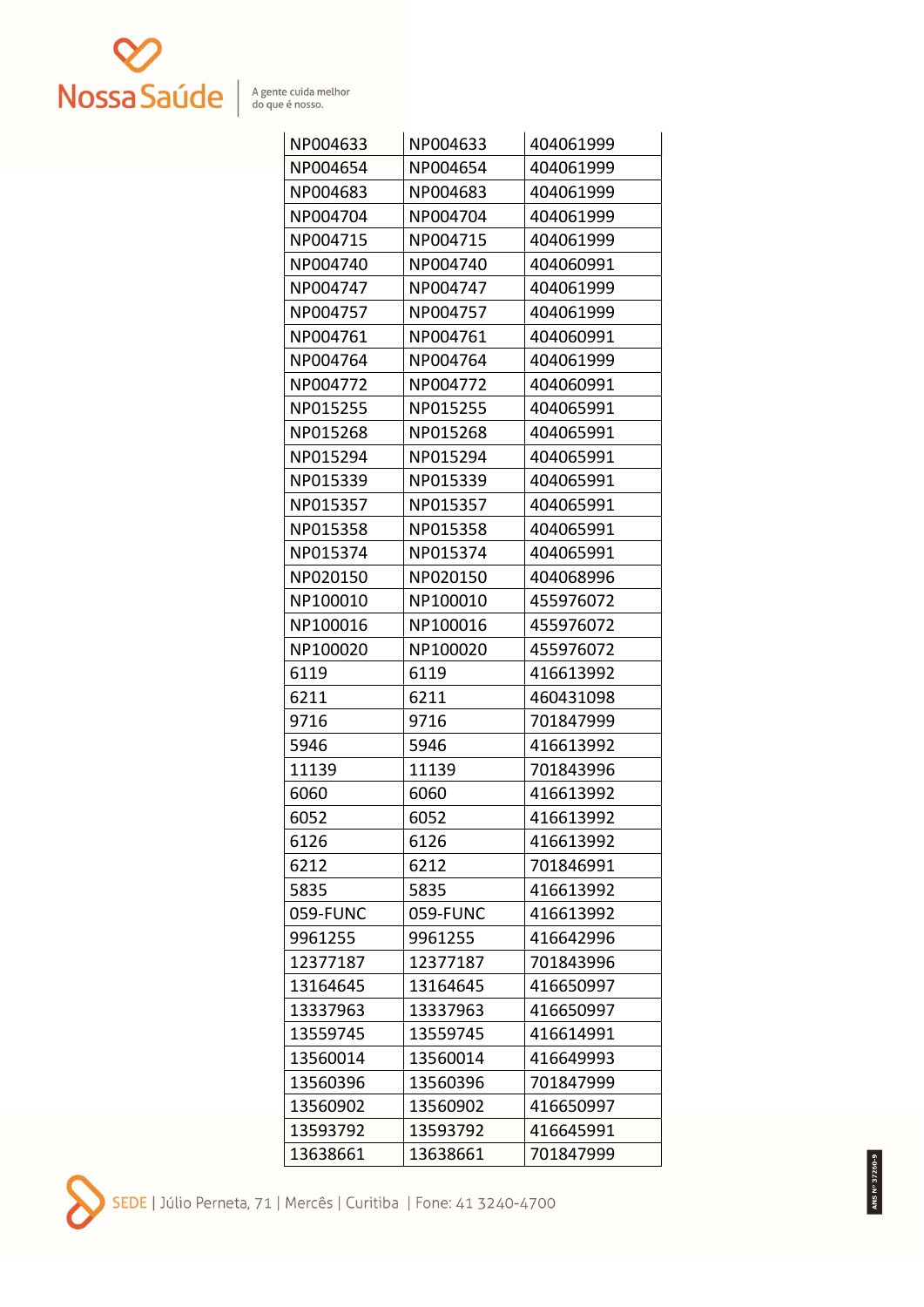

| NP004633 | NP004633 | 404061999 |
|----------|----------|-----------|
| NP004654 | NP004654 | 404061999 |
| NP004683 | NP004683 | 404061999 |
| NP004704 | NP004704 | 404061999 |
| NP004715 | NP004715 | 404061999 |
| NP004740 | NP004740 | 404060991 |
| NP004747 | NP004747 | 404061999 |
| NP004757 | NP004757 | 404061999 |
| NP004761 | NP004761 | 404060991 |
| NP004764 | NP004764 | 404061999 |
| NP004772 | NP004772 | 404060991 |
| NP015255 | NP015255 | 404065991 |
| NP015268 | NP015268 | 404065991 |
| NP015294 | NP015294 | 404065991 |
| NP015339 | NP015339 | 404065991 |
| NP015357 | NP015357 | 404065991 |
| NP015358 | NP015358 | 404065991 |
| NP015374 | NP015374 | 404065991 |
| NP020150 | NP020150 | 404068996 |
| NP100010 | NP100010 | 455976072 |
| NP100016 | NP100016 | 455976072 |
| NP100020 | NP100020 | 455976072 |
| 6119     | 6119     | 416613992 |
| 6211     | 6211     | 460431098 |
| 9716     | 9716     | 701847999 |
| 5946     | 5946     | 416613992 |
| 11139    | 11139    | 701843996 |
| 6060     | 6060     | 416613992 |
| 6052     | 6052     | 416613992 |
| 6126     | 6126     | 416613992 |
| 6212     | 6212     | 701846991 |
| 5835     | 5835     | 416613992 |
| 059-FUNC | 059-FUNC | 416613992 |
| 9961255  | 9961255  | 416642996 |
| 12377187 | 12377187 | 701843996 |
| 13164645 | 13164645 | 416650997 |
| 13337963 | 13337963 | 416650997 |
| 13559745 | 13559745 | 416614991 |
| 13560014 | 13560014 | 416649993 |
| 13560396 | 13560396 | 701847999 |
| 13560902 | 13560902 | 416650997 |
| 13593792 | 13593792 | 416645991 |
| 13638661 | 13638661 | 701847999 |

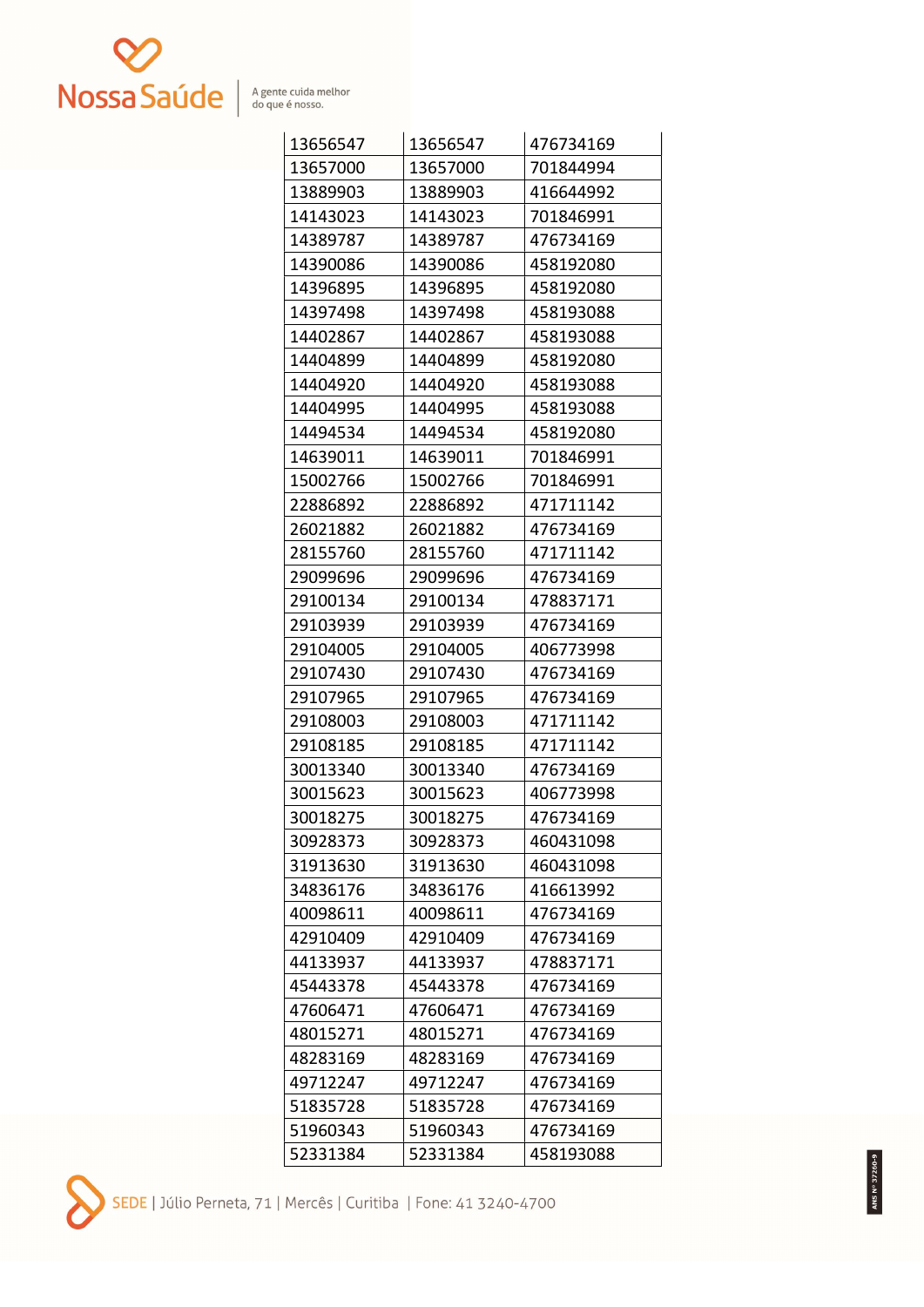

| 13656547 | 13656547 | 476734169 |
|----------|----------|-----------|
| 13657000 | 13657000 | 701844994 |
| 13889903 | 13889903 | 416644992 |
| 14143023 | 14143023 | 701846991 |
| 14389787 | 14389787 | 476734169 |
| 14390086 | 14390086 | 458192080 |
| 14396895 | 14396895 | 458192080 |
| 14397498 | 14397498 | 458193088 |
| 14402867 | 14402867 | 458193088 |
| 14404899 | 14404899 | 458192080 |
| 14404920 | 14404920 | 458193088 |
| 14404995 | 14404995 | 458193088 |
| 14494534 | 14494534 | 458192080 |
| 14639011 | 14639011 | 701846991 |
| 15002766 | 15002766 | 701846991 |
| 22886892 | 22886892 | 471711142 |
| 26021882 | 26021882 | 476734169 |
| 28155760 | 28155760 | 471711142 |
| 29099696 | 29099696 | 476734169 |
| 29100134 | 29100134 | 478837171 |
| 29103939 | 29103939 | 476734169 |
| 29104005 | 29104005 | 406773998 |
| 29107430 | 29107430 | 476734169 |
| 29107965 | 29107965 | 476734169 |
| 29108003 | 29108003 | 471711142 |
| 29108185 | 29108185 | 471711142 |
| 30013340 | 30013340 | 476734169 |
| 30015623 | 30015623 | 406773998 |
| 30018275 | 30018275 | 476734169 |
| 30928373 | 30928373 | 460431098 |
| 31913630 | 31913630 | 460431098 |
| 34836176 | 34836176 | 416613992 |
| 40098611 | 40098611 | 476734169 |
| 42910409 | 42910409 | 476734169 |
| 44133937 | 44133937 | 478837171 |
| 45443378 | 45443378 | 476734169 |
| 47606471 | 47606471 | 476734169 |
| 48015271 | 48015271 | 476734169 |
| 48283169 | 48283169 | 476734169 |
| 49712247 | 49712247 | 476734169 |
| 51835728 | 51835728 | 476734169 |
| 51960343 | 51960343 | 476734169 |
| 52331384 | 52331384 | 458193088 |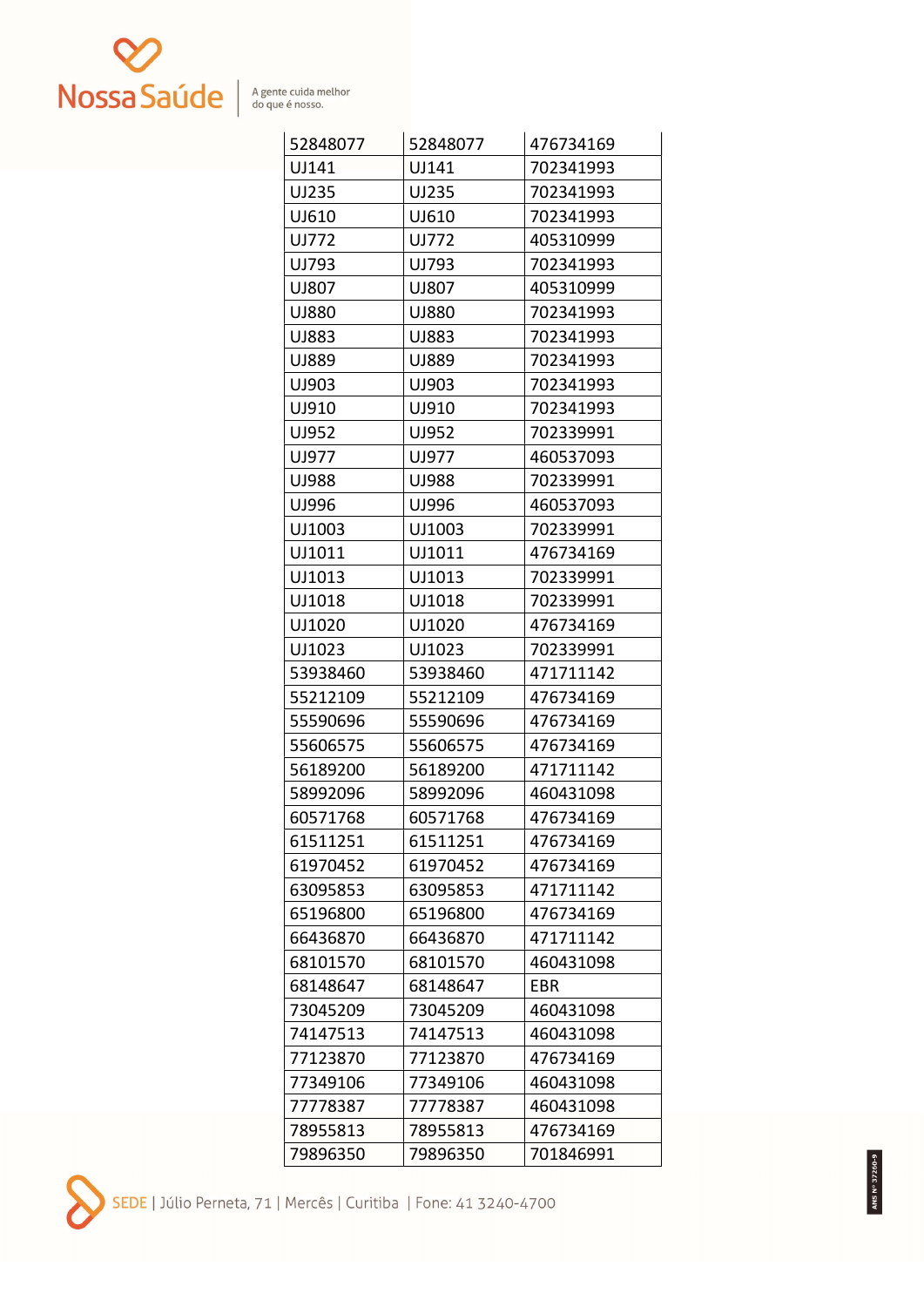

| 52848077 | 52848077 | 476734169 |
|----------|----------|-----------|
| UJ141    | UJ141    | 702341993 |
| UJ235    | UJ235    | 702341993 |
| UJ610    | UJ610    | 702341993 |
| UJ772    | UJ772    | 405310999 |
| UJ793    | UJ793    | 702341993 |
| UJ807    | UJ807    | 405310999 |
| UJ880    | UJ880    | 702341993 |
| UJ883    | UJ883    | 702341993 |
| UJ889    | UJ889    | 702341993 |
| UJ903    | UJ903    | 702341993 |
| UJ910    | UJ910    | 702341993 |
| UJ952    | UJ952    | 702339991 |
| UJ977    | UJ977    | 460537093 |
| UJ988    | UJ988    | 702339991 |
| UJ996    | UJ996    | 460537093 |
| UJ1003   | UJ1003   | 702339991 |
| UJ1011   | UJ1011   | 476734169 |
| UJ1013   | UJ1013   | 702339991 |
| UJ1018   | UJ1018   | 702339991 |
| UJ1020   | UJ1020   | 476734169 |
| UJ1023   | UJ1023   | 702339991 |
| 53938460 | 53938460 | 471711142 |
| 55212109 | 55212109 | 476734169 |
| 55590696 | 55590696 | 476734169 |
| 55606575 | 55606575 | 476734169 |
| 56189200 | 56189200 | 471711142 |
| 58992096 | 58992096 | 460431098 |
| 60571768 | 60571768 | 476734169 |
| 61511251 | 61511251 | 476734169 |
| 61970452 | 61970452 | 476734169 |
| 63095853 | 63095853 | 471711142 |
| 65196800 | 65196800 | 476734169 |
| 66436870 | 66436870 | 471711142 |
| 68101570 | 68101570 | 460431098 |
| 68148647 | 68148647 | EBR.      |
| 73045209 | 73045209 | 460431098 |
| 74147513 | 74147513 | 460431098 |
| 77123870 | 77123870 | 476734169 |
| 77349106 | 77349106 | 460431098 |
| 77778387 | 77778387 | 460431098 |
| 78955813 | 78955813 | 476734169 |
| 79896350 | 79896350 | 701846991 |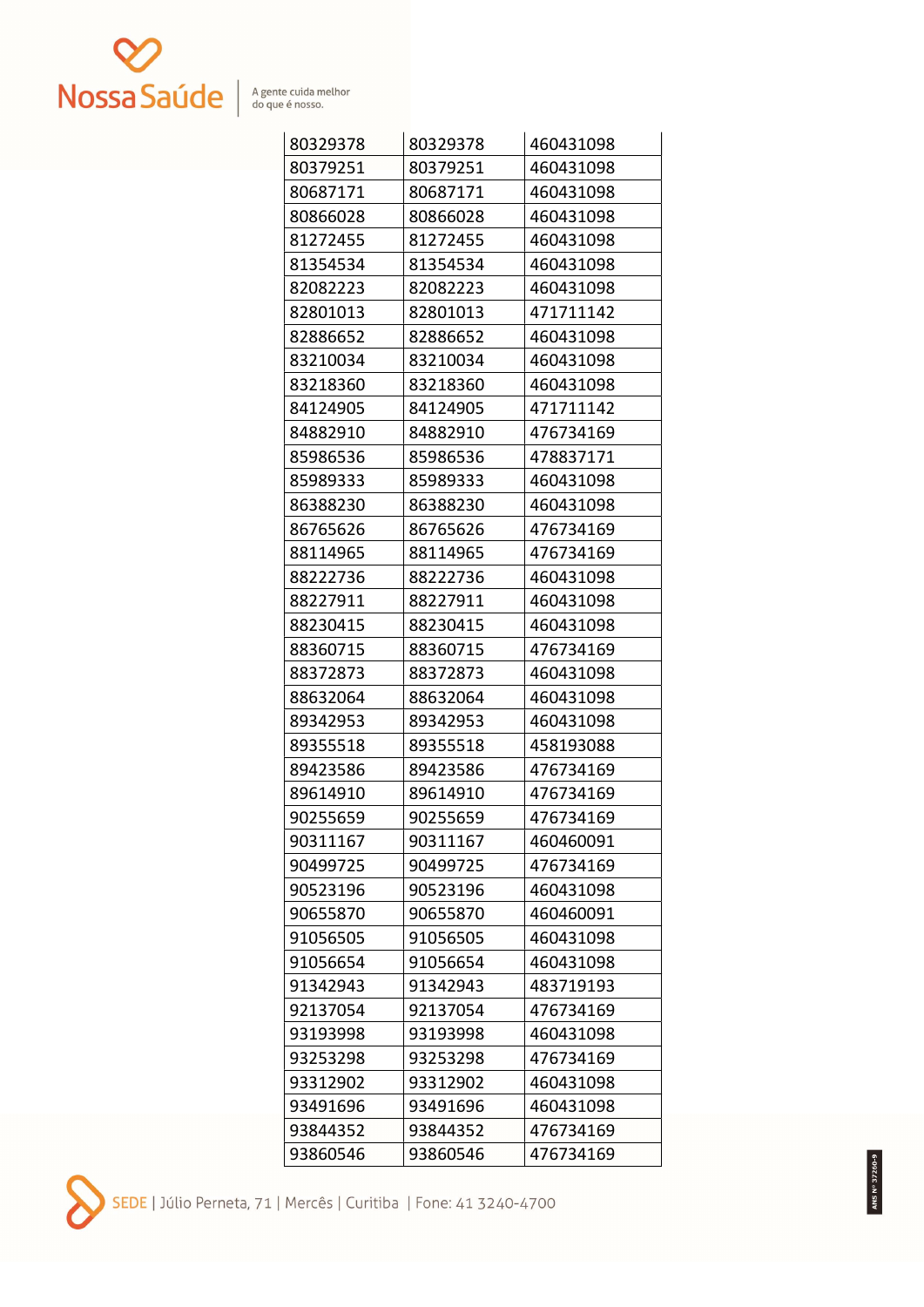

| 80329378 | 80329378 | 460431098 |
|----------|----------|-----------|
| 80379251 | 80379251 | 460431098 |
| 80687171 | 80687171 | 460431098 |
| 80866028 | 80866028 | 460431098 |
| 81272455 | 81272455 | 460431098 |
| 81354534 | 81354534 | 460431098 |
| 82082223 | 82082223 | 460431098 |
| 82801013 | 82801013 | 471711142 |
| 82886652 | 82886652 | 460431098 |
| 83210034 | 83210034 | 460431098 |
| 83218360 | 83218360 | 460431098 |
| 84124905 | 84124905 | 471711142 |
| 84882910 | 84882910 | 476734169 |
| 85986536 | 85986536 | 478837171 |
| 85989333 | 85989333 | 460431098 |
| 86388230 | 86388230 | 460431098 |
| 86765626 | 86765626 | 476734169 |
| 88114965 | 88114965 | 476734169 |
| 88222736 | 88222736 | 460431098 |
| 88227911 | 88227911 | 460431098 |
| 88230415 | 88230415 | 460431098 |
| 88360715 | 88360715 | 476734169 |
| 88372873 | 88372873 | 460431098 |
| 88632064 | 88632064 | 460431098 |
| 89342953 | 89342953 | 460431098 |
| 89355518 | 89355518 | 458193088 |
| 89423586 | 89423586 | 476734169 |
| 89614910 | 89614910 | 476734169 |
| 90255659 | 90255659 | 476734169 |
| 90311167 | 90311167 | 460460091 |
| 90499725 | 90499725 | 476734169 |
| 90523196 | 90523196 | 460431098 |
| 90655870 | 90655870 | 460460091 |
| 91056505 | 91056505 | 460431098 |
| 91056654 | 91056654 | 460431098 |
| 91342943 | 91342943 | 483719193 |
| 92137054 | 92137054 | 476734169 |
| 93193998 | 93193998 | 460431098 |
| 93253298 | 93253298 | 476734169 |
| 93312902 | 93312902 | 460431098 |
| 93491696 | 93491696 | 460431098 |
| 93844352 | 93844352 | 476734169 |
| 93860546 | 93860546 | 476734169 |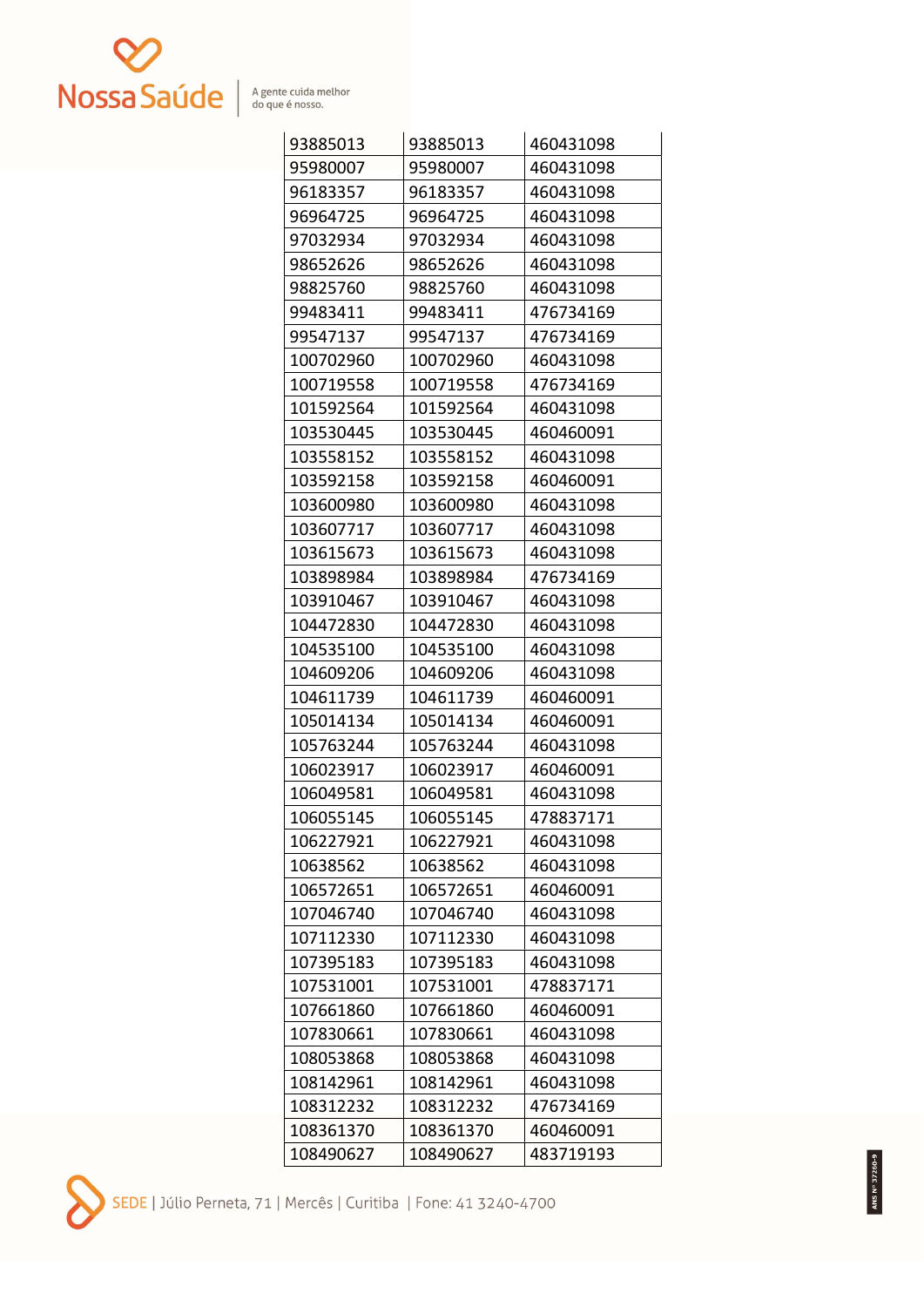

| 93885013  | 93885013  | 460431098 |
|-----------|-----------|-----------|
| 95980007  | 95980007  | 460431098 |
| 96183357  | 96183357  | 460431098 |
| 96964725  | 96964725  | 460431098 |
| 97032934  | 97032934  | 460431098 |
| 98652626  | 98652626  | 460431098 |
| 98825760  | 98825760  | 460431098 |
| 99483411  | 99483411  | 476734169 |
| 99547137  | 99547137  | 476734169 |
| 100702960 | 100702960 | 460431098 |
| 100719558 | 100719558 | 476734169 |
| 101592564 | 101592564 | 460431098 |
| 103530445 | 103530445 | 460460091 |
| 103558152 | 103558152 | 460431098 |
| 103592158 | 103592158 | 460460091 |
| 103600980 | 103600980 | 460431098 |
| 103607717 | 103607717 | 460431098 |
| 103615673 | 103615673 | 460431098 |
| 103898984 | 103898984 | 476734169 |
| 103910467 | 103910467 | 460431098 |
| 104472830 | 104472830 | 460431098 |
| 104535100 | 104535100 | 460431098 |
| 104609206 | 104609206 | 460431098 |
| 104611739 | 104611739 | 460460091 |
| 105014134 | 105014134 | 460460091 |
| 105763244 | 105763244 | 460431098 |
| 106023917 | 106023917 | 460460091 |
| 106049581 | 106049581 | 460431098 |
| 106055145 | 106055145 | 478837171 |
| 106227921 | 106227921 | 460431098 |
| 10638562  | 10638562  | 460431098 |
| 106572651 | 106572651 | 460460091 |
| 107046740 | 107046740 | 460431098 |
| 107112330 | 107112330 | 460431098 |
| 107395183 | 107395183 | 460431098 |
| 107531001 | 107531001 | 478837171 |
| 107661860 | 107661860 | 460460091 |
| 107830661 | 107830661 | 460431098 |
| 108053868 | 108053868 | 460431098 |
| 108142961 | 108142961 | 460431098 |
| 108312232 | 108312232 | 476734169 |
| 108361370 | 108361370 | 460460091 |
| 108490627 | 108490627 | 483719193 |

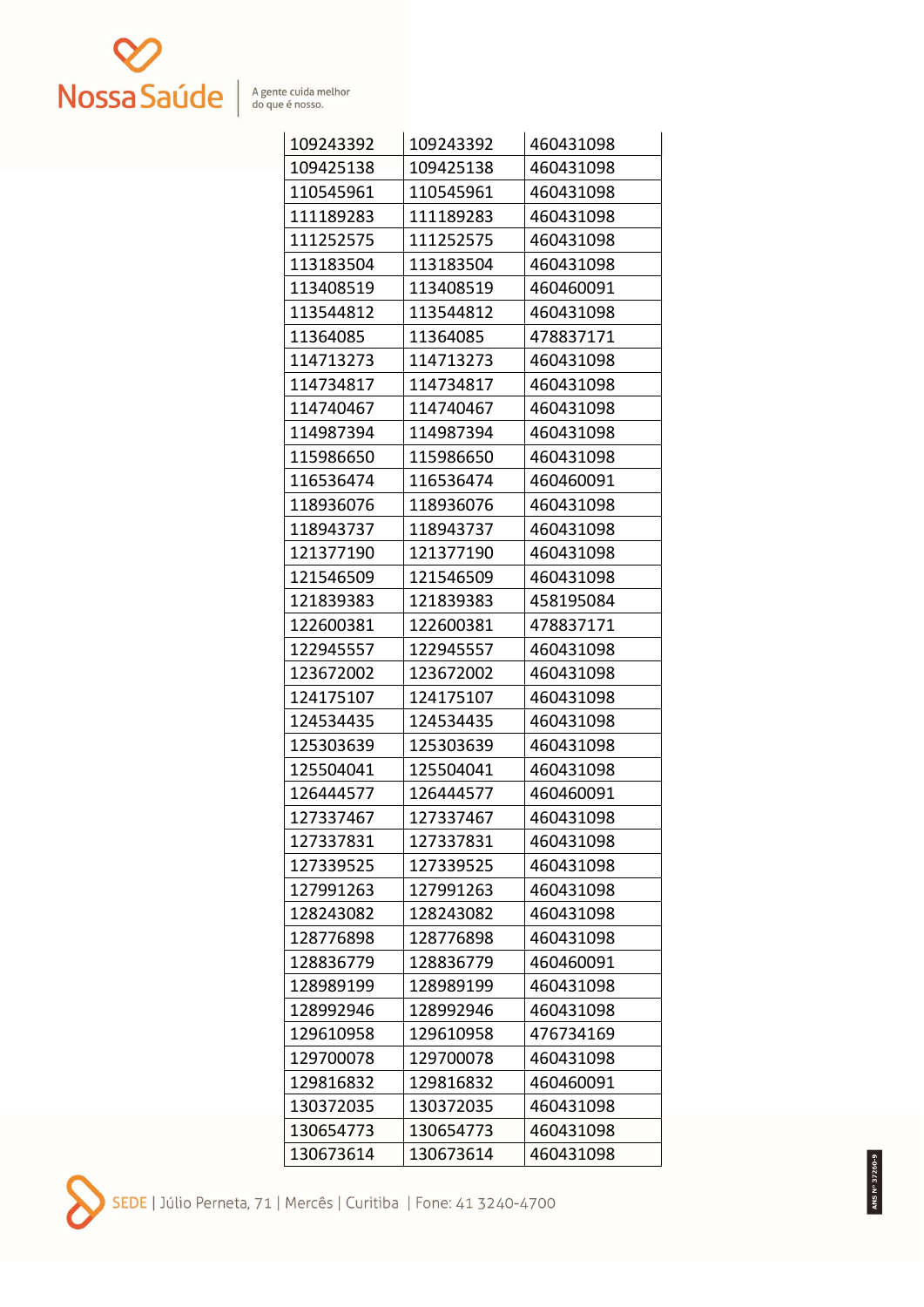

| 109243392 | 109243392 | 460431098 |
|-----------|-----------|-----------|
| 109425138 | 109425138 | 460431098 |
| 110545961 | 110545961 | 460431098 |
| 111189283 | 111189283 | 460431098 |
| 111252575 | 111252575 | 460431098 |
| 113183504 | 113183504 | 460431098 |
| 113408519 | 113408519 | 460460091 |
| 113544812 | 113544812 | 460431098 |
| 11364085  | 11364085  | 478837171 |
| 114713273 | 114713273 | 460431098 |
| 114734817 | 114734817 | 460431098 |
| 114740467 | 114740467 | 460431098 |
| 114987394 | 114987394 | 460431098 |
| 115986650 | 115986650 | 460431098 |
| 116536474 | 116536474 | 460460091 |
| 118936076 | 118936076 | 460431098 |
| 118943737 | 118943737 | 460431098 |
| 121377190 | 121377190 | 460431098 |
| 121546509 | 121546509 | 460431098 |
| 121839383 | 121839383 | 458195084 |
| 122600381 | 122600381 | 478837171 |
| 122945557 | 122945557 | 460431098 |
| 123672002 | 123672002 | 460431098 |
| 124175107 | 124175107 | 460431098 |
| 124534435 | 124534435 | 460431098 |
| 125303639 | 125303639 | 460431098 |
| 125504041 | 125504041 | 460431098 |
| 126444577 | 126444577 | 460460091 |
| 127337467 | 127337467 | 460431098 |
| 127337831 | 127337831 | 460431098 |
| 127339525 | 127339525 | 460431098 |
| 127991263 | 127991263 | 460431098 |
| 128243082 | 128243082 | 460431098 |
| 128776898 | 128776898 | 460431098 |
| 128836779 | 128836779 | 460460091 |
| 128989199 | 128989199 | 460431098 |
| 128992946 | 128992946 | 460431098 |
| 129610958 | 129610958 | 476734169 |
| 129700078 | 129700078 | 460431098 |
| 129816832 | 129816832 | 460460091 |
| 130372035 | 130372035 | 460431098 |
| 130654773 | 130654773 | 460431098 |
| 130673614 | 130673614 | 460431098 |

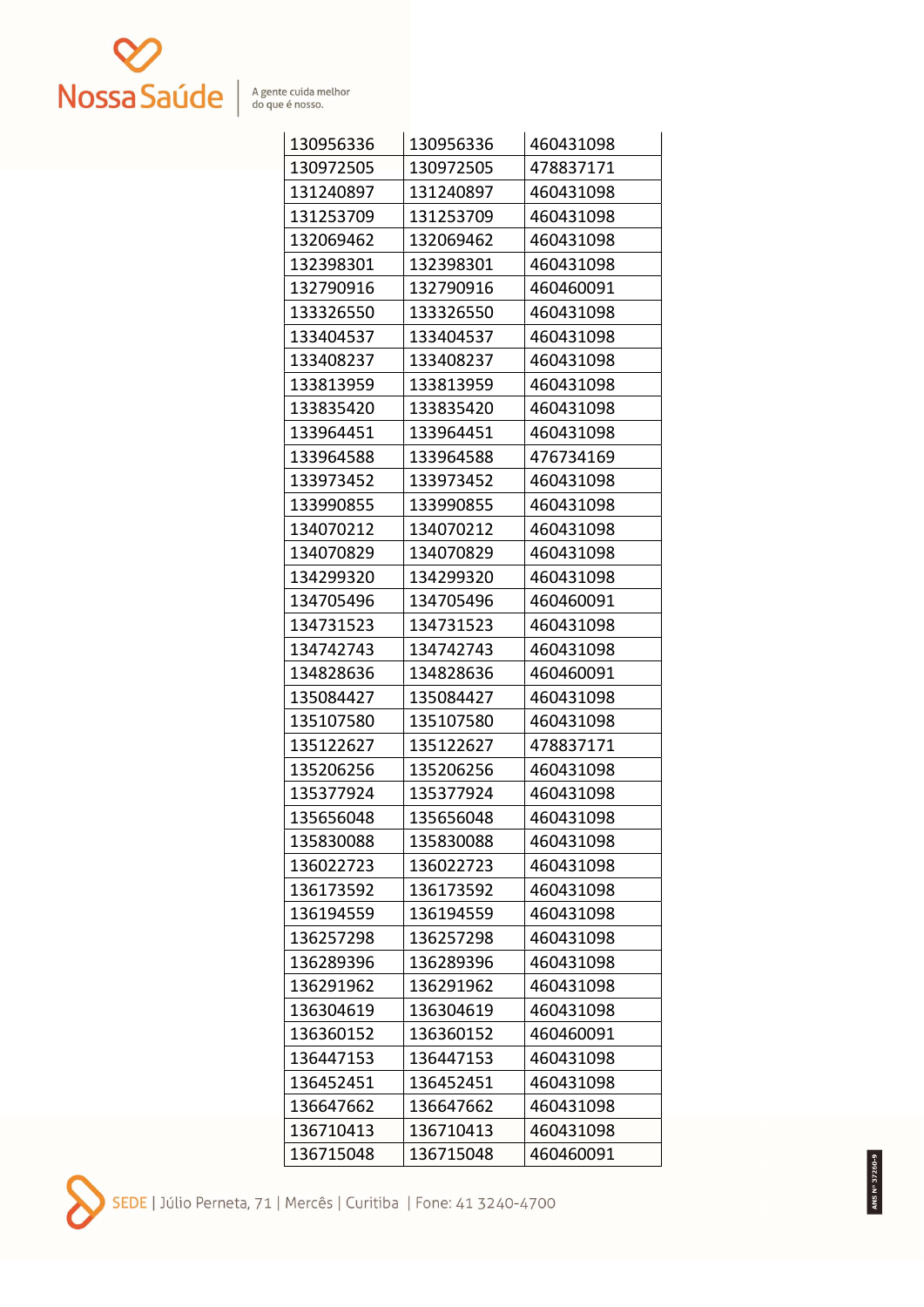

| 130956336 | 130956336 | 460431098 |
|-----------|-----------|-----------|
| 130972505 | 130972505 | 478837171 |
| 131240897 | 131240897 | 460431098 |
| 131253709 | 131253709 | 460431098 |
| 132069462 | 132069462 | 460431098 |
| 132398301 | 132398301 | 460431098 |
| 132790916 | 132790916 | 460460091 |
| 133326550 | 133326550 | 460431098 |
| 133404537 | 133404537 | 460431098 |
| 133408237 | 133408237 | 460431098 |
| 133813959 | 133813959 | 460431098 |
| 133835420 | 133835420 | 460431098 |
| 133964451 | 133964451 | 460431098 |
| 133964588 | 133964588 | 476734169 |
| 133973452 | 133973452 | 460431098 |
| 133990855 | 133990855 | 460431098 |
| 134070212 | 134070212 | 460431098 |
| 134070829 | 134070829 | 460431098 |
| 134299320 | 134299320 | 460431098 |
| 134705496 | 134705496 | 460460091 |
| 134731523 | 134731523 | 460431098 |
| 134742743 | 134742743 | 460431098 |
| 134828636 | 134828636 | 460460091 |
| 135084427 | 135084427 | 460431098 |
| 135107580 | 135107580 | 460431098 |
| 135122627 | 135122627 | 478837171 |
| 135206256 | 135206256 | 460431098 |
| 135377924 | 135377924 | 460431098 |
| 135656048 | 135656048 | 460431098 |
| 135830088 | 135830088 | 460431098 |
| 136022723 | 136022723 | 460431098 |
| 136173592 | 136173592 | 460431098 |
| 136194559 | 136194559 | 460431098 |
| 136257298 | 136257298 | 460431098 |
| 136289396 | 136289396 | 460431098 |
| 136291962 | 136291962 | 460431098 |
| 136304619 | 136304619 | 460431098 |
| 136360152 | 136360152 | 460460091 |
| 136447153 | 136447153 | 460431098 |
| 136452451 | 136452451 | 460431098 |
| 136647662 | 136647662 | 460431098 |
| 136710413 | 136710413 | 460431098 |
| 136715048 | 136715048 | 460460091 |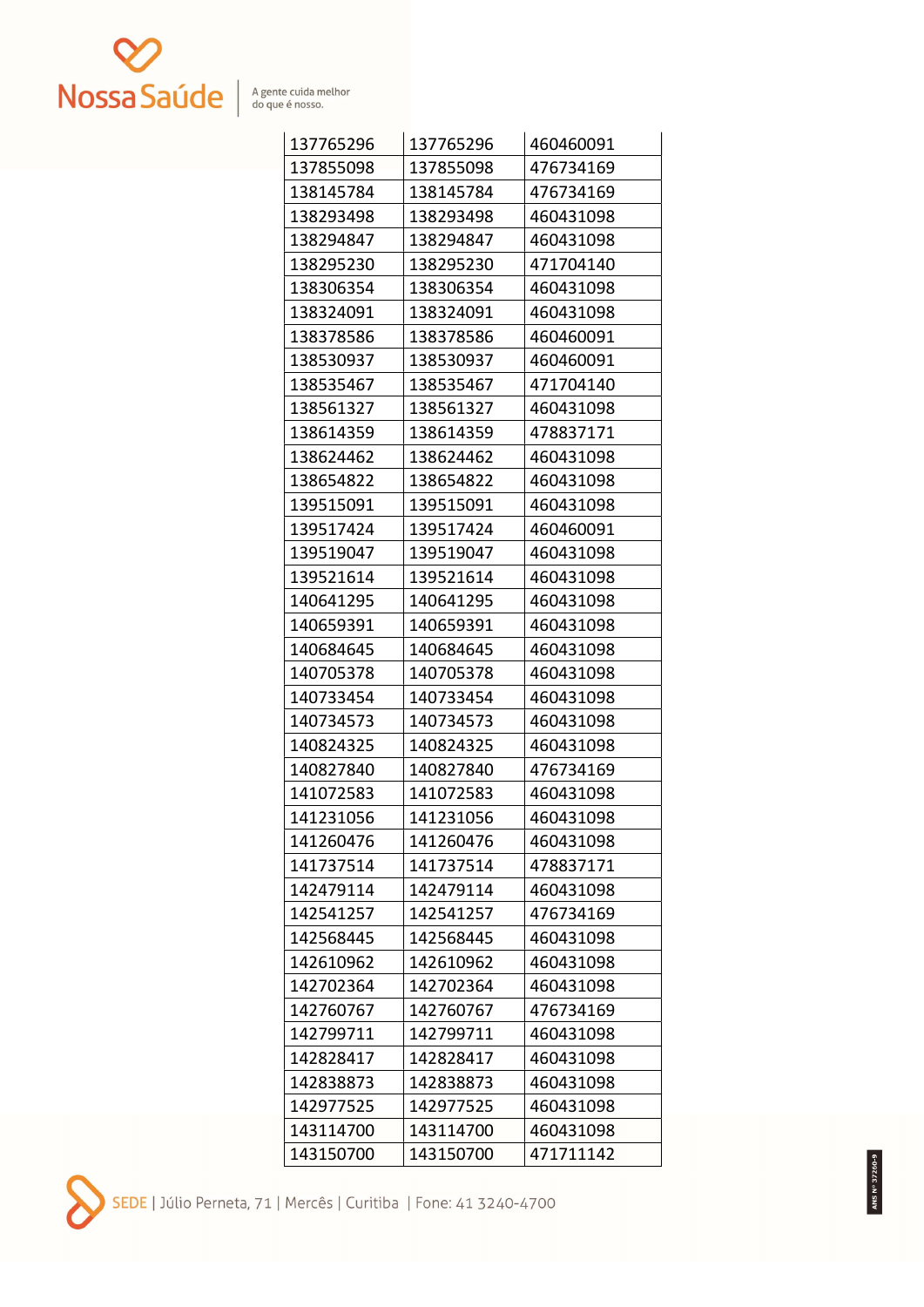

| 137765296 | 137765296 | 460460091 |
|-----------|-----------|-----------|
| 137855098 | 137855098 | 476734169 |
| 138145784 | 138145784 | 476734169 |
| 138293498 | 138293498 | 460431098 |
| 138294847 | 138294847 | 460431098 |
| 138295230 | 138295230 | 471704140 |
| 138306354 | 138306354 | 460431098 |
| 138324091 | 138324091 | 460431098 |
| 138378586 | 138378586 | 460460091 |
| 138530937 | 138530937 | 460460091 |
| 138535467 | 138535467 | 471704140 |
| 138561327 | 138561327 | 460431098 |
| 138614359 | 138614359 | 478837171 |
| 138624462 | 138624462 | 460431098 |
| 138654822 | 138654822 | 460431098 |
| 139515091 | 139515091 | 460431098 |
| 139517424 | 139517424 | 460460091 |
| 139519047 | 139519047 | 460431098 |
| 139521614 | 139521614 | 460431098 |
| 140641295 | 140641295 | 460431098 |
| 140659391 | 140659391 | 460431098 |
| 140684645 | 140684645 | 460431098 |
| 140705378 | 140705378 | 460431098 |
| 140733454 | 140733454 | 460431098 |
| 140734573 | 140734573 | 460431098 |
| 140824325 | 140824325 | 460431098 |
| 140827840 | 140827840 | 476734169 |
| 141072583 | 141072583 | 460431098 |
| 141231056 | 141231056 | 460431098 |
| 141260476 | 141260476 | 460431098 |
| 141737514 | 141737514 | 478837171 |
| 142479114 | 142479114 | 460431098 |
| 142541257 | 142541257 | 476734169 |
| 142568445 | 142568445 | 460431098 |
| 142610962 | 142610962 | 460431098 |
| 142702364 | 142702364 | 460431098 |
| 142760767 | 142760767 | 476734169 |
| 142799711 | 142799711 | 460431098 |
| 142828417 | 142828417 | 460431098 |
| 142838873 | 142838873 | 460431098 |
| 142977525 | 142977525 | 460431098 |
| 143114700 | 143114700 | 460431098 |
| 143150700 | 143150700 | 471711142 |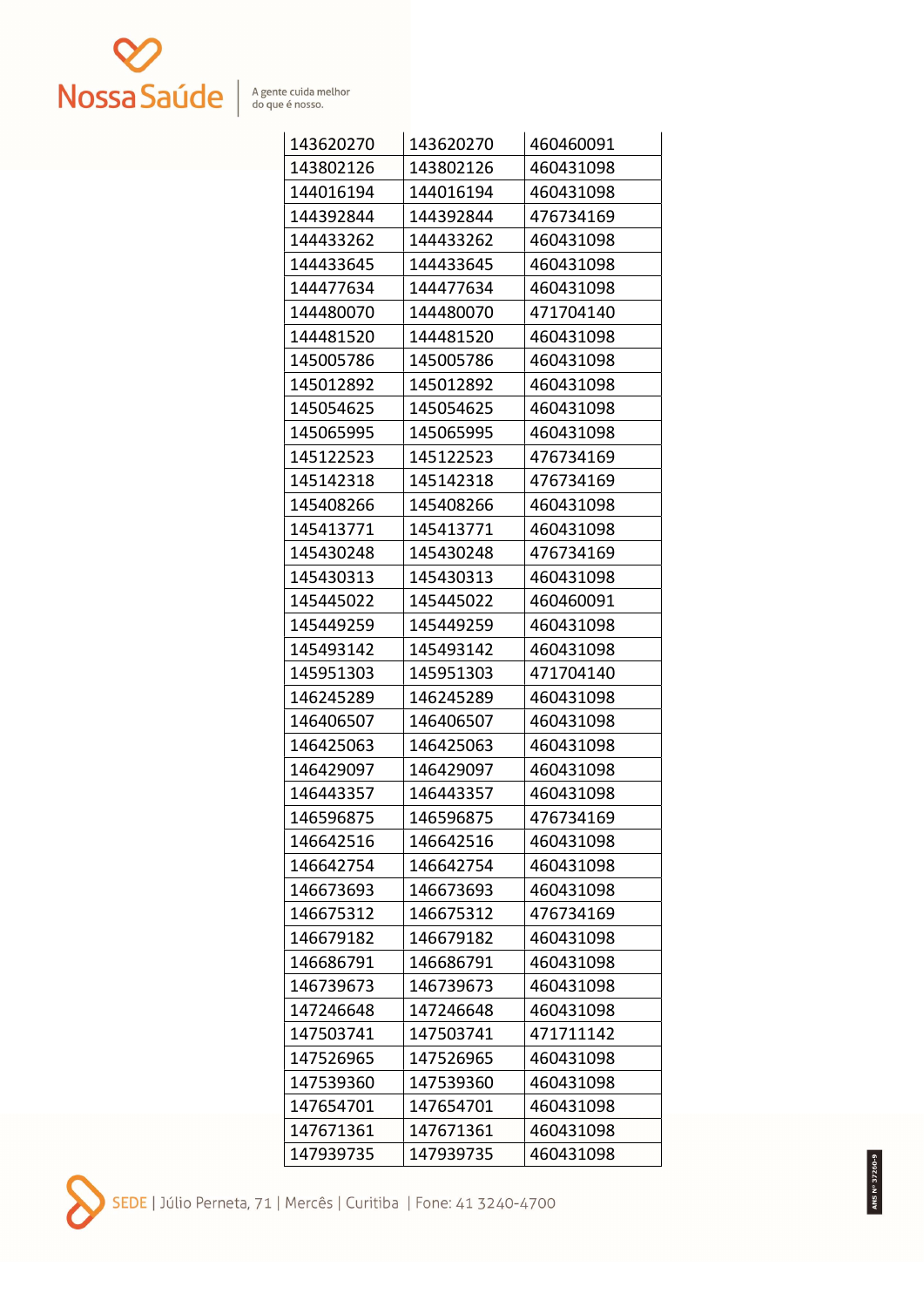

| 143620270 | 143620270 | 460460091 |
|-----------|-----------|-----------|
| 143802126 | 143802126 | 460431098 |
| 144016194 | 144016194 | 460431098 |
| 144392844 | 144392844 | 476734169 |
| 144433262 | 144433262 | 460431098 |
| 144433645 | 144433645 | 460431098 |
| 144477634 | 144477634 | 460431098 |
| 144480070 | 144480070 | 471704140 |
| 144481520 | 144481520 | 460431098 |
| 145005786 | 145005786 | 460431098 |
| 145012892 | 145012892 | 460431098 |
| 145054625 | 145054625 | 460431098 |
| 145065995 | 145065995 | 460431098 |
| 145122523 | 145122523 | 476734169 |
| 145142318 | 145142318 | 476734169 |
| 145408266 | 145408266 | 460431098 |
| 145413771 | 145413771 | 460431098 |
| 145430248 | 145430248 | 476734169 |
| 145430313 | 145430313 | 460431098 |
| 145445022 | 145445022 | 460460091 |
| 145449259 | 145449259 | 460431098 |
| 145493142 | 145493142 | 460431098 |
| 145951303 | 145951303 | 471704140 |
| 146245289 | 146245289 | 460431098 |
| 146406507 | 146406507 | 460431098 |
| 146425063 | 146425063 | 460431098 |
| 146429097 | 146429097 | 460431098 |
| 146443357 | 146443357 | 460431098 |
| 146596875 | 146596875 | 476734169 |
| 146642516 | 146642516 | 460431098 |
| 146642754 | 146642754 | 460431098 |
| 146673693 | 146673693 | 460431098 |
| 146675312 | 146675312 | 476734169 |
| 146679182 | 146679182 | 460431098 |
| 146686791 | 146686791 | 460431098 |
| 146739673 | 146739673 | 460431098 |
| 147246648 | 147246648 | 460431098 |
| 147503741 | 147503741 | 471711142 |
| 147526965 | 147526965 | 460431098 |
| 147539360 | 147539360 | 460431098 |
| 147654701 | 147654701 | 460431098 |
| 147671361 | 147671361 | 460431098 |
| 147939735 | 147939735 | 460431098 |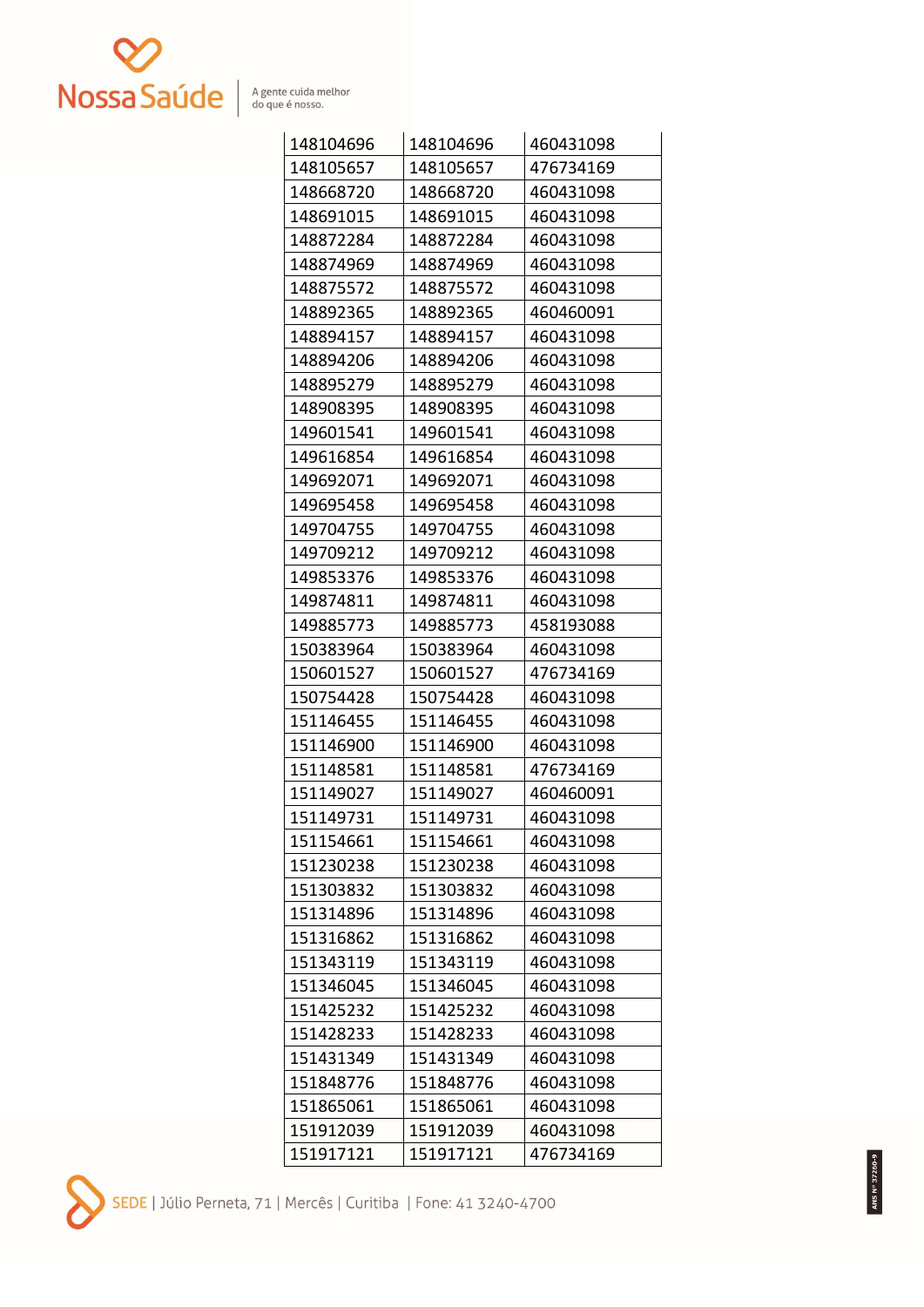

| 148104696 | 148104696 | 460431098 |
|-----------|-----------|-----------|
| 148105657 | 148105657 | 476734169 |
| 148668720 | 148668720 | 460431098 |
| 148691015 | 148691015 | 460431098 |
| 148872284 | 148872284 | 460431098 |
| 148874969 | 148874969 | 460431098 |
| 148875572 | 148875572 | 460431098 |
| 148892365 | 148892365 | 460460091 |
| 148894157 | 148894157 | 460431098 |
| 148894206 | 148894206 | 460431098 |
| 148895279 | 148895279 | 460431098 |
| 148908395 | 148908395 | 460431098 |
| 149601541 | 149601541 | 460431098 |
| 149616854 | 149616854 | 460431098 |
| 149692071 | 149692071 | 460431098 |
| 149695458 | 149695458 | 460431098 |
| 149704755 | 149704755 | 460431098 |
| 149709212 | 149709212 | 460431098 |
| 149853376 | 149853376 | 460431098 |
| 149874811 | 149874811 | 460431098 |
| 149885773 | 149885773 | 458193088 |
| 150383964 | 150383964 | 460431098 |
| 150601527 | 150601527 | 476734169 |
| 150754428 | 150754428 | 460431098 |
| 151146455 | 151146455 | 460431098 |
| 151146900 | 151146900 | 460431098 |
| 151148581 | 151148581 | 476734169 |
| 151149027 | 151149027 | 460460091 |
| 151149731 | 151149731 | 460431098 |
| 151154661 | 151154661 | 460431098 |
| 151230238 | 151230238 | 460431098 |
| 151303832 | 151303832 | 460431098 |
| 151314896 | 151314896 | 460431098 |
| 151316862 | 151316862 | 460431098 |
| 151343119 | 151343119 | 460431098 |
| 151346045 | 151346045 | 460431098 |
| 151425232 | 151425232 | 460431098 |
| 151428233 | 151428233 | 460431098 |
| 151431349 | 151431349 | 460431098 |
| 151848776 | 151848776 | 460431098 |
| 151865061 | 151865061 | 460431098 |
| 151912039 | 151912039 | 460431098 |
| 151917121 | 151917121 | 476734169 |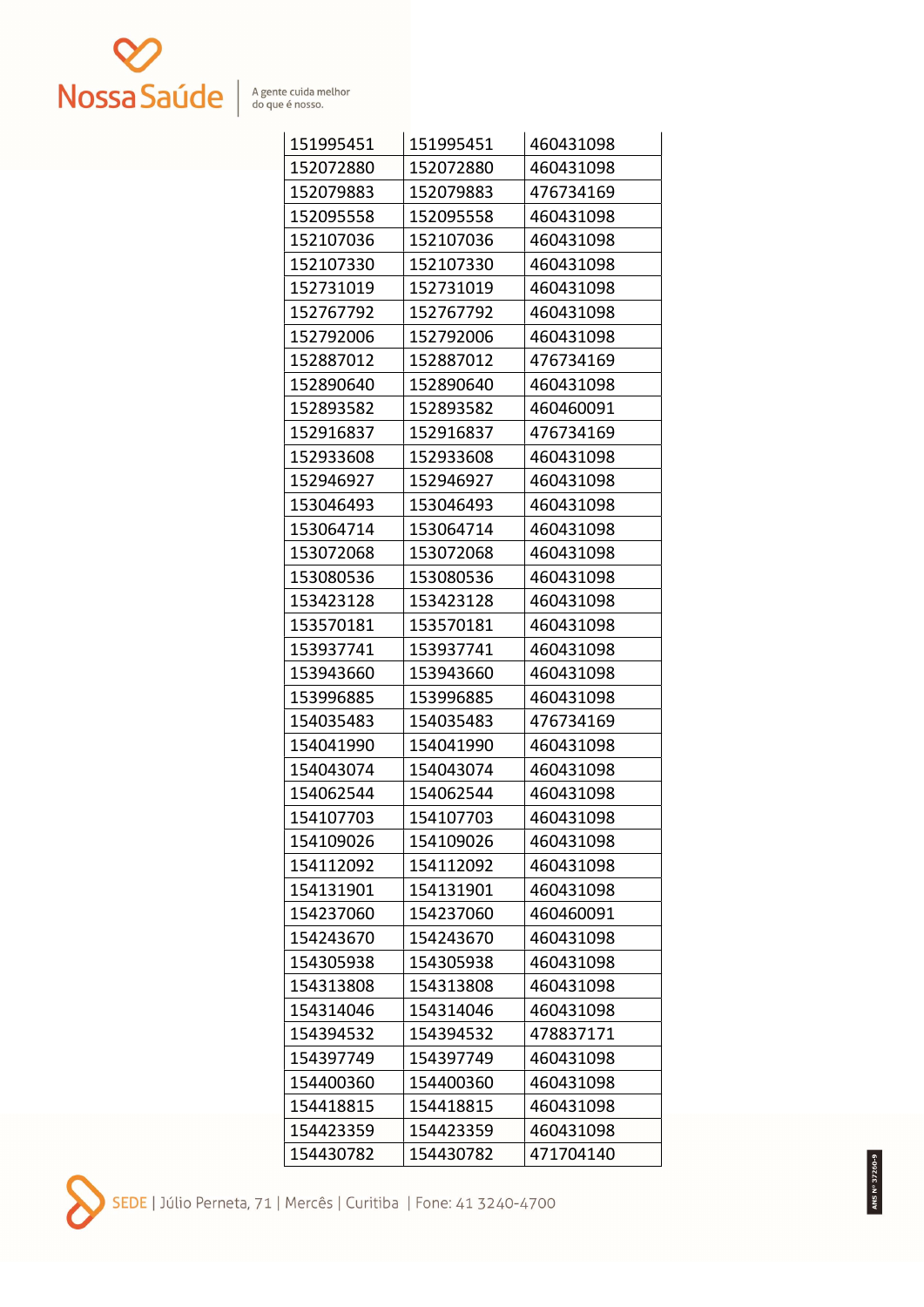

| 151995451 | 151995451 | 460431098 |
|-----------|-----------|-----------|
| 152072880 | 152072880 | 460431098 |
| 152079883 | 152079883 | 476734169 |
| 152095558 | 152095558 | 460431098 |
| 152107036 | 152107036 | 460431098 |
| 152107330 | 152107330 | 460431098 |
| 152731019 | 152731019 | 460431098 |
| 152767792 | 152767792 | 460431098 |
| 152792006 | 152792006 | 460431098 |
| 152887012 | 152887012 | 476734169 |
| 152890640 | 152890640 | 460431098 |
| 152893582 | 152893582 | 460460091 |
| 152916837 | 152916837 | 476734169 |
| 152933608 | 152933608 | 460431098 |
| 152946927 | 152946927 | 460431098 |
| 153046493 | 153046493 | 460431098 |
| 153064714 | 153064714 | 460431098 |
| 153072068 | 153072068 | 460431098 |
| 153080536 | 153080536 | 460431098 |
| 153423128 | 153423128 | 460431098 |
| 153570181 | 153570181 | 460431098 |
| 153937741 | 153937741 | 460431098 |
| 153943660 | 153943660 | 460431098 |
| 153996885 | 153996885 | 460431098 |
| 154035483 | 154035483 | 476734169 |
| 154041990 | 154041990 | 460431098 |
| 154043074 | 154043074 | 460431098 |
| 154062544 | 154062544 | 460431098 |
| 154107703 | 154107703 | 460431098 |
| 154109026 | 154109026 | 460431098 |
| 154112092 | 154112092 | 460431098 |
| 154131901 | 154131901 | 460431098 |
| 154237060 | 154237060 | 460460091 |
| 154243670 | 154243670 | 460431098 |
| 154305938 | 154305938 | 460431098 |
| 154313808 | 154313808 | 460431098 |
| 154314046 | 154314046 | 460431098 |
| 154394532 | 154394532 | 478837171 |
| 154397749 | 154397749 | 460431098 |
| 154400360 | 154400360 | 460431098 |
| 154418815 | 154418815 | 460431098 |
| 154423359 | 154423359 | 460431098 |
| 154430782 | 154430782 | 471704140 |

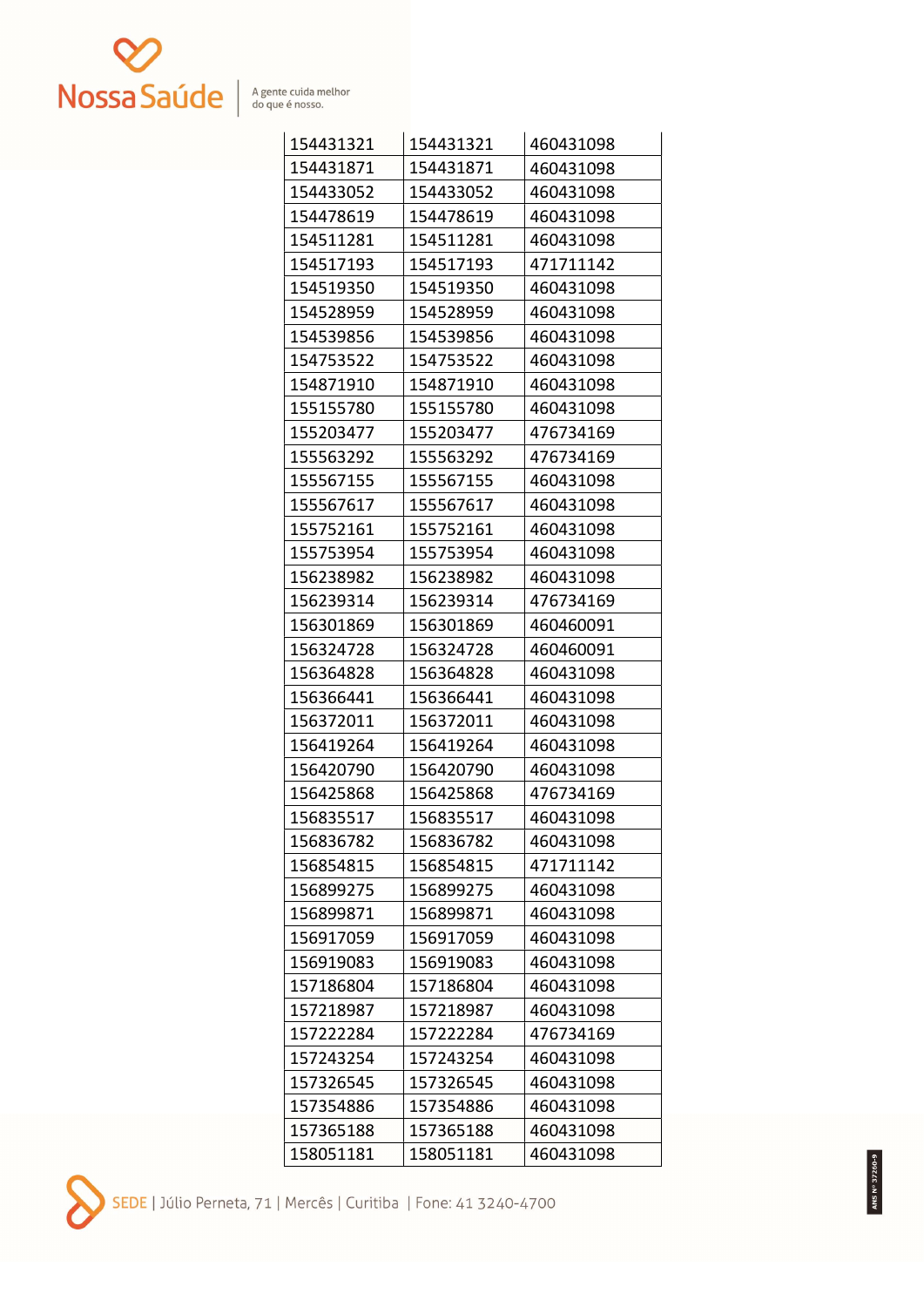

| 154431321 | 154431321 | 460431098 |
|-----------|-----------|-----------|
| 154431871 | 154431871 | 460431098 |
| 154433052 | 154433052 | 460431098 |
| 154478619 | 154478619 | 460431098 |
| 154511281 | 154511281 | 460431098 |
| 154517193 | 154517193 | 471711142 |
| 154519350 | 154519350 | 460431098 |
| 154528959 | 154528959 | 460431098 |
| 154539856 | 154539856 | 460431098 |
| 154753522 | 154753522 | 460431098 |
| 154871910 | 154871910 | 460431098 |
| 155155780 | 155155780 | 460431098 |
| 155203477 | 155203477 | 476734169 |
| 155563292 | 155563292 | 476734169 |
| 155567155 | 155567155 | 460431098 |
| 155567617 | 155567617 | 460431098 |
| 155752161 | 155752161 | 460431098 |
| 155753954 | 155753954 | 460431098 |
| 156238982 | 156238982 | 460431098 |
| 156239314 | 156239314 | 476734169 |
| 156301869 | 156301869 | 460460091 |
| 156324728 | 156324728 | 460460091 |
| 156364828 | 156364828 | 460431098 |
| 156366441 | 156366441 | 460431098 |
| 156372011 | 156372011 | 460431098 |
| 156419264 | 156419264 | 460431098 |
| 156420790 | 156420790 | 460431098 |
| 156425868 | 156425868 | 476734169 |
| 156835517 | 156835517 | 460431098 |
| 156836782 | 156836782 | 460431098 |
| 156854815 | 156854815 | 471711142 |
| 156899275 | 156899275 | 460431098 |
| 156899871 | 156899871 | 460431098 |
| 156917059 | 156917059 | 460431098 |
| 156919083 | 156919083 | 460431098 |
| 157186804 | 157186804 | 460431098 |
| 157218987 | 157218987 | 460431098 |
| 157222284 | 157222284 | 476734169 |
| 157243254 | 157243254 | 460431098 |
| 157326545 | 157326545 | 460431098 |
| 157354886 | 157354886 | 460431098 |
| 157365188 | 157365188 | 460431098 |
| 158051181 | 158051181 | 460431098 |

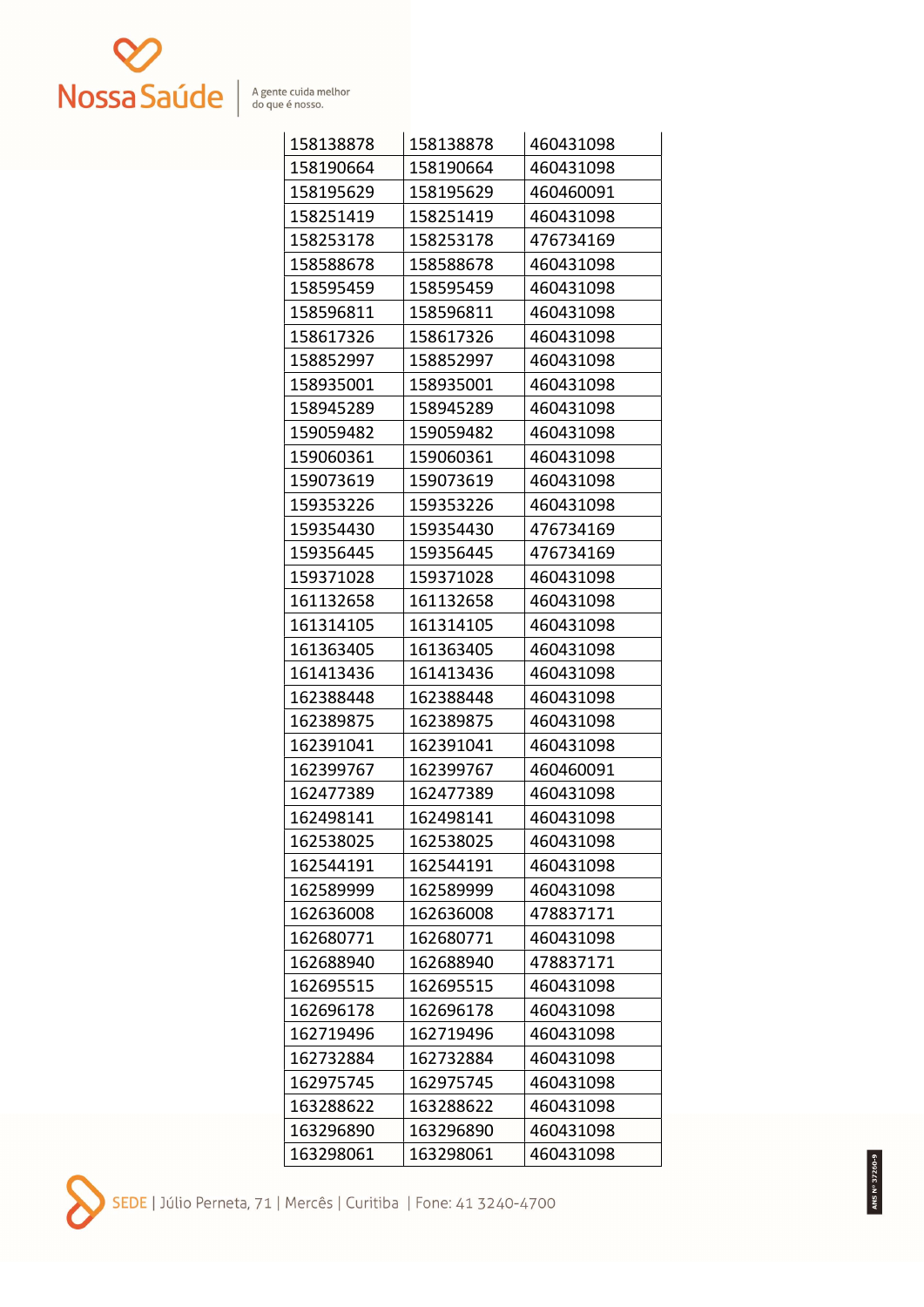

| 158138878 | 158138878 | 460431098 |
|-----------|-----------|-----------|
| 158190664 | 158190664 | 460431098 |
| 158195629 | 158195629 | 460460091 |
| 158251419 | 158251419 | 460431098 |
| 158253178 | 158253178 | 476734169 |
| 158588678 | 158588678 | 460431098 |
| 158595459 | 158595459 | 460431098 |
| 158596811 | 158596811 | 460431098 |
| 158617326 | 158617326 | 460431098 |
| 158852997 | 158852997 | 460431098 |
| 158935001 | 158935001 | 460431098 |
| 158945289 | 158945289 | 460431098 |
| 159059482 | 159059482 | 460431098 |
| 159060361 | 159060361 | 460431098 |
| 159073619 | 159073619 | 460431098 |
| 159353226 | 159353226 | 460431098 |
| 159354430 | 159354430 | 476734169 |
| 159356445 | 159356445 | 476734169 |
| 159371028 | 159371028 | 460431098 |
| 161132658 | 161132658 | 460431098 |
| 161314105 | 161314105 | 460431098 |
| 161363405 | 161363405 | 460431098 |
| 161413436 | 161413436 | 460431098 |
| 162388448 | 162388448 | 460431098 |
| 162389875 | 162389875 | 460431098 |
| 162391041 | 162391041 | 460431098 |
| 162399767 | 162399767 | 460460091 |
| 162477389 | 162477389 | 460431098 |
| 162498141 | 162498141 | 460431098 |
| 162538025 | 162538025 | 460431098 |
| 162544191 | 162544191 | 460431098 |
| 162589999 | 162589999 | 460431098 |
| 162636008 | 162636008 | 478837171 |
| 162680771 | 162680771 | 460431098 |
| 162688940 | 162688940 | 478837171 |
| 162695515 | 162695515 | 460431098 |
| 162696178 | 162696178 | 460431098 |
| 162719496 | 162719496 | 460431098 |
| 162732884 | 162732884 | 460431098 |
| 162975745 | 162975745 | 460431098 |
| 163288622 | 163288622 | 460431098 |
| 163296890 | 163296890 | 460431098 |
| 163298061 | 163298061 | 460431098 |

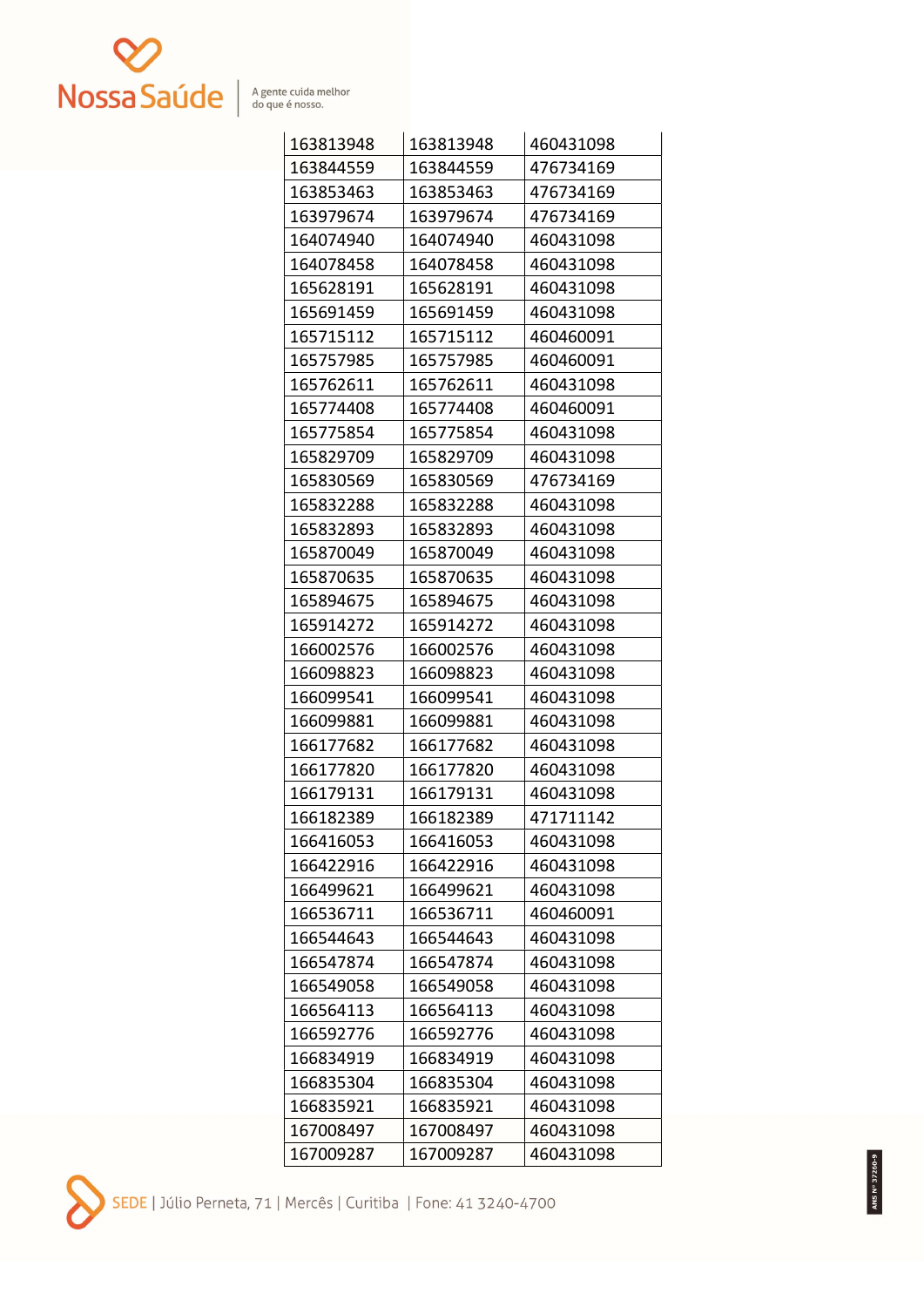

| 163813948 | 163813948 | 460431098 |
|-----------|-----------|-----------|
| 163844559 | 163844559 | 476734169 |
| 163853463 | 163853463 | 476734169 |
| 163979674 | 163979674 | 476734169 |
| 164074940 | 164074940 | 460431098 |
| 164078458 | 164078458 | 460431098 |
| 165628191 | 165628191 | 460431098 |
| 165691459 | 165691459 | 460431098 |
| 165715112 | 165715112 | 460460091 |
| 165757985 | 165757985 | 460460091 |
| 165762611 | 165762611 | 460431098 |
| 165774408 | 165774408 | 460460091 |
| 165775854 | 165775854 | 460431098 |
| 165829709 | 165829709 | 460431098 |
| 165830569 | 165830569 | 476734169 |
| 165832288 | 165832288 | 460431098 |
| 165832893 | 165832893 | 460431098 |
| 165870049 | 165870049 | 460431098 |
| 165870635 | 165870635 | 460431098 |
| 165894675 | 165894675 | 460431098 |
| 165914272 | 165914272 | 460431098 |
| 166002576 | 166002576 | 460431098 |
| 166098823 | 166098823 | 460431098 |
| 166099541 | 166099541 | 460431098 |
| 166099881 | 166099881 | 460431098 |
| 166177682 | 166177682 | 460431098 |
| 166177820 | 166177820 | 460431098 |
| 166179131 | 166179131 | 460431098 |
| 166182389 | 166182389 | 471711142 |
| 166416053 | 166416053 | 460431098 |
| 166422916 | 166422916 | 460431098 |
| 166499621 | 166499621 | 460431098 |
| 166536711 | 166536711 | 460460091 |
| 166544643 | 166544643 | 460431098 |
| 166547874 | 166547874 | 460431098 |
| 166549058 | 166549058 | 460431098 |
| 166564113 | 166564113 | 460431098 |
| 166592776 | 166592776 | 460431098 |
| 166834919 | 166834919 | 460431098 |
| 166835304 | 166835304 | 460431098 |
| 166835921 | 166835921 | 460431098 |
| 167008497 | 167008497 | 460431098 |
| 167009287 | 167009287 | 460431098 |

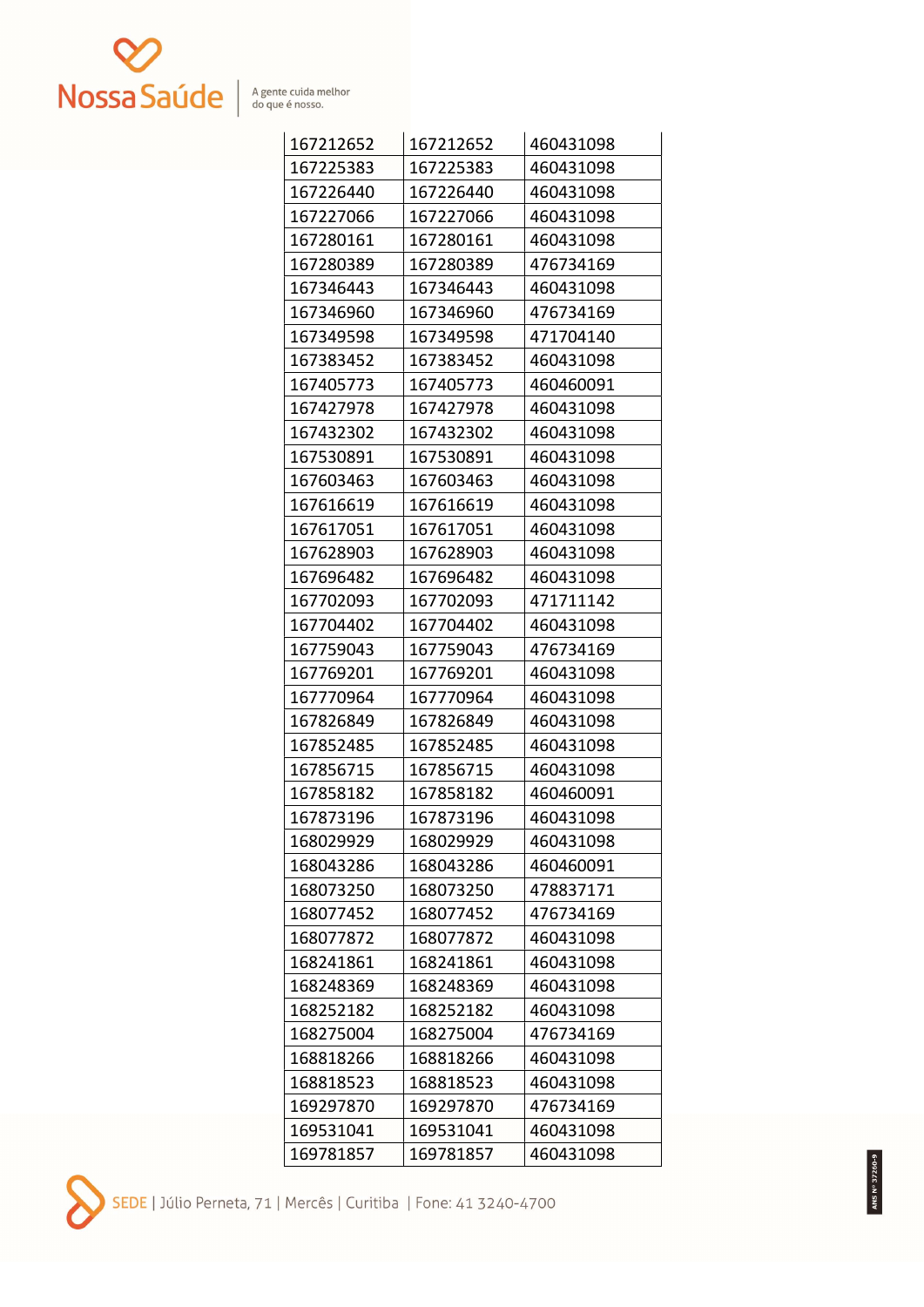

| 167212652 | 167212652 | 460431098 |
|-----------|-----------|-----------|
| 167225383 | 167225383 | 460431098 |
| 167226440 | 167226440 | 460431098 |
| 167227066 | 167227066 | 460431098 |
| 167280161 | 167280161 | 460431098 |
| 167280389 | 167280389 | 476734169 |
| 167346443 | 167346443 | 460431098 |
| 167346960 | 167346960 | 476734169 |
| 167349598 | 167349598 | 471704140 |
| 167383452 | 167383452 | 460431098 |
| 167405773 | 167405773 | 460460091 |
| 167427978 | 167427978 | 460431098 |
| 167432302 | 167432302 | 460431098 |
| 167530891 | 167530891 | 460431098 |
| 167603463 | 167603463 | 460431098 |
| 167616619 | 167616619 | 460431098 |
| 167617051 | 167617051 | 460431098 |
| 167628903 | 167628903 | 460431098 |
| 167696482 | 167696482 | 460431098 |
| 167702093 | 167702093 | 471711142 |
| 167704402 | 167704402 | 460431098 |
| 167759043 | 167759043 | 476734169 |
| 167769201 | 167769201 | 460431098 |
| 167770964 | 167770964 | 460431098 |
| 167826849 | 167826849 | 460431098 |
| 167852485 | 167852485 | 460431098 |
| 167856715 | 167856715 | 460431098 |
| 167858182 | 167858182 | 460460091 |
| 167873196 | 167873196 | 460431098 |
| 168029929 | 168029929 | 460431098 |
| 168043286 | 168043286 | 460460091 |
| 168073250 | 168073250 | 478837171 |
| 168077452 | 168077452 | 476734169 |
| 168077872 | 168077872 | 460431098 |
| 168241861 | 168241861 | 460431098 |
| 168248369 | 168248369 | 460431098 |
| 168252182 | 168252182 | 460431098 |
| 168275004 | 168275004 | 476734169 |
| 168818266 | 168818266 | 460431098 |
| 168818523 | 168818523 | 460431098 |
| 169297870 | 169297870 | 476734169 |
| 169531041 | 169531041 | 460431098 |
| 169781857 | 169781857 | 460431098 |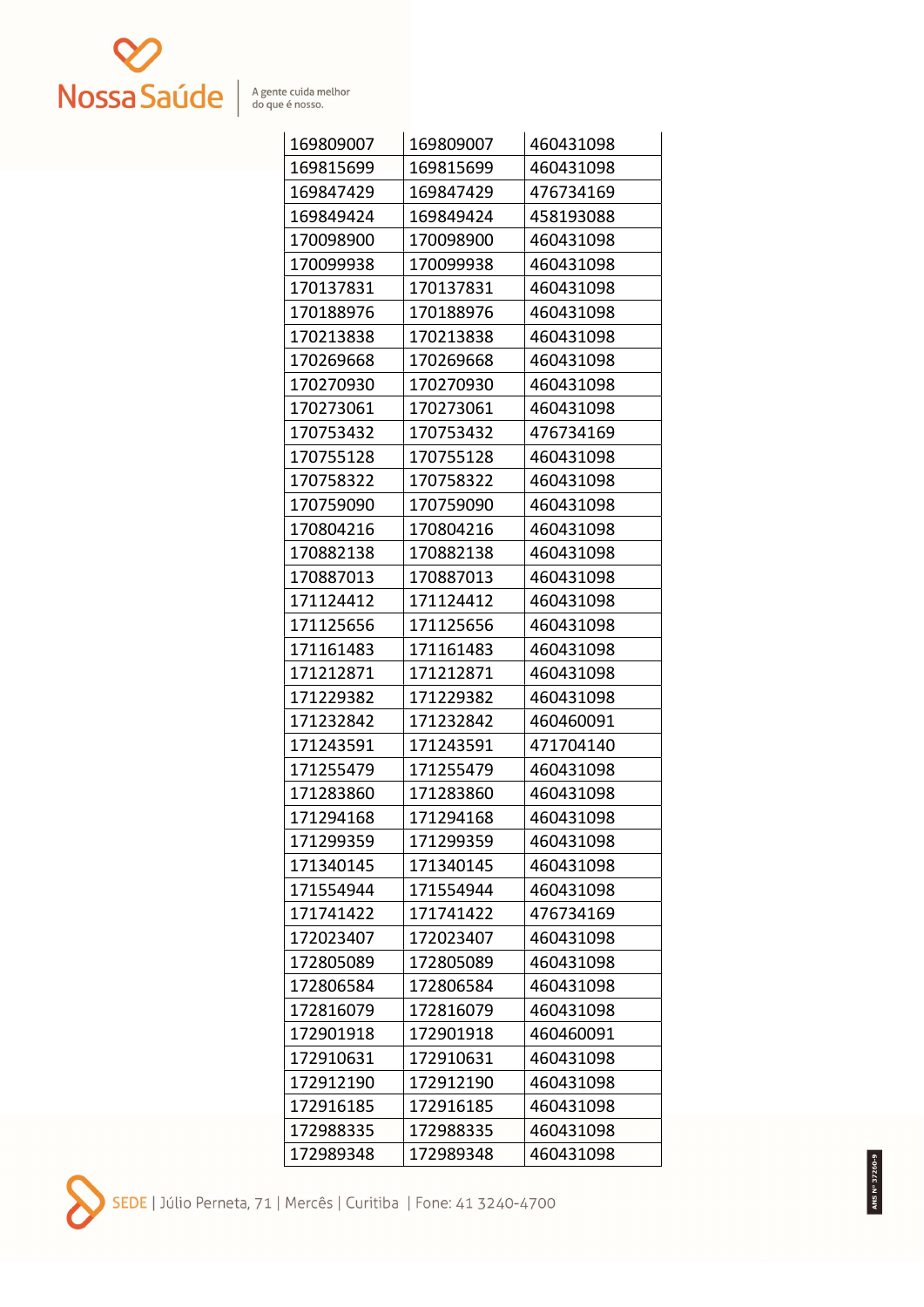

| 169809007 | 169809007 | 460431098 |
|-----------|-----------|-----------|
| 169815699 | 169815699 | 460431098 |
| 169847429 | 169847429 | 476734169 |
| 169849424 | 169849424 | 458193088 |
| 170098900 | 170098900 | 460431098 |
| 170099938 | 170099938 | 460431098 |
| 170137831 | 170137831 | 460431098 |
| 170188976 | 170188976 | 460431098 |
| 170213838 | 170213838 | 460431098 |
| 170269668 | 170269668 | 460431098 |
| 170270930 | 170270930 | 460431098 |
| 170273061 | 170273061 | 460431098 |
| 170753432 | 170753432 | 476734169 |
| 170755128 | 170755128 | 460431098 |
| 170758322 | 170758322 | 460431098 |
| 170759090 | 170759090 | 460431098 |
| 170804216 | 170804216 | 460431098 |
| 170882138 | 170882138 | 460431098 |
| 170887013 | 170887013 | 460431098 |
| 171124412 | 171124412 | 460431098 |
| 171125656 | 171125656 | 460431098 |
| 171161483 | 171161483 | 460431098 |
| 171212871 | 171212871 | 460431098 |
| 171229382 | 171229382 | 460431098 |
| 171232842 | 171232842 | 460460091 |
| 171243591 | 171243591 | 471704140 |
| 171255479 | 171255479 | 460431098 |
| 171283860 | 171283860 | 460431098 |
| 171294168 | 171294168 | 460431098 |
| 171299359 | 171299359 | 460431098 |
| 171340145 | 171340145 | 460431098 |
| 171554944 | 171554944 | 460431098 |
| 171741422 | 171741422 | 476734169 |
| 172023407 | 172023407 | 460431098 |
| 172805089 | 172805089 | 460431098 |
| 172806584 | 172806584 | 460431098 |
| 172816079 | 172816079 | 460431098 |
| 172901918 | 172901918 | 460460091 |
| 172910631 | 172910631 | 460431098 |
| 172912190 | 172912190 | 460431098 |
| 172916185 | 172916185 | 460431098 |
| 172988335 | 172988335 | 460431098 |
| 172989348 | 172989348 | 460431098 |

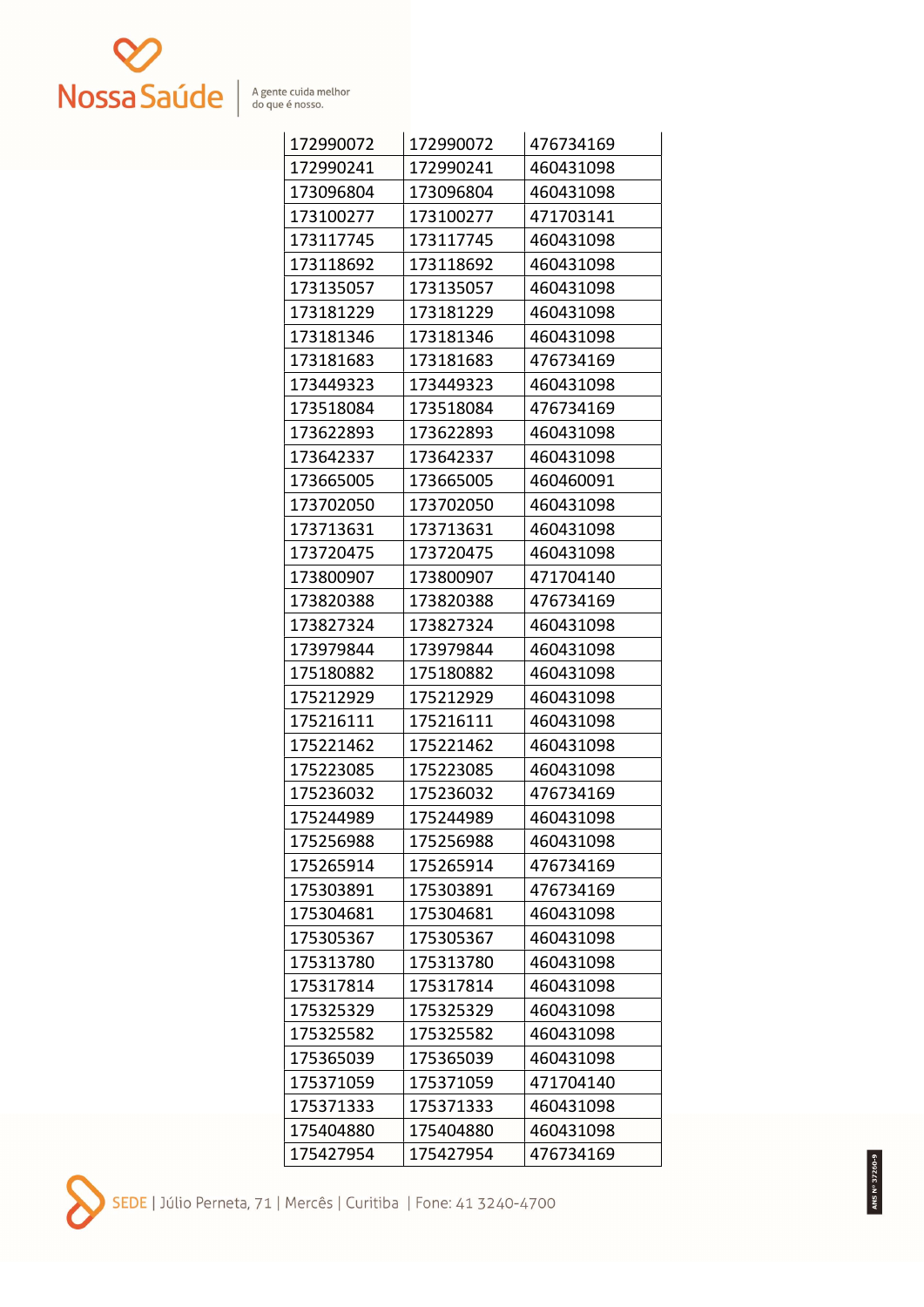

| 172990072 | 172990072 | 476734169 |
|-----------|-----------|-----------|
| 172990241 | 172990241 | 460431098 |
| 173096804 | 173096804 | 460431098 |
| 173100277 | 173100277 | 471703141 |
| 173117745 | 173117745 | 460431098 |
| 173118692 | 173118692 | 460431098 |
| 173135057 | 173135057 | 460431098 |
| 173181229 | 173181229 | 460431098 |
| 173181346 | 173181346 | 460431098 |
| 173181683 | 173181683 | 476734169 |
| 173449323 | 173449323 | 460431098 |
| 173518084 | 173518084 | 476734169 |
| 173622893 | 173622893 | 460431098 |
| 173642337 | 173642337 | 460431098 |
| 173665005 | 173665005 | 460460091 |
| 173702050 | 173702050 | 460431098 |
| 173713631 | 173713631 | 460431098 |
| 173720475 | 173720475 | 460431098 |
| 173800907 | 173800907 | 471704140 |
| 173820388 | 173820388 | 476734169 |
| 173827324 | 173827324 | 460431098 |
| 173979844 | 173979844 | 460431098 |
| 175180882 | 175180882 | 460431098 |
| 175212929 | 175212929 | 460431098 |
| 175216111 | 175216111 | 460431098 |
| 175221462 | 175221462 | 460431098 |
| 175223085 | 175223085 | 460431098 |
| 175236032 | 175236032 | 476734169 |
| 175244989 | 175244989 | 460431098 |
| 175256988 | 175256988 | 460431098 |
| 175265914 | 175265914 | 476734169 |
| 175303891 | 175303891 | 476734169 |
| 175304681 | 175304681 | 460431098 |
| 175305367 | 175305367 | 460431098 |
| 175313780 | 175313780 | 460431098 |
| 175317814 | 175317814 | 460431098 |
| 175325329 | 175325329 | 460431098 |
| 175325582 | 175325582 | 460431098 |
| 175365039 | 175365039 | 460431098 |
| 175371059 | 175371059 | 471704140 |
| 175371333 | 175371333 | 460431098 |
| 175404880 | 175404880 | 460431098 |
| 175427954 | 175427954 | 476734169 |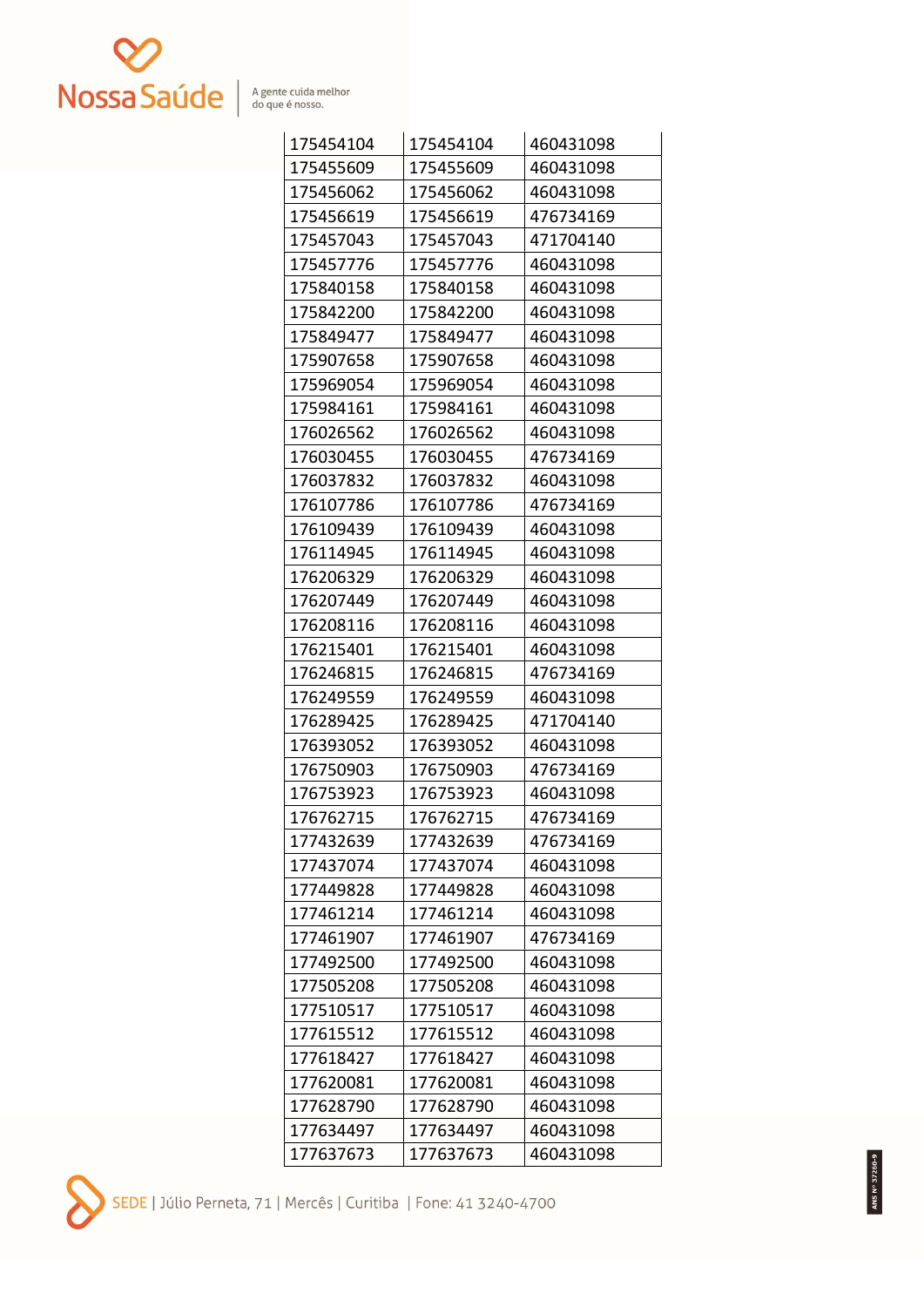

| 175454104 | 175454104 | 460431098 |
|-----------|-----------|-----------|
| 175455609 | 175455609 | 460431098 |
| 175456062 | 175456062 | 460431098 |
| 175456619 | 175456619 | 476734169 |
| 175457043 | 175457043 | 471704140 |
| 175457776 | 175457776 | 460431098 |
| 175840158 | 175840158 | 460431098 |
| 175842200 | 175842200 | 460431098 |
| 175849477 | 175849477 | 460431098 |
| 175907658 | 175907658 | 460431098 |
| 175969054 | 175969054 | 460431098 |
| 175984161 | 175984161 | 460431098 |
| 176026562 | 176026562 | 460431098 |
| 176030455 | 176030455 | 476734169 |
| 176037832 | 176037832 | 460431098 |
| 176107786 | 176107786 | 476734169 |
| 176109439 | 176109439 | 460431098 |
| 176114945 | 176114945 | 460431098 |
| 176206329 | 176206329 | 460431098 |
| 176207449 | 176207449 | 460431098 |
| 176208116 | 176208116 | 460431098 |
| 176215401 | 176215401 | 460431098 |
| 176246815 | 176246815 | 476734169 |
| 176249559 | 176249559 | 460431098 |
| 176289425 | 176289425 | 471704140 |
| 176393052 | 176393052 | 460431098 |
| 176750903 | 176750903 | 476734169 |
| 176753923 | 176753923 | 460431098 |
| 176762715 | 176762715 | 476734169 |
| 177432639 | 177432639 | 476734169 |
| 177437074 | 177437074 | 460431098 |
| 177449828 | 177449828 | 460431098 |
| 177461214 | 177461214 | 460431098 |
| 177461907 | 177461907 | 476734169 |
| 177492500 | 177492500 | 460431098 |
| 177505208 | 177505208 | 460431098 |
| 177510517 | 177510517 | 460431098 |
| 177615512 | 177615512 | 460431098 |
| 177618427 | 177618427 | 460431098 |
| 177620081 | 177620081 | 460431098 |
| 177628790 | 177628790 | 460431098 |
| 177634497 | 177634497 | 460431098 |
| 177637673 | 177637673 | 460431098 |

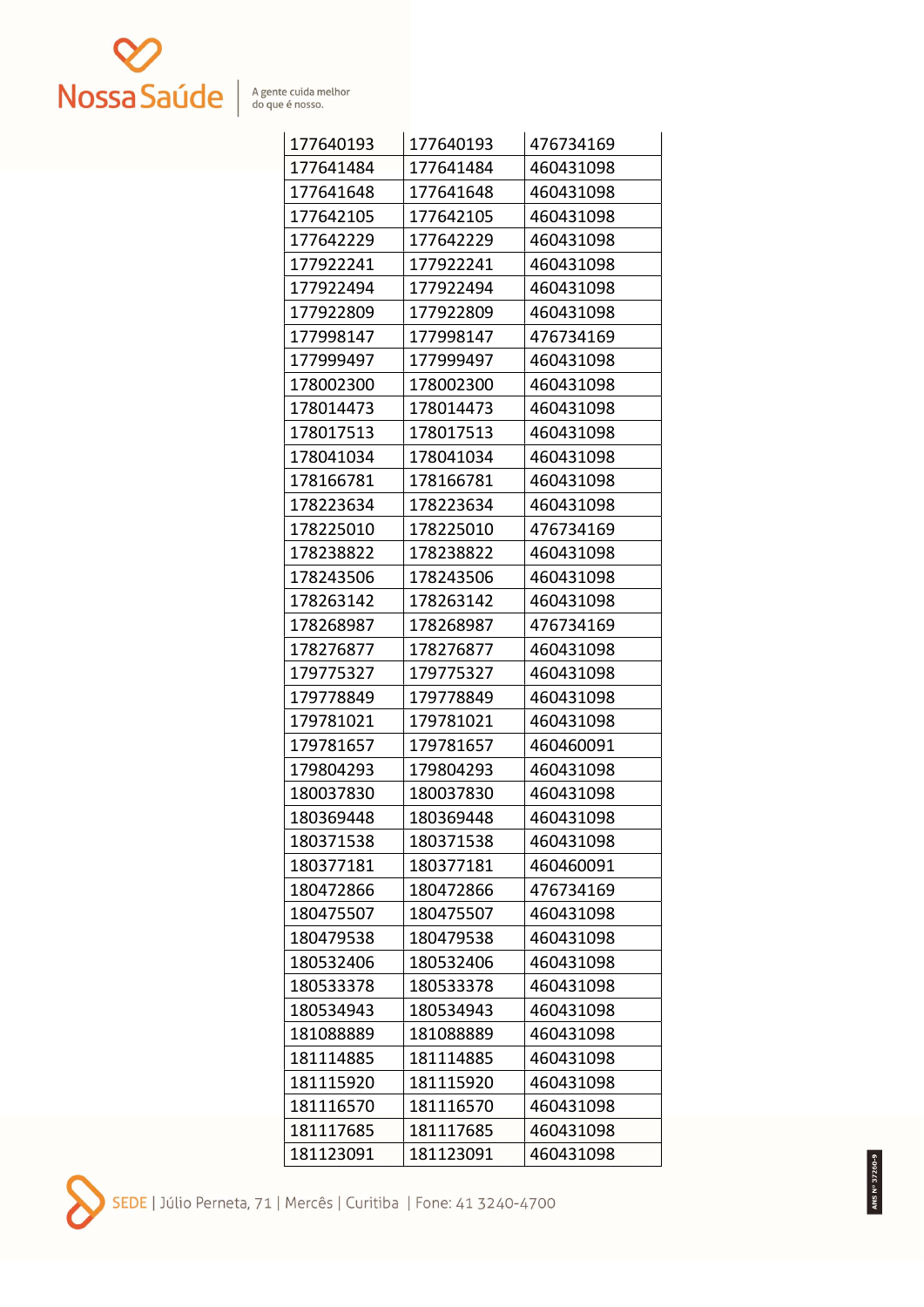

| 177640193 | 177640193 | 476734169 |
|-----------|-----------|-----------|
| 177641484 | 177641484 | 460431098 |
| 177641648 | 177641648 | 460431098 |
| 177642105 | 177642105 | 460431098 |
| 177642229 | 177642229 | 460431098 |
| 177922241 | 177922241 | 460431098 |
| 177922494 | 177922494 | 460431098 |
| 177922809 | 177922809 | 460431098 |
| 177998147 | 177998147 | 476734169 |
| 177999497 | 177999497 | 460431098 |
| 178002300 | 178002300 | 460431098 |
| 178014473 | 178014473 | 460431098 |
| 178017513 | 178017513 | 460431098 |
| 178041034 | 178041034 | 460431098 |
| 178166781 | 178166781 | 460431098 |
| 178223634 | 178223634 | 460431098 |
| 178225010 | 178225010 | 476734169 |
| 178238822 | 178238822 | 460431098 |
| 178243506 | 178243506 | 460431098 |
| 178263142 | 178263142 | 460431098 |
| 178268987 | 178268987 | 476734169 |
| 178276877 | 178276877 | 460431098 |
| 179775327 | 179775327 | 460431098 |
| 179778849 | 179778849 | 460431098 |
| 179781021 | 179781021 | 460431098 |
| 179781657 | 179781657 | 460460091 |
| 179804293 | 179804293 | 460431098 |
| 180037830 | 180037830 | 460431098 |
| 180369448 | 180369448 | 460431098 |
| 180371538 | 180371538 | 460431098 |
| 180377181 | 180377181 | 460460091 |
| 180472866 | 180472866 | 476734169 |
| 180475507 | 180475507 | 460431098 |
| 180479538 | 180479538 | 460431098 |
| 180532406 | 180532406 | 460431098 |
| 180533378 | 180533378 | 460431098 |
| 180534943 | 180534943 | 460431098 |
| 181088889 | 181088889 | 460431098 |
| 181114885 | 181114885 | 460431098 |
| 181115920 | 181115920 | 460431098 |
| 181116570 | 181116570 | 460431098 |
| 181117685 | 181117685 | 460431098 |
| 181123091 | 181123091 | 460431098 |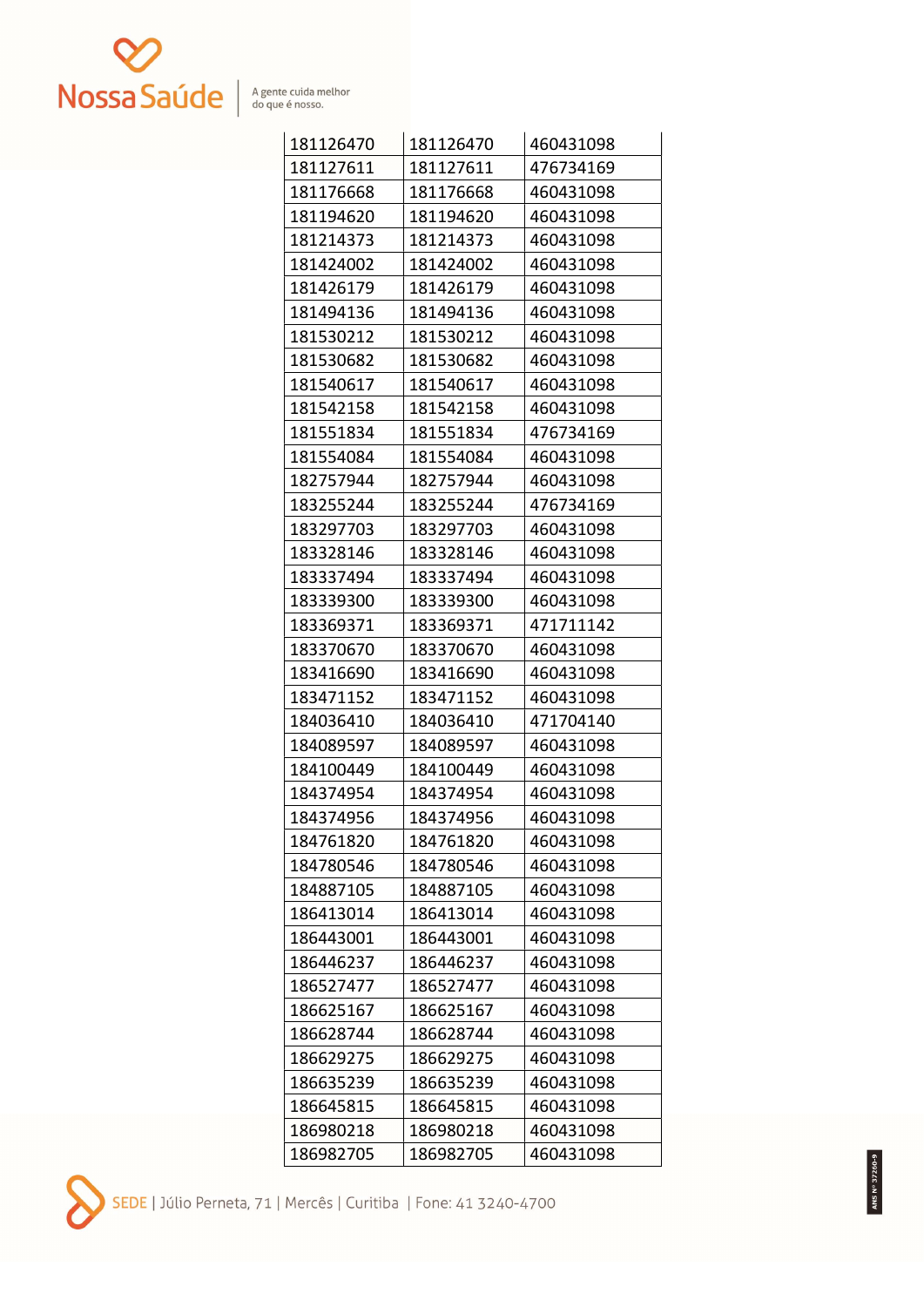

| 181126470 | 181126470 | 460431098 |
|-----------|-----------|-----------|
| 181127611 | 181127611 | 476734169 |
| 181176668 | 181176668 | 460431098 |
| 181194620 | 181194620 | 460431098 |
| 181214373 | 181214373 | 460431098 |
| 181424002 | 181424002 | 460431098 |
| 181426179 | 181426179 | 460431098 |
| 181494136 | 181494136 | 460431098 |
| 181530212 | 181530212 | 460431098 |
| 181530682 | 181530682 | 460431098 |
| 181540617 | 181540617 | 460431098 |
| 181542158 | 181542158 | 460431098 |
| 181551834 | 181551834 | 476734169 |
| 181554084 | 181554084 | 460431098 |
| 182757944 | 182757944 | 460431098 |
| 183255244 | 183255244 | 476734169 |
| 183297703 | 183297703 | 460431098 |
| 183328146 | 183328146 | 460431098 |
| 183337494 | 183337494 | 460431098 |
| 183339300 | 183339300 | 460431098 |
| 183369371 | 183369371 | 471711142 |
| 183370670 | 183370670 | 460431098 |
| 183416690 | 183416690 | 460431098 |
| 183471152 | 183471152 | 460431098 |
| 184036410 | 184036410 | 471704140 |
| 184089597 | 184089597 | 460431098 |
| 184100449 | 184100449 | 460431098 |
| 184374954 | 184374954 | 460431098 |
| 184374956 | 184374956 | 460431098 |
| 184761820 | 184761820 | 460431098 |
| 184780546 | 184780546 | 460431098 |
| 184887105 | 184887105 | 460431098 |
| 186413014 | 186413014 | 460431098 |
| 186443001 | 186443001 | 460431098 |
| 186446237 | 186446237 | 460431098 |
| 186527477 | 186527477 | 460431098 |
| 186625167 | 186625167 | 460431098 |
| 186628744 | 186628744 | 460431098 |
| 186629275 | 186629275 | 460431098 |
| 186635239 | 186635239 | 460431098 |
| 186645815 | 186645815 | 460431098 |
| 186980218 | 186980218 | 460431098 |
| 186982705 | 186982705 | 460431098 |

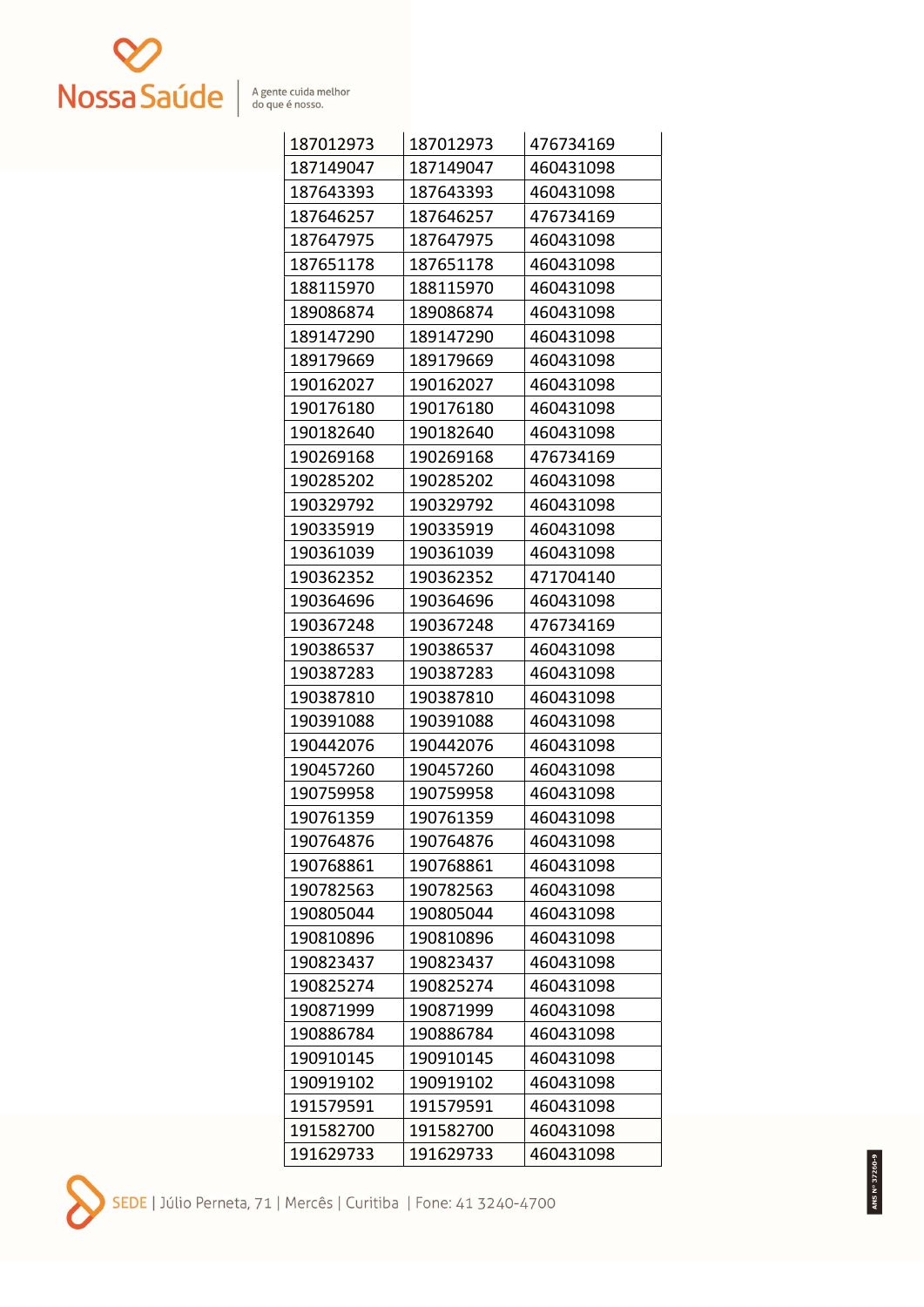

| 187012973 | 187012973 | 476734169 |
|-----------|-----------|-----------|
| 187149047 | 187149047 | 460431098 |
| 187643393 | 187643393 | 460431098 |
| 187646257 | 187646257 | 476734169 |
| 187647975 | 187647975 | 460431098 |
| 187651178 | 187651178 | 460431098 |
| 188115970 | 188115970 | 460431098 |
| 189086874 | 189086874 | 460431098 |
| 189147290 | 189147290 | 460431098 |
| 189179669 | 189179669 | 460431098 |
| 190162027 | 190162027 | 460431098 |
| 190176180 | 190176180 | 460431098 |
| 190182640 | 190182640 | 460431098 |
| 190269168 | 190269168 | 476734169 |
| 190285202 | 190285202 | 460431098 |
| 190329792 | 190329792 | 460431098 |
| 190335919 | 190335919 | 460431098 |
| 190361039 | 190361039 | 460431098 |
| 190362352 | 190362352 | 471704140 |
| 190364696 | 190364696 | 460431098 |
| 190367248 | 190367248 | 476734169 |
| 190386537 | 190386537 | 460431098 |
| 190387283 | 190387283 | 460431098 |
| 190387810 | 190387810 | 460431098 |
| 190391088 | 190391088 | 460431098 |
| 190442076 | 190442076 | 460431098 |
| 190457260 | 190457260 | 460431098 |
| 190759958 | 190759958 | 460431098 |
| 190761359 | 190761359 | 460431098 |
| 190764876 | 190764876 | 460431098 |
| 190768861 | 190768861 | 460431098 |
| 190782563 | 190782563 | 460431098 |
| 190805044 | 190805044 | 460431098 |
| 190810896 | 190810896 | 460431098 |
| 190823437 | 190823437 | 460431098 |
| 190825274 | 190825274 | 460431098 |
| 190871999 | 190871999 | 460431098 |
| 190886784 | 190886784 | 460431098 |
| 190910145 | 190910145 | 460431098 |
| 190919102 | 190919102 | 460431098 |
| 191579591 | 191579591 | 460431098 |
| 191582700 | 191582700 | 460431098 |
| 191629733 | 191629733 | 460431098 |

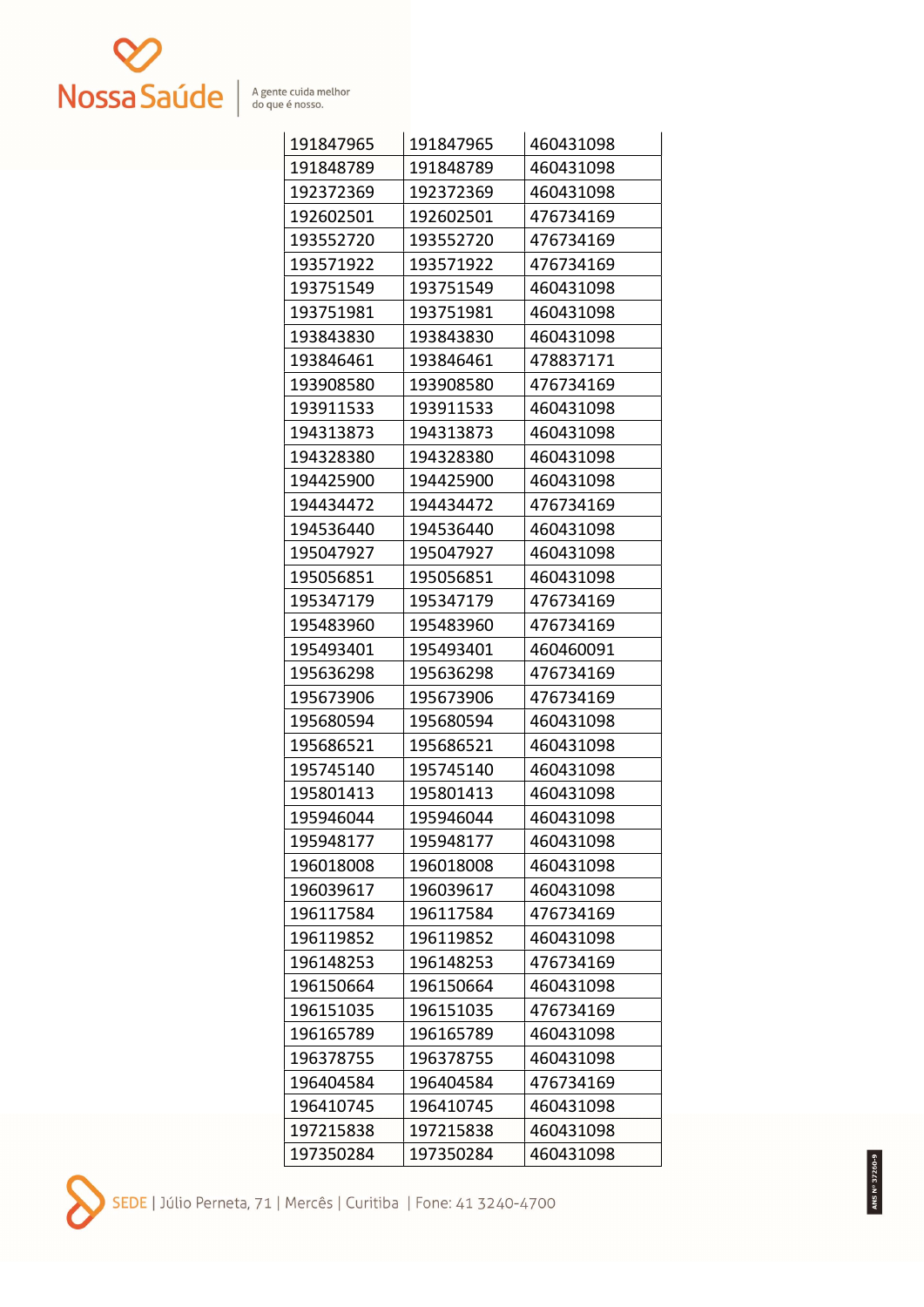

| 191847965 | 191847965 | 460431098 |
|-----------|-----------|-----------|
| 191848789 | 191848789 | 460431098 |
| 192372369 | 192372369 | 460431098 |
| 192602501 | 192602501 | 476734169 |
| 193552720 | 193552720 | 476734169 |
| 193571922 | 193571922 | 476734169 |
| 193751549 | 193751549 | 460431098 |
| 193751981 | 193751981 | 460431098 |
| 193843830 | 193843830 | 460431098 |
| 193846461 | 193846461 | 478837171 |
| 193908580 | 193908580 | 476734169 |
| 193911533 | 193911533 | 460431098 |
| 194313873 | 194313873 | 460431098 |
| 194328380 | 194328380 | 460431098 |
| 194425900 | 194425900 | 460431098 |
| 194434472 | 194434472 | 476734169 |
| 194536440 | 194536440 | 460431098 |
| 195047927 | 195047927 | 460431098 |
| 195056851 | 195056851 | 460431098 |
| 195347179 | 195347179 | 476734169 |
| 195483960 | 195483960 | 476734169 |
| 195493401 | 195493401 | 460460091 |
| 195636298 | 195636298 | 476734169 |
| 195673906 | 195673906 | 476734169 |
| 195680594 | 195680594 | 460431098 |
| 195686521 | 195686521 | 460431098 |
| 195745140 | 195745140 | 460431098 |
| 195801413 | 195801413 | 460431098 |
| 195946044 | 195946044 | 460431098 |
| 195948177 | 195948177 | 460431098 |
| 196018008 | 196018008 | 460431098 |
| 196039617 | 196039617 | 460431098 |
| 196117584 | 196117584 | 476734169 |
| 196119852 | 196119852 | 460431098 |
| 196148253 | 196148253 | 476734169 |
| 196150664 | 196150664 | 460431098 |
| 196151035 | 196151035 | 476734169 |
| 196165789 | 196165789 | 460431098 |
| 196378755 | 196378755 | 460431098 |
| 196404584 | 196404584 | 476734169 |
| 196410745 | 196410745 | 460431098 |
| 197215838 | 197215838 | 460431098 |
| 197350284 | 197350284 | 460431098 |

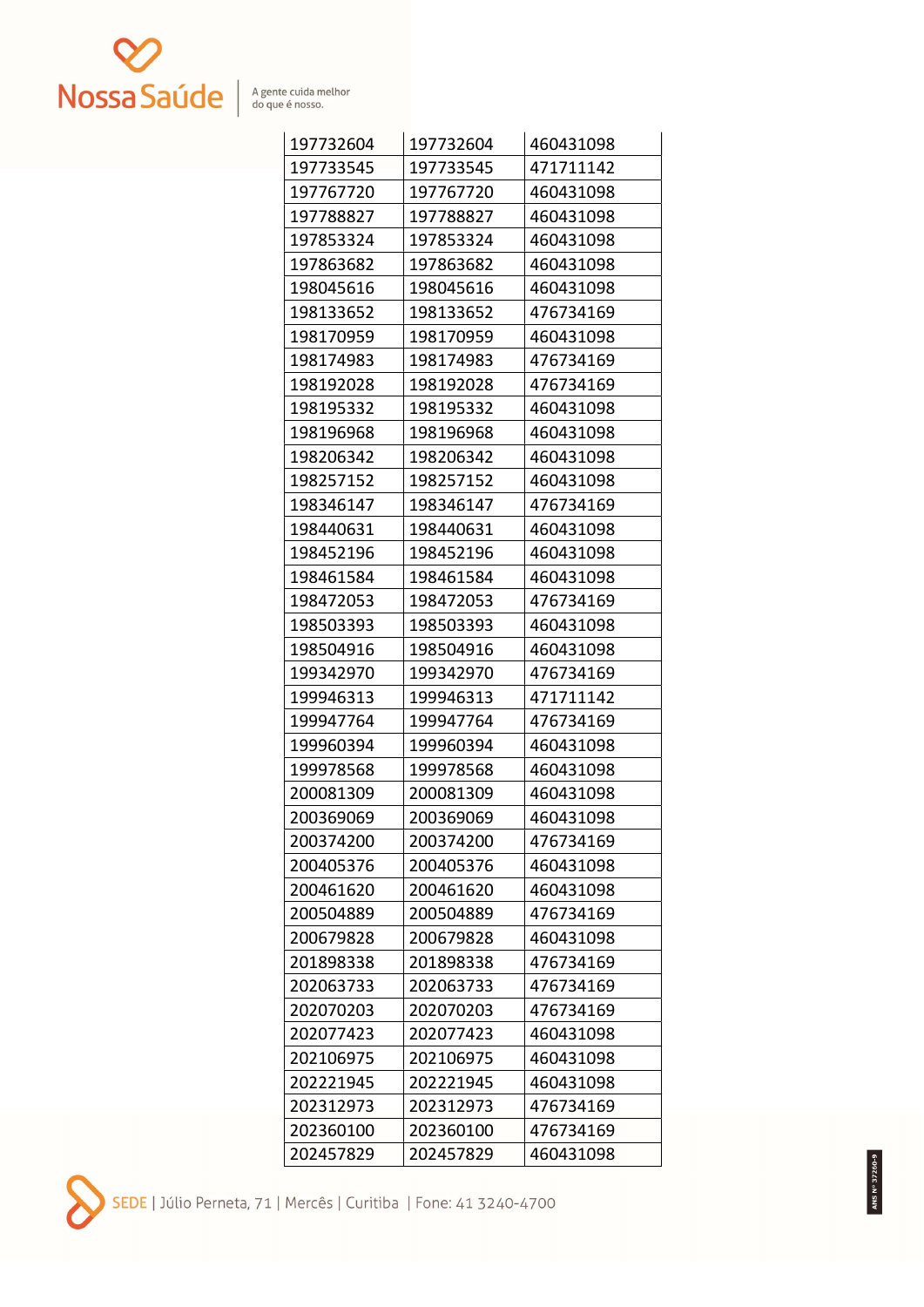

| 197732604 | 197732604 | 460431098 |
|-----------|-----------|-----------|
| 197733545 | 197733545 | 471711142 |
| 197767720 | 197767720 | 460431098 |
| 197788827 | 197788827 | 460431098 |
| 197853324 | 197853324 | 460431098 |
| 197863682 | 197863682 | 460431098 |
| 198045616 | 198045616 | 460431098 |
| 198133652 | 198133652 | 476734169 |
| 198170959 | 198170959 | 460431098 |
| 198174983 | 198174983 | 476734169 |
| 198192028 | 198192028 | 476734169 |
| 198195332 | 198195332 | 460431098 |
| 198196968 | 198196968 | 460431098 |
| 198206342 | 198206342 | 460431098 |
| 198257152 | 198257152 | 460431098 |
| 198346147 | 198346147 | 476734169 |
| 198440631 | 198440631 | 460431098 |
| 198452196 | 198452196 | 460431098 |
| 198461584 | 198461584 | 460431098 |
| 198472053 | 198472053 | 476734169 |
| 198503393 | 198503393 | 460431098 |
| 198504916 | 198504916 | 460431098 |
| 199342970 | 199342970 | 476734169 |
| 199946313 | 199946313 | 471711142 |
| 199947764 | 199947764 | 476734169 |
| 199960394 | 199960394 | 460431098 |
| 199978568 | 199978568 | 460431098 |
| 200081309 | 200081309 | 460431098 |
| 200369069 | 200369069 | 460431098 |
| 200374200 | 200374200 | 476734169 |
| 200405376 | 200405376 | 460431098 |
| 200461620 | 200461620 | 460431098 |
| 200504889 | 200504889 | 476734169 |
| 200679828 | 200679828 | 460431098 |
| 201898338 | 201898338 | 476734169 |
| 202063733 | 202063733 | 476734169 |
| 202070203 | 202070203 | 476734169 |
| 202077423 | 202077423 | 460431098 |
| 202106975 | 202106975 | 460431098 |
| 202221945 | 202221945 | 460431098 |
| 202312973 | 202312973 | 476734169 |
| 202360100 | 202360100 | 476734169 |
| 202457829 | 202457829 | 460431098 |

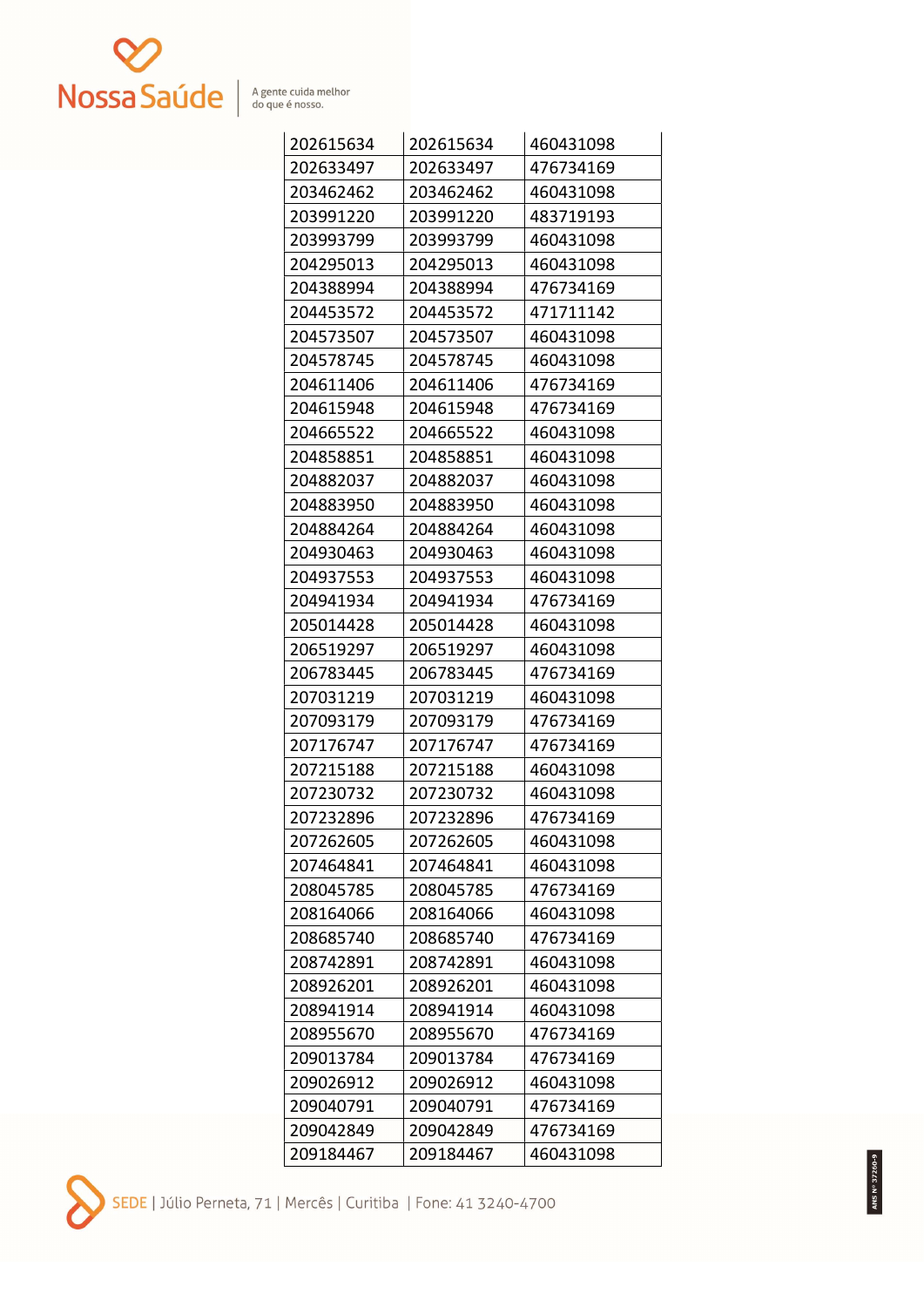

| 202615634 | 202615634 | 460431098 |
|-----------|-----------|-----------|
| 202633497 | 202633497 | 476734169 |
| 203462462 | 203462462 | 460431098 |
| 203991220 | 203991220 | 483719193 |
| 203993799 | 203993799 | 460431098 |
| 204295013 | 204295013 | 460431098 |
| 204388994 | 204388994 | 476734169 |
| 204453572 | 204453572 | 471711142 |
| 204573507 | 204573507 | 460431098 |
| 204578745 | 204578745 | 460431098 |
| 204611406 | 204611406 | 476734169 |
| 204615948 | 204615948 | 476734169 |
| 204665522 | 204665522 | 460431098 |
| 204858851 | 204858851 | 460431098 |
| 204882037 | 204882037 | 460431098 |
| 204883950 | 204883950 | 460431098 |
| 204884264 | 204884264 | 460431098 |
| 204930463 | 204930463 | 460431098 |
| 204937553 | 204937553 | 460431098 |
| 204941934 | 204941934 | 476734169 |
| 205014428 | 205014428 | 460431098 |
| 206519297 | 206519297 | 460431098 |
| 206783445 | 206783445 | 476734169 |
| 207031219 | 207031219 | 460431098 |
| 207093179 | 207093179 | 476734169 |
| 207176747 | 207176747 | 476734169 |
| 207215188 | 207215188 | 460431098 |
| 207230732 | 207230732 | 460431098 |
| 207232896 | 207232896 | 476734169 |
| 207262605 | 207262605 | 460431098 |
| 207464841 | 207464841 | 460431098 |
| 208045785 | 208045785 | 476734169 |
| 208164066 | 208164066 | 460431098 |
| 208685740 | 208685740 | 476734169 |
| 208742891 | 208742891 | 460431098 |
| 208926201 | 208926201 | 460431098 |
| 208941914 | 208941914 | 460431098 |
| 208955670 | 208955670 | 476734169 |
| 209013784 | 209013784 | 476734169 |
| 209026912 | 209026912 | 460431098 |
| 209040791 | 209040791 | 476734169 |
| 209042849 | 209042849 | 476734169 |
| 209184467 | 209184467 | 460431098 |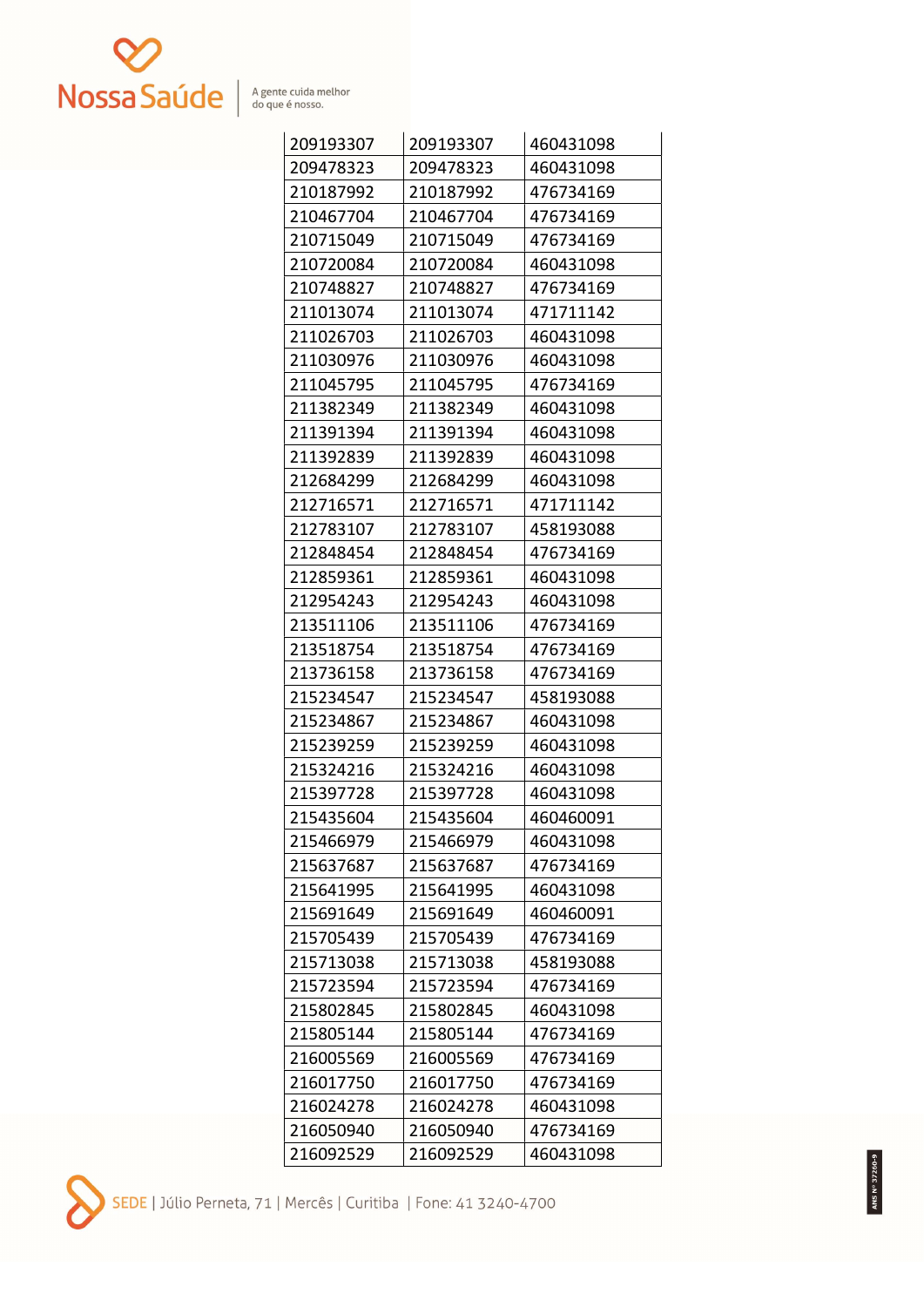

| 209193307 | 209193307 | 460431098 |
|-----------|-----------|-----------|
| 209478323 | 209478323 | 460431098 |
| 210187992 | 210187992 | 476734169 |
| 210467704 | 210467704 | 476734169 |
| 210715049 | 210715049 | 476734169 |
| 210720084 | 210720084 | 460431098 |
| 210748827 | 210748827 | 476734169 |
| 211013074 | 211013074 | 471711142 |
| 211026703 | 211026703 | 460431098 |
| 211030976 | 211030976 | 460431098 |
| 211045795 | 211045795 | 476734169 |
| 211382349 | 211382349 | 460431098 |
| 211391394 | 211391394 | 460431098 |
| 211392839 | 211392839 | 460431098 |
| 212684299 | 212684299 | 460431098 |
| 212716571 | 212716571 | 471711142 |
| 212783107 | 212783107 | 458193088 |
| 212848454 | 212848454 | 476734169 |
| 212859361 | 212859361 | 460431098 |
| 212954243 | 212954243 | 460431098 |
| 213511106 | 213511106 | 476734169 |
| 213518754 | 213518754 | 476734169 |
| 213736158 | 213736158 | 476734169 |
| 215234547 | 215234547 | 458193088 |
| 215234867 | 215234867 | 460431098 |
| 215239259 | 215239259 | 460431098 |
| 215324216 | 215324216 | 460431098 |
| 215397728 | 215397728 | 460431098 |
| 215435604 | 215435604 | 460460091 |
| 215466979 | 215466979 | 460431098 |
| 215637687 | 215637687 | 476734169 |
| 215641995 | 215641995 | 460431098 |
| 215691649 | 215691649 | 460460091 |
| 215705439 | 215705439 | 476734169 |
| 215713038 | 215713038 | 458193088 |
| 215723594 | 215723594 | 476734169 |
| 215802845 | 215802845 | 460431098 |
| 215805144 | 215805144 | 476734169 |
| 216005569 | 216005569 | 476734169 |
| 216017750 | 216017750 | 476734169 |
| 216024278 | 216024278 | 460431098 |
| 216050940 | 216050940 | 476734169 |
| 216092529 | 216092529 | 460431098 |

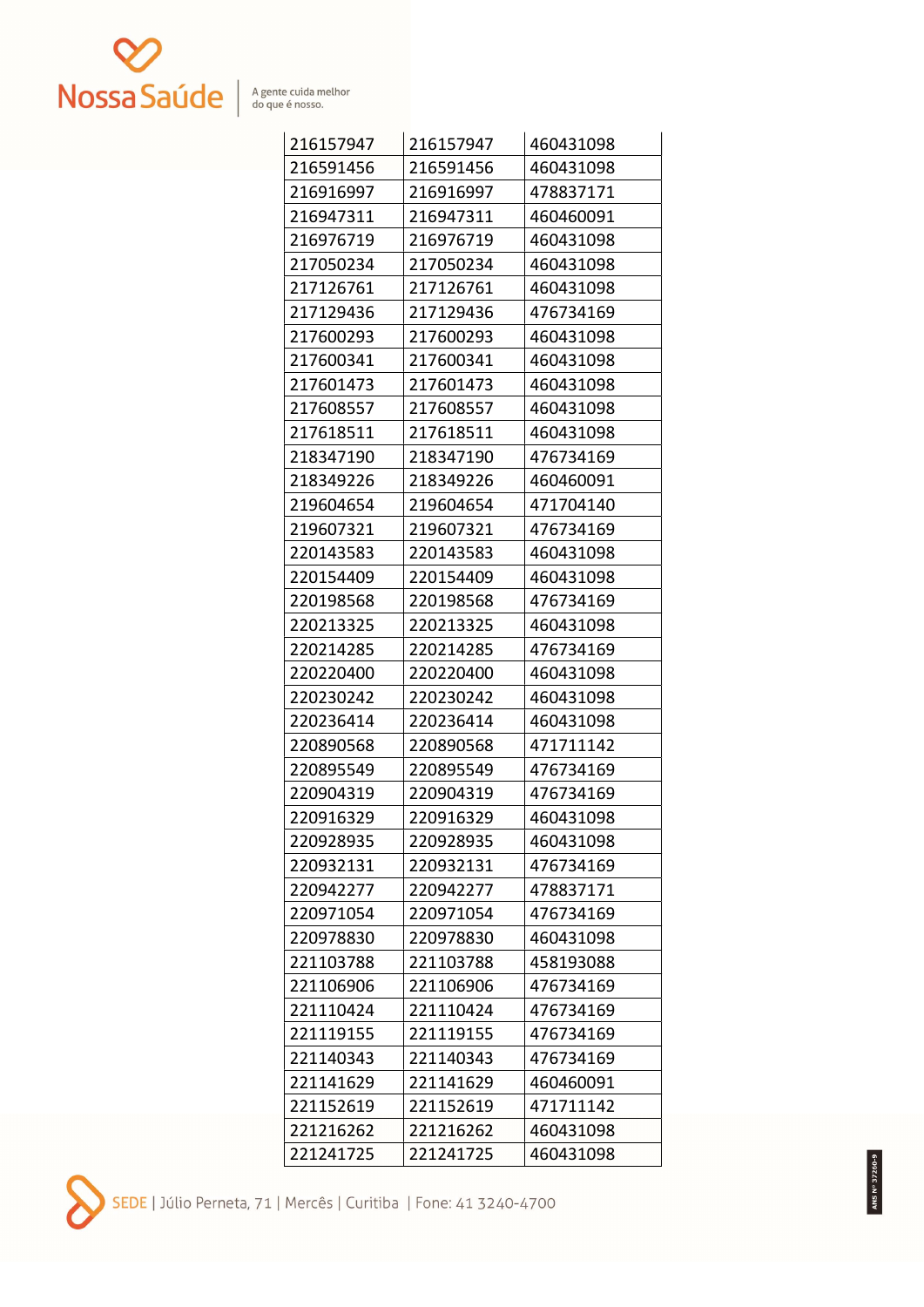

| 216157947 | 216157947 | 460431098 |
|-----------|-----------|-----------|
| 216591456 | 216591456 | 460431098 |
| 216916997 | 216916997 | 478837171 |
| 216947311 | 216947311 | 460460091 |
| 216976719 | 216976719 | 460431098 |
| 217050234 | 217050234 | 460431098 |
| 217126761 | 217126761 | 460431098 |
| 217129436 | 217129436 | 476734169 |
| 217600293 | 217600293 | 460431098 |
| 217600341 | 217600341 | 460431098 |
| 217601473 | 217601473 | 460431098 |
| 217608557 | 217608557 | 460431098 |
| 217618511 | 217618511 | 460431098 |
| 218347190 | 218347190 | 476734169 |
| 218349226 | 218349226 | 460460091 |
| 219604654 | 219604654 | 471704140 |
| 219607321 | 219607321 | 476734169 |
| 220143583 | 220143583 | 460431098 |
| 220154409 | 220154409 | 460431098 |
| 220198568 | 220198568 | 476734169 |
| 220213325 | 220213325 | 460431098 |
| 220214285 | 220214285 | 476734169 |
| 220220400 | 220220400 | 460431098 |
| 220230242 | 220230242 | 460431098 |
| 220236414 | 220236414 | 460431098 |
| 220890568 | 220890568 | 471711142 |
| 220895549 | 220895549 | 476734169 |
| 220904319 | 220904319 | 476734169 |
| 220916329 | 220916329 | 460431098 |
| 220928935 | 220928935 | 460431098 |
| 220932131 | 220932131 | 476734169 |
| 220942277 | 220942277 | 478837171 |
| 220971054 | 220971054 | 476734169 |
| 220978830 | 220978830 | 460431098 |
| 221103788 | 221103788 | 458193088 |
| 221106906 | 221106906 | 476734169 |
| 221110424 | 221110424 | 476734169 |
| 221119155 | 221119155 | 476734169 |
| 221140343 | 221140343 | 476734169 |
| 221141629 | 221141629 | 460460091 |
| 221152619 | 221152619 | 471711142 |
| 221216262 | 221216262 | 460431098 |
| 221241725 | 221241725 | 460431098 |

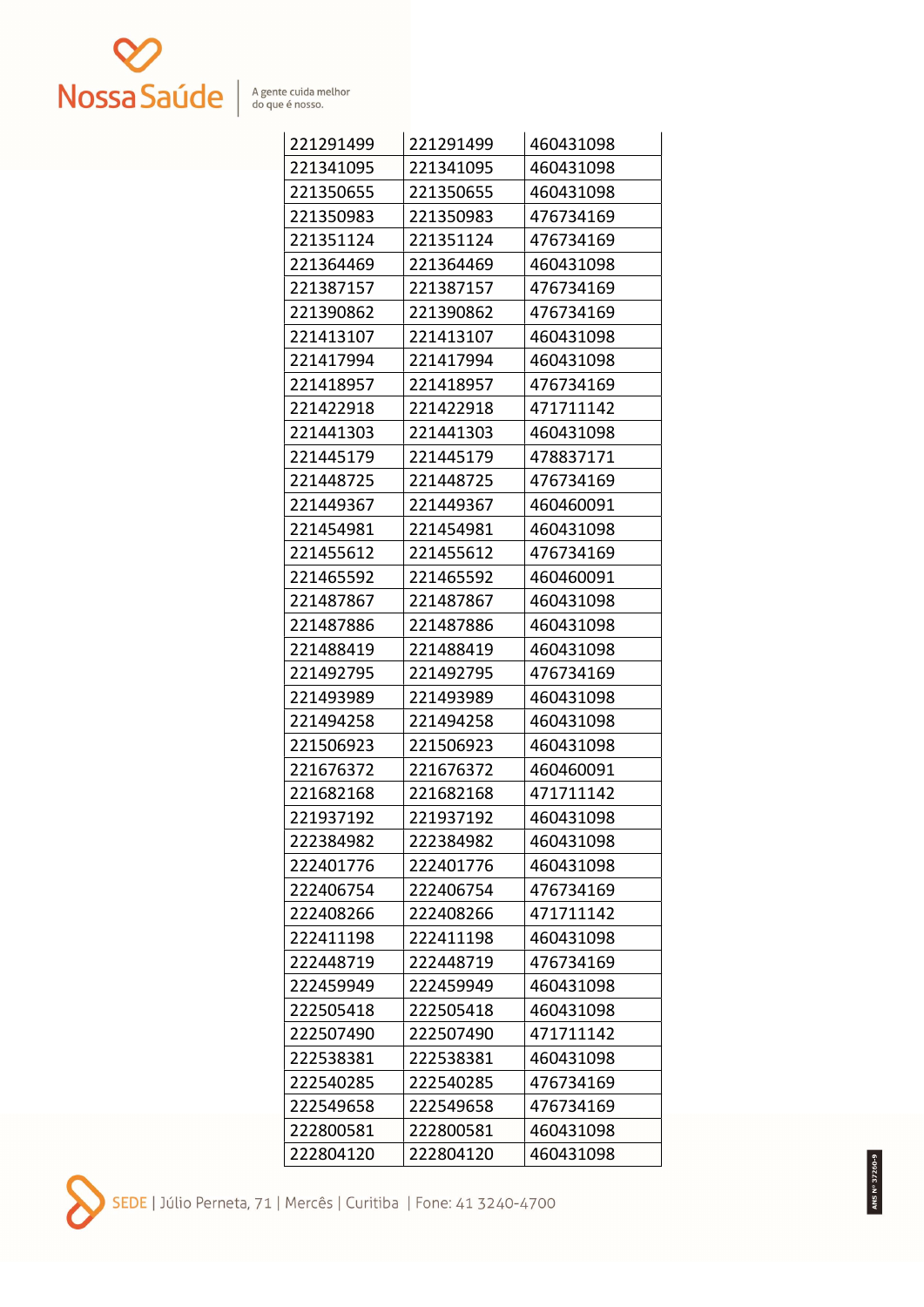

| 221291499 | 221291499 | 460431098 |
|-----------|-----------|-----------|
| 221341095 | 221341095 | 460431098 |
| 221350655 | 221350655 | 460431098 |
| 221350983 | 221350983 | 476734169 |
| 221351124 | 221351124 | 476734169 |
| 221364469 | 221364469 | 460431098 |
| 221387157 | 221387157 | 476734169 |
| 221390862 | 221390862 | 476734169 |
| 221413107 | 221413107 | 460431098 |
| 221417994 | 221417994 | 460431098 |
| 221418957 | 221418957 | 476734169 |
| 221422918 | 221422918 | 471711142 |
| 221441303 | 221441303 | 460431098 |
| 221445179 | 221445179 | 478837171 |
| 221448725 | 221448725 | 476734169 |
| 221449367 | 221449367 | 460460091 |
| 221454981 | 221454981 | 460431098 |
| 221455612 | 221455612 | 476734169 |
| 221465592 | 221465592 | 460460091 |
| 221487867 | 221487867 | 460431098 |
| 221487886 | 221487886 | 460431098 |
| 221488419 | 221488419 | 460431098 |
| 221492795 | 221492795 | 476734169 |
| 221493989 | 221493989 | 460431098 |
| 221494258 | 221494258 | 460431098 |
| 221506923 | 221506923 | 460431098 |
| 221676372 | 221676372 | 460460091 |
| 221682168 | 221682168 | 471711142 |
| 221937192 | 221937192 | 460431098 |
| 222384982 | 222384982 | 460431098 |
| 222401776 | 222401776 | 460431098 |
| 222406754 | 222406754 | 476734169 |
| 222408266 | 222408266 | 471711142 |
| 222411198 | 222411198 | 460431098 |
| 222448719 | 222448719 | 476734169 |
| 222459949 | 222459949 | 460431098 |
| 222505418 | 222505418 | 460431098 |
| 222507490 | 222507490 | 471711142 |
| 222538381 | 222538381 | 460431098 |
| 222540285 | 222540285 | 476734169 |
| 222549658 | 222549658 | 476734169 |
| 222800581 | 222800581 | 460431098 |
| 222804120 | 222804120 | 460431098 |

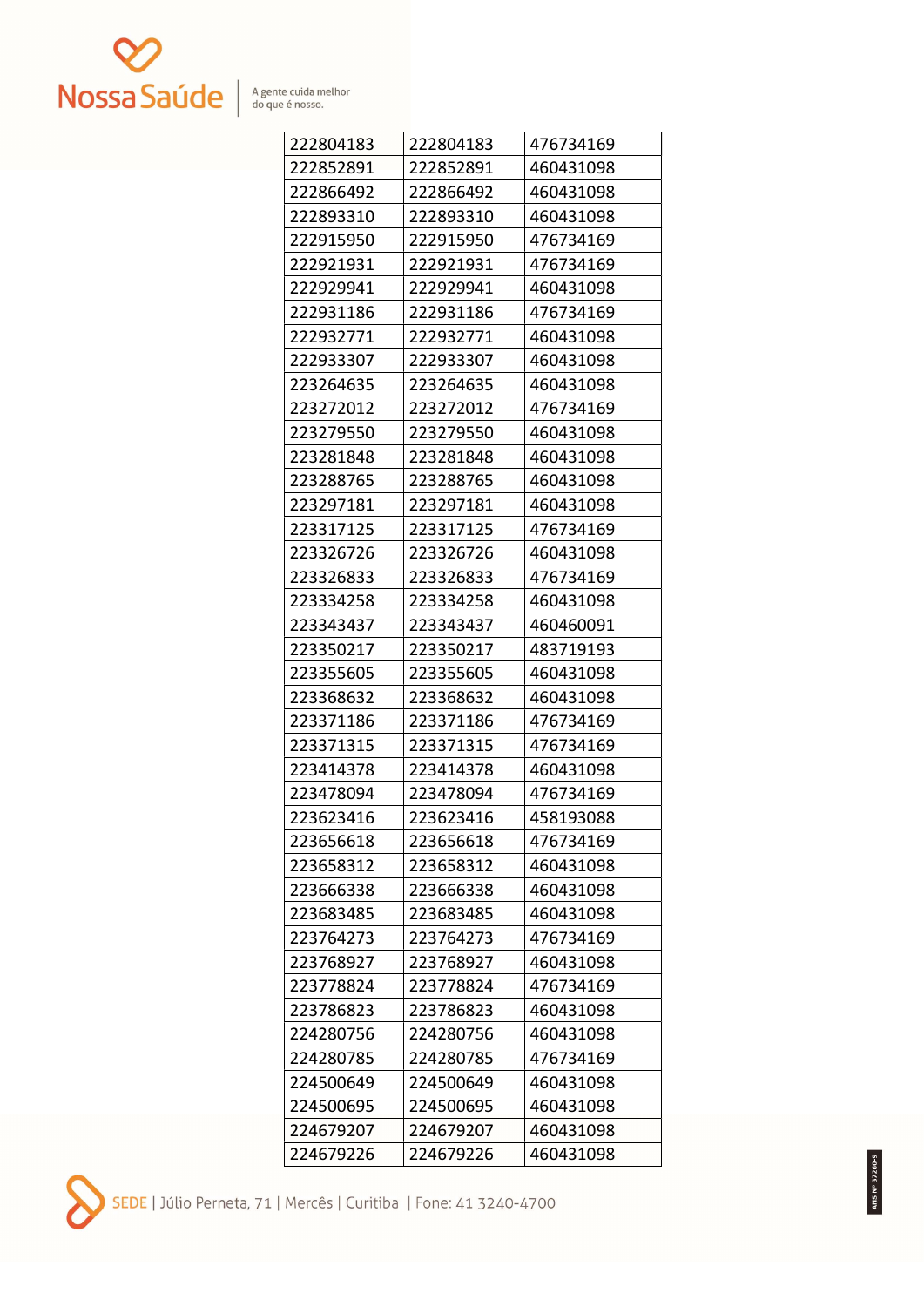

| 222804183 | 222804183 | 476734169 |
|-----------|-----------|-----------|
| 222852891 | 222852891 | 460431098 |
| 222866492 | 222866492 | 460431098 |
| 222893310 | 222893310 | 460431098 |
| 222915950 | 222915950 | 476734169 |
| 222921931 | 222921931 | 476734169 |
| 222929941 | 222929941 | 460431098 |
| 222931186 | 222931186 | 476734169 |
| 222932771 | 222932771 | 460431098 |
| 222933307 | 222933307 | 460431098 |
| 223264635 | 223264635 | 460431098 |
| 223272012 | 223272012 | 476734169 |
| 223279550 | 223279550 | 460431098 |
| 223281848 | 223281848 | 460431098 |
| 223288765 | 223288765 | 460431098 |
| 223297181 | 223297181 | 460431098 |
| 223317125 | 223317125 | 476734169 |
| 223326726 | 223326726 | 460431098 |
| 223326833 | 223326833 | 476734169 |
| 223334258 | 223334258 | 460431098 |
| 223343437 | 223343437 | 460460091 |
| 223350217 | 223350217 | 483719193 |
| 223355605 | 223355605 | 460431098 |
| 223368632 | 223368632 | 460431098 |
| 223371186 | 223371186 | 476734169 |
| 223371315 | 223371315 | 476734169 |
| 223414378 | 223414378 | 460431098 |
| 223478094 | 223478094 | 476734169 |
| 223623416 | 223623416 | 458193088 |
| 223656618 | 223656618 | 476734169 |
| 223658312 | 223658312 | 460431098 |
| 223666338 | 223666338 | 460431098 |
| 223683485 | 223683485 | 460431098 |
| 223764273 | 223764273 | 476734169 |
| 223768927 | 223768927 | 460431098 |
| 223778824 | 223778824 | 476734169 |
| 223786823 | 223786823 | 460431098 |
| 224280756 | 224280756 | 460431098 |
| 224280785 | 224280785 | 476734169 |
| 224500649 | 224500649 | 460431098 |
| 224500695 | 224500695 | 460431098 |
| 224679207 | 224679207 | 460431098 |
| 224679226 | 224679226 | 460431098 |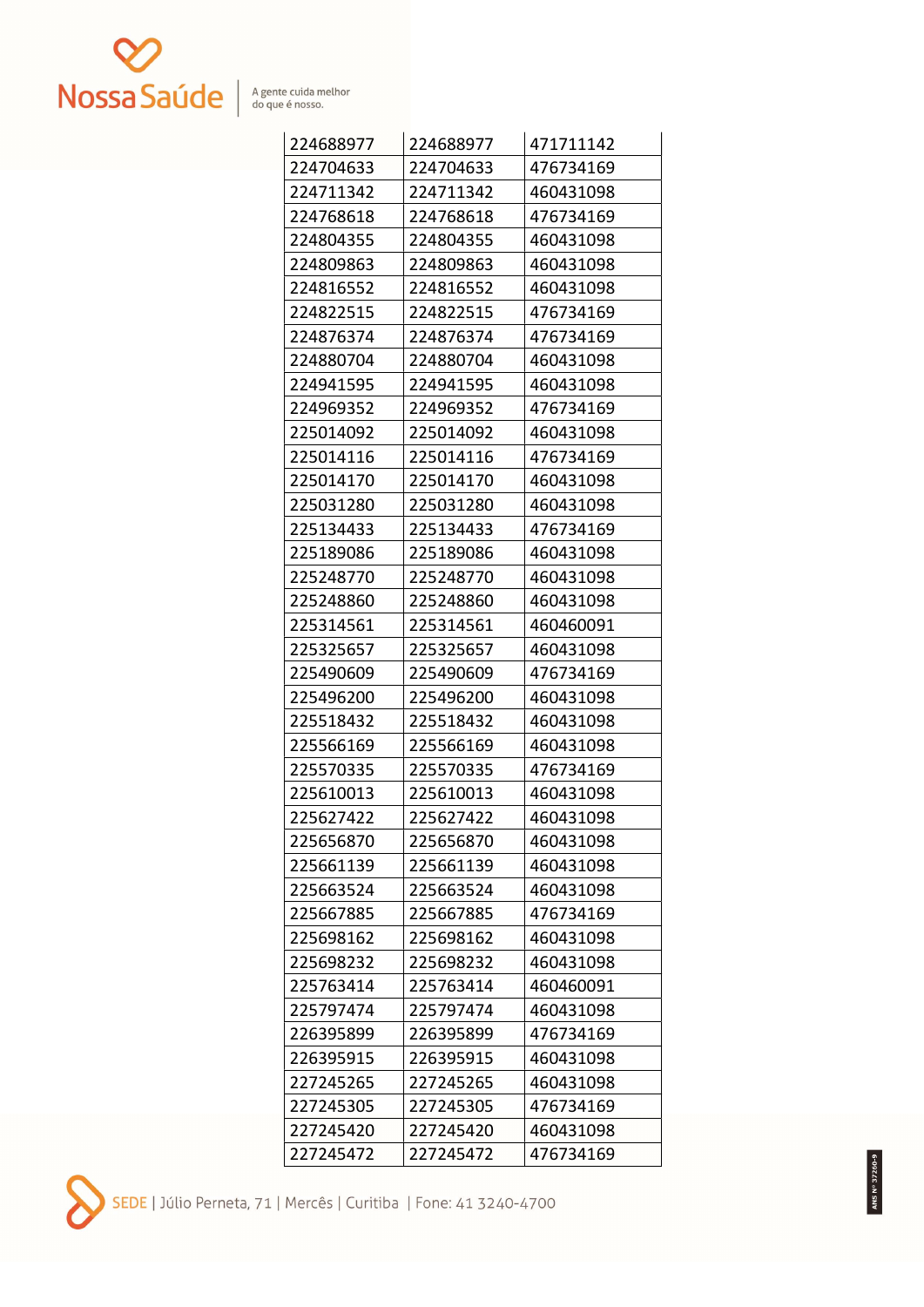

| 224688977 | 224688977 | 471711142 |
|-----------|-----------|-----------|
| 224704633 | 224704633 | 476734169 |
| 224711342 | 224711342 | 460431098 |
| 224768618 | 224768618 | 476734169 |
| 224804355 | 224804355 | 460431098 |
| 224809863 | 224809863 | 460431098 |
| 224816552 | 224816552 | 460431098 |
| 224822515 | 224822515 | 476734169 |
| 224876374 | 224876374 | 476734169 |
| 224880704 | 224880704 | 460431098 |
| 224941595 | 224941595 | 460431098 |
| 224969352 | 224969352 | 476734169 |
| 225014092 | 225014092 | 460431098 |
| 225014116 | 225014116 | 476734169 |
| 225014170 | 225014170 | 460431098 |
| 225031280 | 225031280 | 460431098 |
| 225134433 | 225134433 | 476734169 |
| 225189086 | 225189086 | 460431098 |
| 225248770 | 225248770 | 460431098 |
| 225248860 | 225248860 | 460431098 |
| 225314561 | 225314561 | 460460091 |
| 225325657 | 225325657 | 460431098 |
| 225490609 | 225490609 | 476734169 |
| 225496200 | 225496200 | 460431098 |
| 225518432 | 225518432 | 460431098 |
| 225566169 | 225566169 | 460431098 |
| 225570335 | 225570335 | 476734169 |
| 225610013 | 225610013 | 460431098 |
| 225627422 | 225627422 | 460431098 |
| 225656870 | 225656870 | 460431098 |
| 225661139 | 225661139 | 460431098 |
| 225663524 | 225663524 | 460431098 |
| 225667885 | 225667885 | 476734169 |
| 225698162 | 225698162 | 460431098 |
| 225698232 | 225698232 | 460431098 |
| 225763414 | 225763414 | 460460091 |
| 225797474 | 225797474 | 460431098 |
| 226395899 | 226395899 | 476734169 |
| 226395915 | 226395915 | 460431098 |
| 227245265 | 227245265 | 460431098 |
| 227245305 | 227245305 | 476734169 |
| 227245420 | 227245420 | 460431098 |
| 227245472 | 227245472 | 476734169 |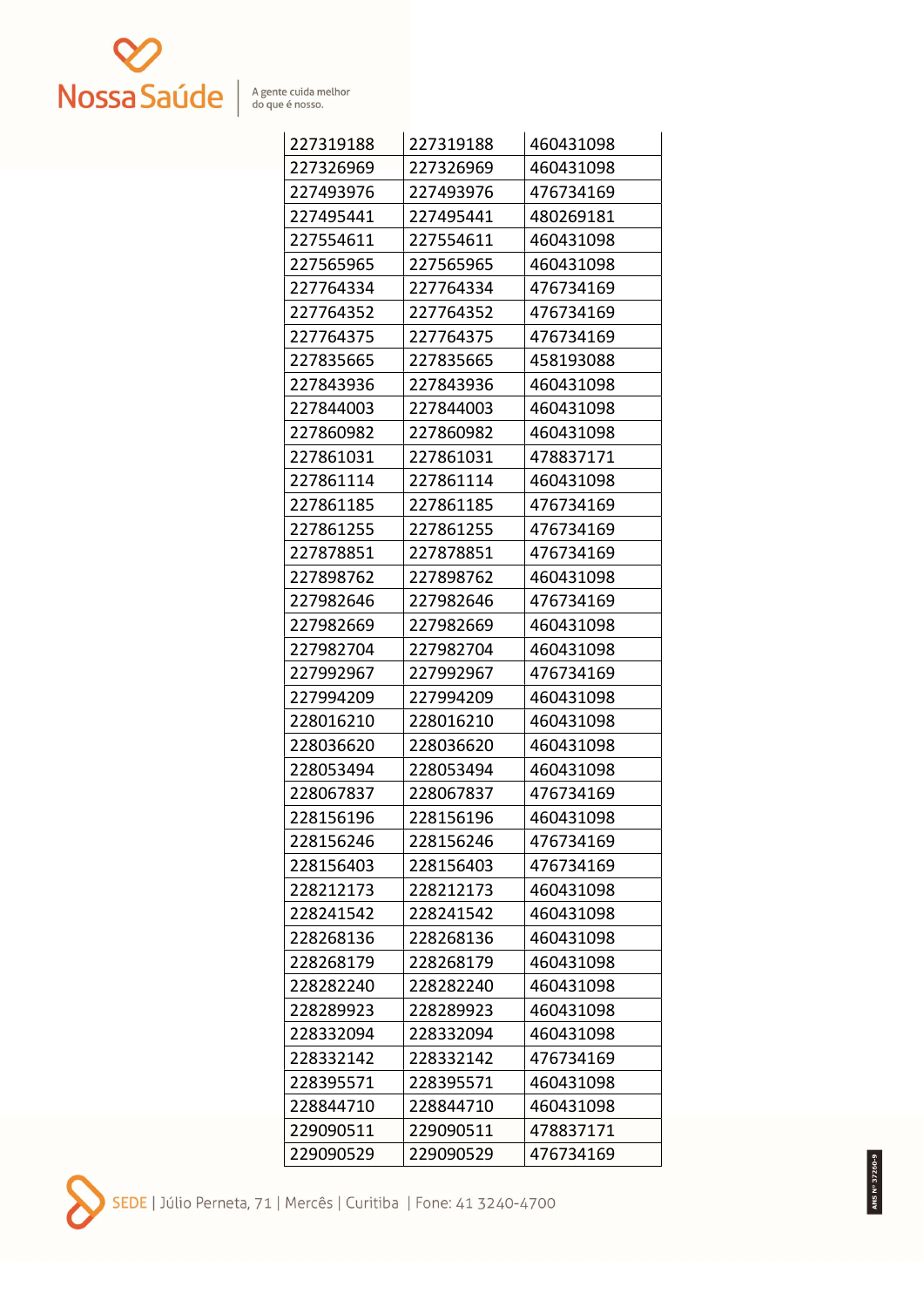

| 227319188 | 227319188 | 460431098 |
|-----------|-----------|-----------|
| 227326969 | 227326969 | 460431098 |
| 227493976 | 227493976 | 476734169 |
| 227495441 | 227495441 | 480269181 |
| 227554611 | 227554611 | 460431098 |
| 227565965 | 227565965 | 460431098 |
| 227764334 | 227764334 | 476734169 |
| 227764352 | 227764352 | 476734169 |
| 227764375 | 227764375 | 476734169 |
| 227835665 | 227835665 | 458193088 |
| 227843936 | 227843936 | 460431098 |
| 227844003 | 227844003 | 460431098 |
| 227860982 | 227860982 | 460431098 |
| 227861031 | 227861031 | 478837171 |
| 227861114 | 227861114 | 460431098 |
| 227861185 | 227861185 | 476734169 |
| 227861255 | 227861255 | 476734169 |
| 227878851 | 227878851 | 476734169 |
| 227898762 | 227898762 | 460431098 |
| 227982646 | 227982646 | 476734169 |
| 227982669 | 227982669 | 460431098 |
| 227982704 | 227982704 | 460431098 |
| 227992967 | 227992967 | 476734169 |
| 227994209 | 227994209 | 460431098 |
| 228016210 | 228016210 | 460431098 |
| 228036620 | 228036620 | 460431098 |
| 228053494 | 228053494 | 460431098 |
| 228067837 | 228067837 | 476734169 |
| 228156196 | 228156196 | 460431098 |
| 228156246 | 228156246 | 476734169 |
| 228156403 | 228156403 | 476734169 |
| 228212173 | 228212173 | 460431098 |
| 228241542 | 228241542 | 460431098 |
| 228268136 | 228268136 | 460431098 |
| 228268179 | 228268179 | 460431098 |
| 228282240 | 228282240 | 460431098 |
| 228289923 | 228289923 | 460431098 |
| 228332094 | 228332094 | 460431098 |
| 228332142 | 228332142 | 476734169 |
| 228395571 | 228395571 | 460431098 |
| 228844710 | 228844710 | 460431098 |
| 229090511 | 229090511 | 478837171 |
| 229090529 | 229090529 | 476734169 |

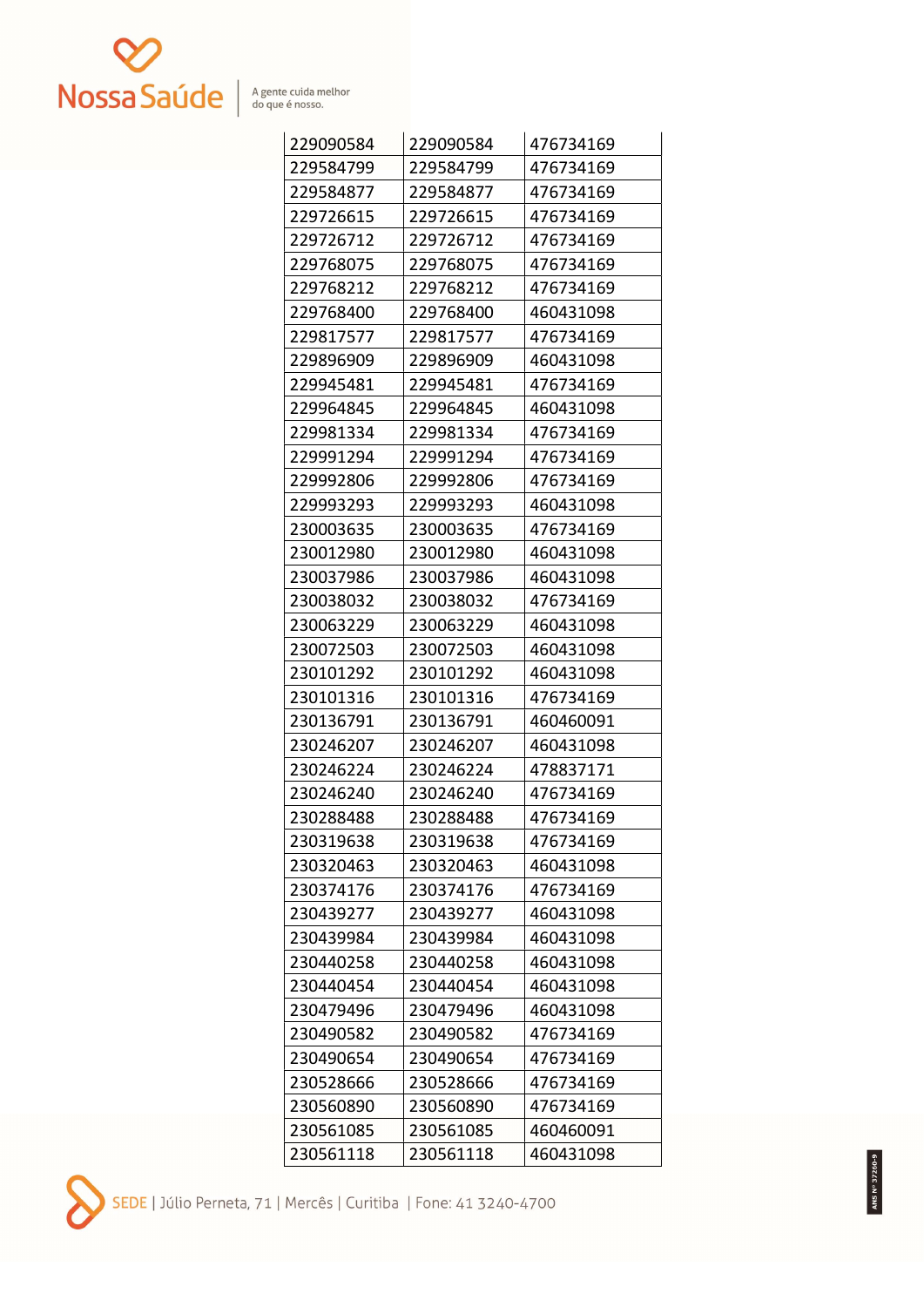

| 229090584 | 229090584 | 476734169 |
|-----------|-----------|-----------|
| 229584799 | 229584799 | 476734169 |
| 229584877 | 229584877 | 476734169 |
| 229726615 | 229726615 | 476734169 |
| 229726712 | 229726712 | 476734169 |
| 229768075 | 229768075 | 476734169 |
| 229768212 | 229768212 | 476734169 |
| 229768400 | 229768400 | 460431098 |
| 229817577 | 229817577 | 476734169 |
| 229896909 | 229896909 | 460431098 |
| 229945481 | 229945481 | 476734169 |
| 229964845 | 229964845 | 460431098 |
| 229981334 | 229981334 | 476734169 |
| 229991294 | 229991294 | 476734169 |
| 229992806 | 229992806 | 476734169 |
| 229993293 | 229993293 | 460431098 |
| 230003635 | 230003635 | 476734169 |
| 230012980 | 230012980 | 460431098 |
| 230037986 | 230037986 | 460431098 |
| 230038032 | 230038032 | 476734169 |
| 230063229 | 230063229 | 460431098 |
| 230072503 | 230072503 | 460431098 |
| 230101292 | 230101292 | 460431098 |
| 230101316 | 230101316 | 476734169 |
| 230136791 | 230136791 | 460460091 |
| 230246207 | 230246207 | 460431098 |
| 230246224 | 230246224 | 478837171 |
| 230246240 | 230246240 | 476734169 |
| 230288488 | 230288488 | 476734169 |
| 230319638 | 230319638 | 476734169 |
| 230320463 | 230320463 | 460431098 |
| 230374176 | 230374176 | 476734169 |
| 230439277 | 230439277 | 460431098 |
| 230439984 | 230439984 | 460431098 |
| 230440258 | 230440258 | 460431098 |
| 230440454 | 230440454 | 460431098 |
| 230479496 | 230479496 | 460431098 |
| 230490582 | 230490582 | 476734169 |
| 230490654 | 230490654 | 476734169 |
| 230528666 | 230528666 | 476734169 |
| 230560890 | 230560890 | 476734169 |
| 230561085 | 230561085 | 460460091 |
| 230561118 | 230561118 | 460431098 |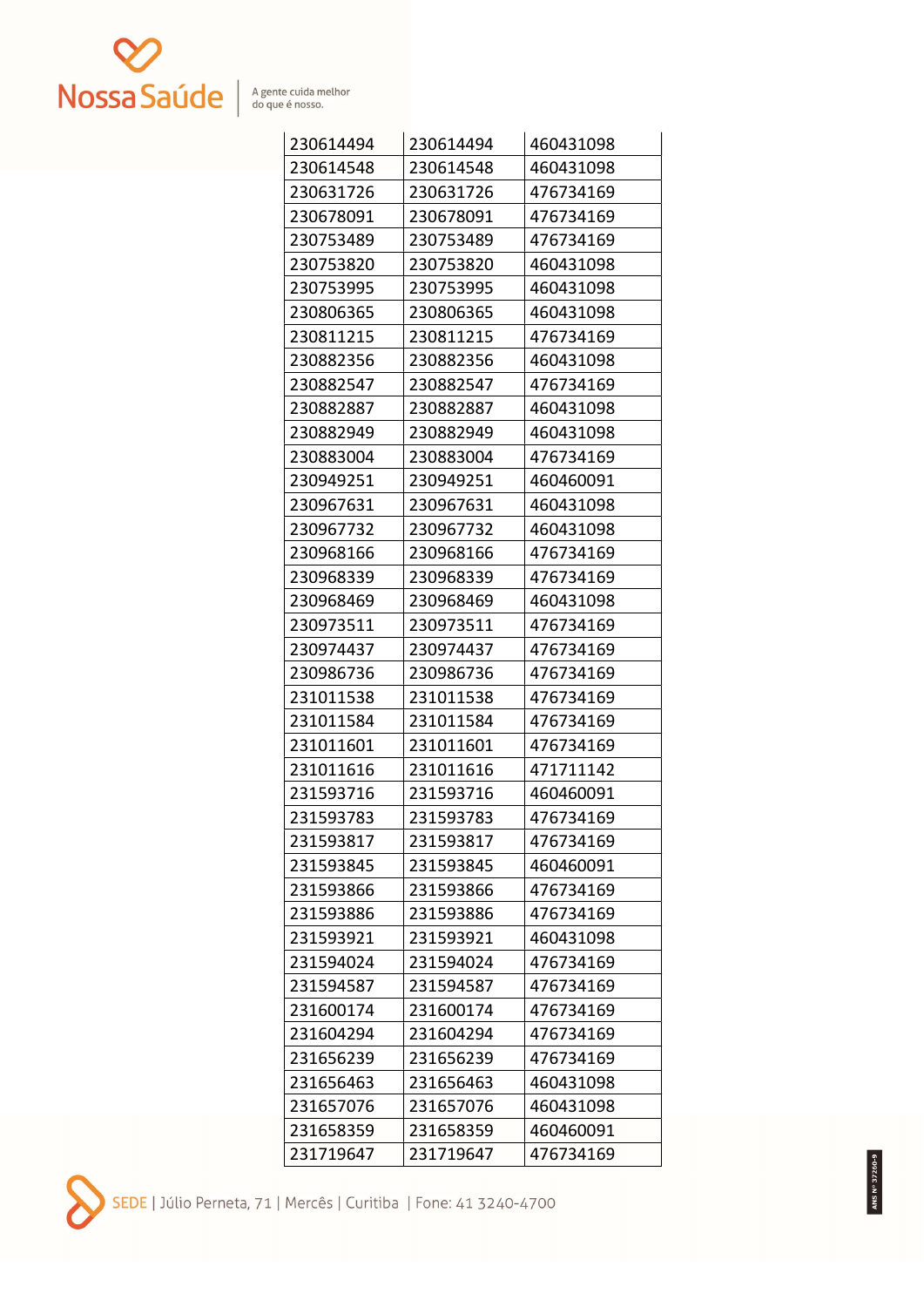

| 230614494 | 230614494 | 460431098 |
|-----------|-----------|-----------|
| 230614548 | 230614548 | 460431098 |
| 230631726 | 230631726 | 476734169 |
| 230678091 | 230678091 | 476734169 |
| 230753489 | 230753489 | 476734169 |
| 230753820 | 230753820 | 460431098 |
| 230753995 | 230753995 | 460431098 |
| 230806365 | 230806365 | 460431098 |
| 230811215 | 230811215 | 476734169 |
| 230882356 | 230882356 | 460431098 |
| 230882547 | 230882547 | 476734169 |
| 230882887 | 230882887 | 460431098 |
| 230882949 | 230882949 | 460431098 |
| 230883004 | 230883004 | 476734169 |
| 230949251 | 230949251 | 460460091 |
| 230967631 | 230967631 | 460431098 |
| 230967732 | 230967732 | 460431098 |
| 230968166 | 230968166 | 476734169 |
| 230968339 | 230968339 | 476734169 |
| 230968469 | 230968469 | 460431098 |
| 230973511 | 230973511 | 476734169 |
| 230974437 | 230974437 | 476734169 |
| 230986736 | 230986736 | 476734169 |
| 231011538 | 231011538 | 476734169 |
| 231011584 | 231011584 | 476734169 |
| 231011601 | 231011601 | 476734169 |
| 231011616 | 231011616 | 471711142 |
| 231593716 | 231593716 | 460460091 |
| 231593783 | 231593783 | 476734169 |
| 231593817 | 231593817 | 476734169 |
| 231593845 | 231593845 | 460460091 |
| 231593866 | 231593866 | 476734169 |
| 231593886 | 231593886 | 476734169 |
| 231593921 | 231593921 | 460431098 |
| 231594024 | 231594024 | 476734169 |
| 231594587 | 231594587 | 476734169 |
| 231600174 | 231600174 | 476734169 |
| 231604294 | 231604294 | 476734169 |
| 231656239 | 231656239 | 476734169 |
| 231656463 | 231656463 | 460431098 |
| 231657076 | 231657076 | 460431098 |
| 231658359 | 231658359 | 460460091 |
| 231719647 | 231719647 | 476734169 |

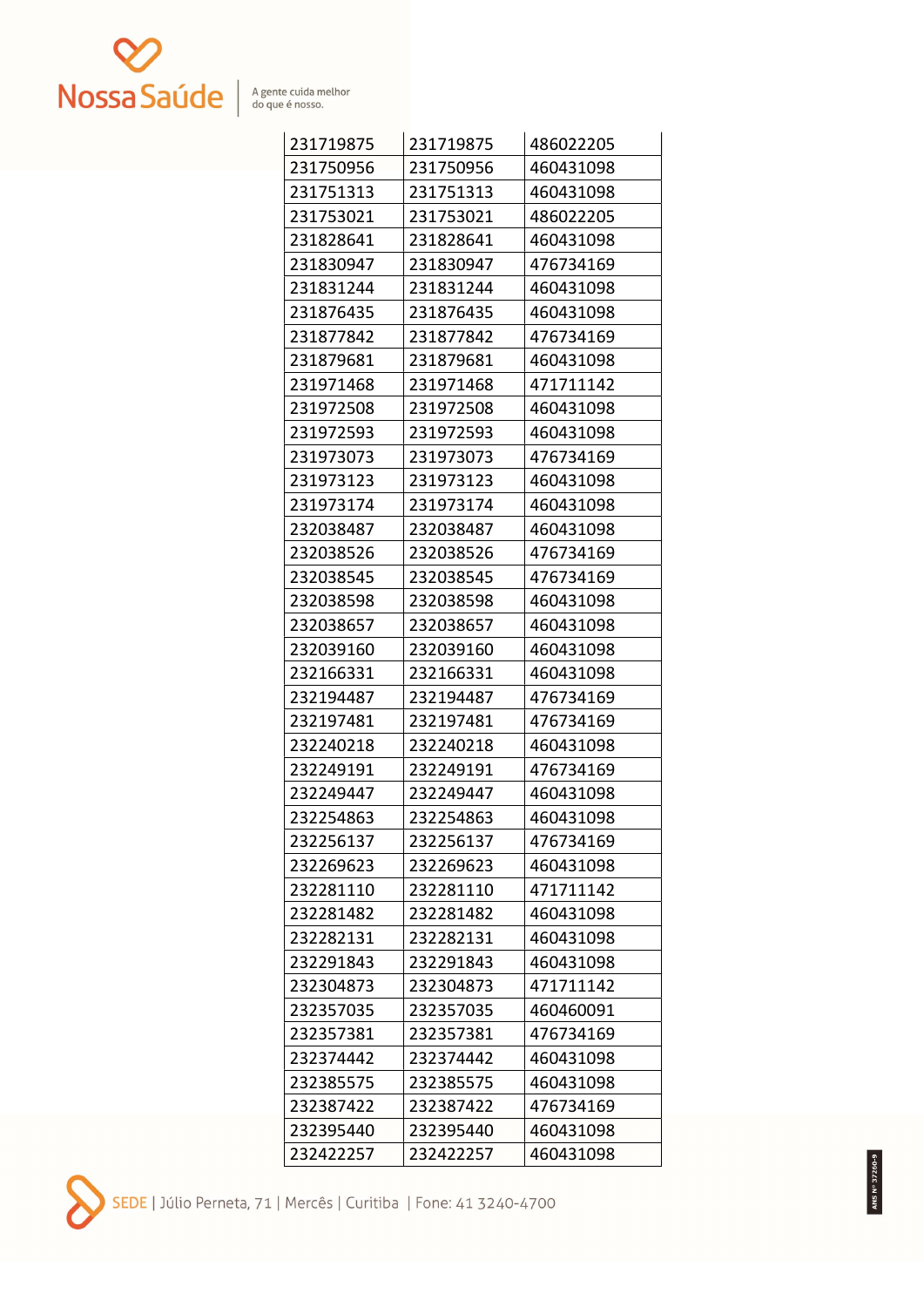

| 231719875 | 231719875 | 486022205 |
|-----------|-----------|-----------|
| 231750956 | 231750956 | 460431098 |
| 231751313 | 231751313 | 460431098 |
| 231753021 | 231753021 | 486022205 |
| 231828641 | 231828641 | 460431098 |
| 231830947 | 231830947 | 476734169 |
| 231831244 | 231831244 | 460431098 |
| 231876435 | 231876435 | 460431098 |
| 231877842 | 231877842 | 476734169 |
| 231879681 | 231879681 | 460431098 |
| 231971468 | 231971468 | 471711142 |
| 231972508 | 231972508 | 460431098 |
| 231972593 | 231972593 | 460431098 |
| 231973073 | 231973073 | 476734169 |
| 231973123 | 231973123 | 460431098 |
| 231973174 | 231973174 | 460431098 |
| 232038487 | 232038487 | 460431098 |
| 232038526 | 232038526 | 476734169 |
| 232038545 | 232038545 | 476734169 |
| 232038598 | 232038598 | 460431098 |
| 232038657 | 232038657 | 460431098 |
| 232039160 | 232039160 | 460431098 |
| 232166331 | 232166331 | 460431098 |
| 232194487 | 232194487 | 476734169 |
| 232197481 | 232197481 | 476734169 |
| 232240218 | 232240218 | 460431098 |
| 232249191 | 232249191 | 476734169 |
| 232249447 | 232249447 | 460431098 |
| 232254863 | 232254863 | 460431098 |
| 232256137 | 232256137 | 476734169 |
| 232269623 | 232269623 | 460431098 |
| 232281110 | 232281110 | 471711142 |
| 232281482 | 232281482 | 460431098 |
| 232282131 | 232282131 | 460431098 |
| 232291843 | 232291843 | 460431098 |
| 232304873 | 232304873 | 471711142 |
| 232357035 | 232357035 | 460460091 |
| 232357381 | 232357381 | 476734169 |
| 232374442 | 232374442 | 460431098 |
| 232385575 | 232385575 | 460431098 |
| 232387422 | 232387422 | 476734169 |
| 232395440 | 232395440 | 460431098 |
| 232422257 | 232422257 | 460431098 |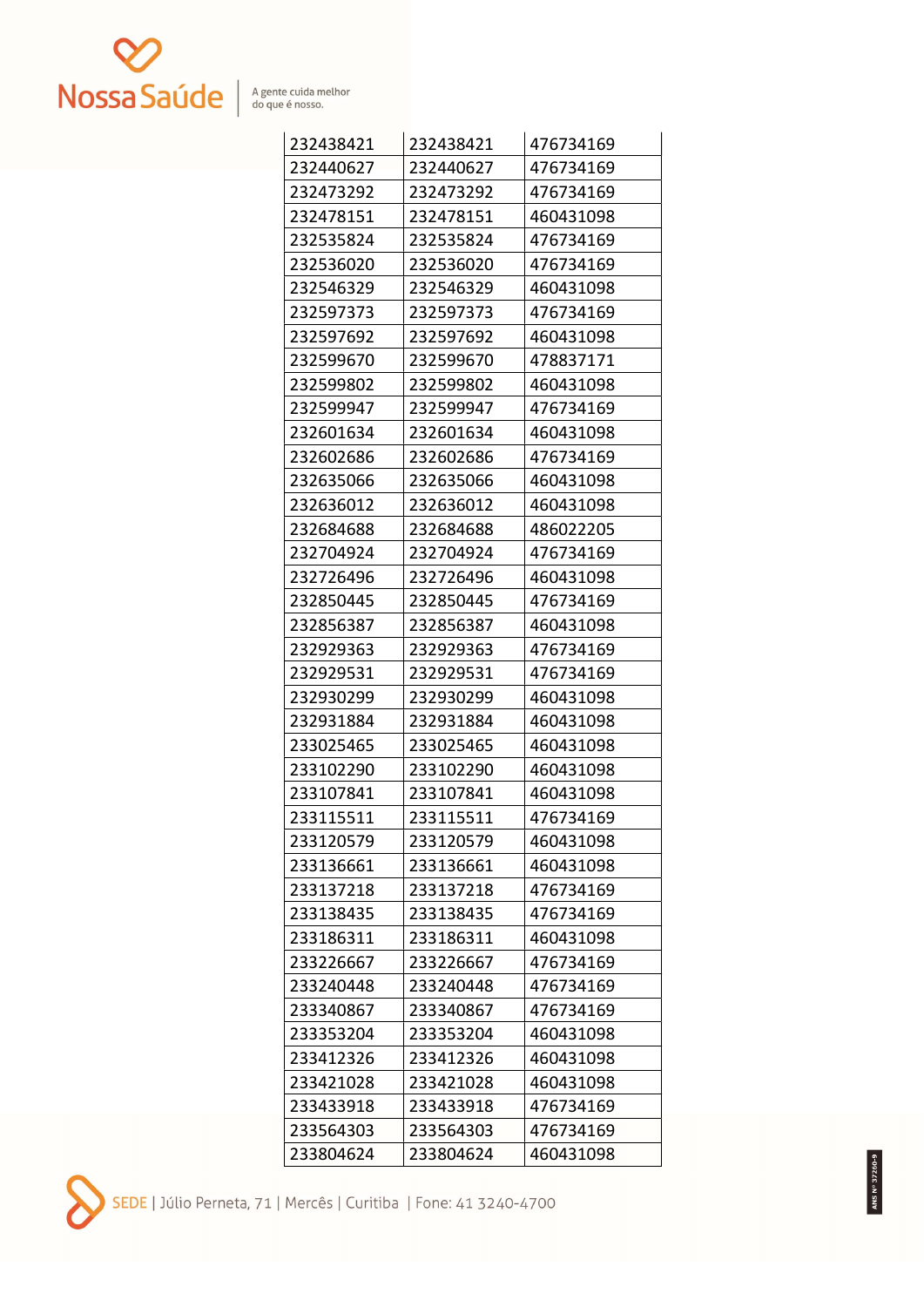

| 232438421 | 232438421 | 476734169 |
|-----------|-----------|-----------|
| 232440627 | 232440627 | 476734169 |
| 232473292 | 232473292 | 476734169 |
| 232478151 | 232478151 | 460431098 |
| 232535824 | 232535824 | 476734169 |
| 232536020 | 232536020 | 476734169 |
| 232546329 | 232546329 | 460431098 |
| 232597373 | 232597373 | 476734169 |
| 232597692 | 232597692 | 460431098 |
| 232599670 | 232599670 | 478837171 |
| 232599802 | 232599802 | 460431098 |
| 232599947 | 232599947 | 476734169 |
| 232601634 | 232601634 | 460431098 |
| 232602686 | 232602686 | 476734169 |
| 232635066 | 232635066 | 460431098 |
| 232636012 | 232636012 | 460431098 |
| 232684688 | 232684688 | 486022205 |
| 232704924 | 232704924 | 476734169 |
| 232726496 | 232726496 | 460431098 |
| 232850445 | 232850445 | 476734169 |
| 232856387 | 232856387 | 460431098 |
| 232929363 | 232929363 | 476734169 |
| 232929531 | 232929531 | 476734169 |
| 232930299 | 232930299 | 460431098 |
| 232931884 | 232931884 | 460431098 |
| 233025465 | 233025465 | 460431098 |
| 233102290 | 233102290 | 460431098 |
| 233107841 | 233107841 | 460431098 |
| 233115511 | 233115511 | 476734169 |
| 233120579 | 233120579 | 460431098 |
| 233136661 | 233136661 | 460431098 |
| 233137218 | 233137218 | 476734169 |
| 233138435 | 233138435 | 476734169 |
| 233186311 | 233186311 | 460431098 |
| 233226667 | 233226667 | 476734169 |
| 233240448 | 233240448 | 476734169 |
| 233340867 | 233340867 | 476734169 |
| 233353204 | 233353204 | 460431098 |
| 233412326 | 233412326 | 460431098 |
| 233421028 | 233421028 | 460431098 |
| 233433918 | 233433918 | 476734169 |
| 233564303 | 233564303 | 476734169 |
| 233804624 | 233804624 | 460431098 |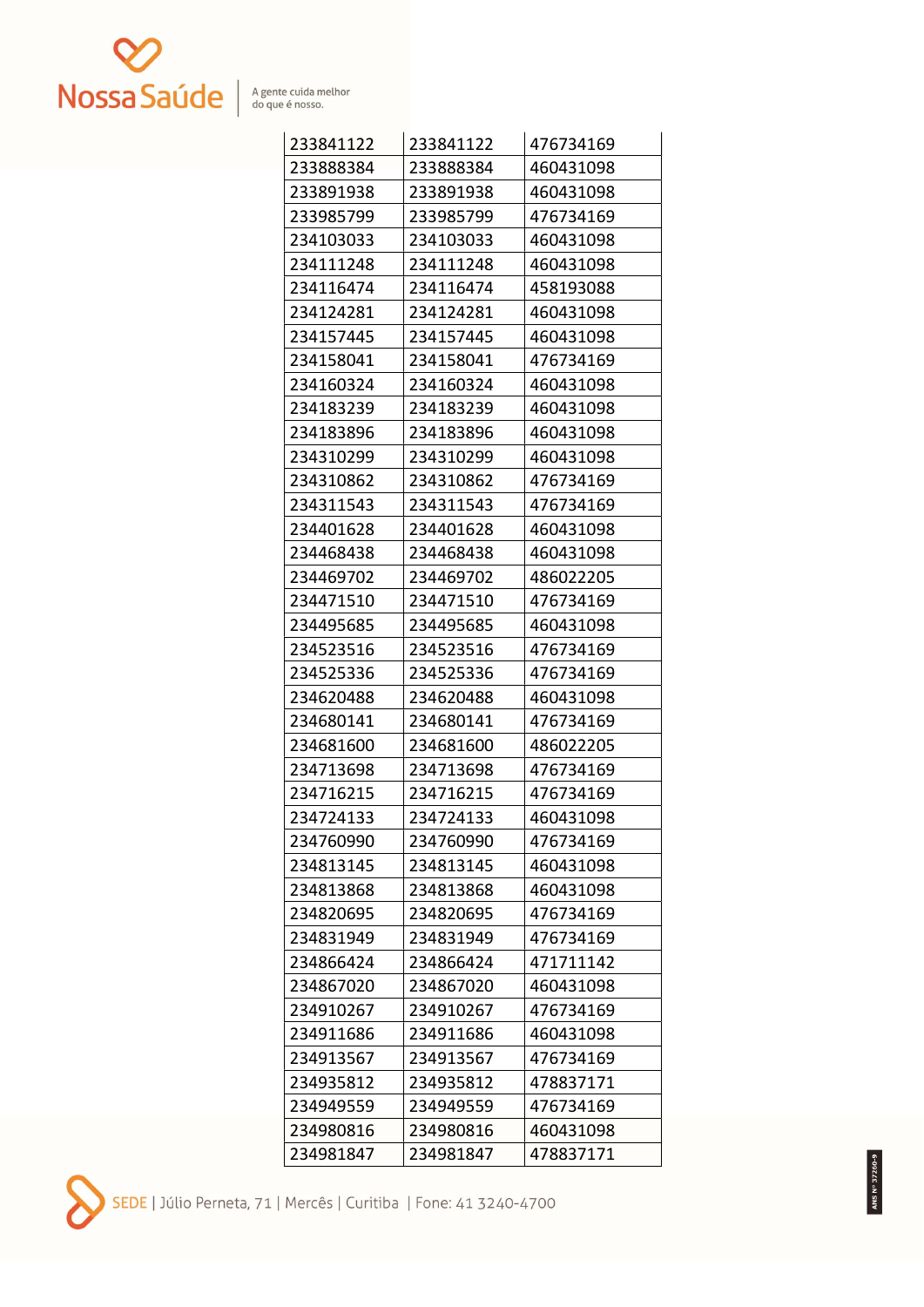

| 233841122 | 233841122 | 476734169 |
|-----------|-----------|-----------|
| 233888384 | 233888384 | 460431098 |
| 233891938 | 233891938 | 460431098 |
| 233985799 | 233985799 | 476734169 |
| 234103033 | 234103033 | 460431098 |
| 234111248 | 234111248 | 460431098 |
| 234116474 | 234116474 | 458193088 |
| 234124281 | 234124281 | 460431098 |
| 234157445 | 234157445 | 460431098 |
| 234158041 | 234158041 | 476734169 |
| 234160324 | 234160324 | 460431098 |
| 234183239 | 234183239 | 460431098 |
| 234183896 | 234183896 | 460431098 |
| 234310299 | 234310299 | 460431098 |
| 234310862 | 234310862 | 476734169 |
| 234311543 | 234311543 | 476734169 |
| 234401628 | 234401628 | 460431098 |
| 234468438 | 234468438 | 460431098 |
| 234469702 | 234469702 | 486022205 |
| 234471510 | 234471510 | 476734169 |
| 234495685 | 234495685 | 460431098 |
| 234523516 | 234523516 | 476734169 |
| 234525336 | 234525336 | 476734169 |
| 234620488 | 234620488 | 460431098 |
| 234680141 | 234680141 | 476734169 |
| 234681600 | 234681600 | 486022205 |
| 234713698 | 234713698 | 476734169 |
| 234716215 | 234716215 | 476734169 |
| 234724133 | 234724133 | 460431098 |
| 234760990 | 234760990 | 476734169 |
| 234813145 | 234813145 | 460431098 |
| 234813868 | 234813868 | 460431098 |
| 234820695 | 234820695 | 476734169 |
| 234831949 | 234831949 | 476734169 |
| 234866424 | 234866424 | 471711142 |
| 234867020 | 234867020 | 460431098 |
| 234910267 | 234910267 | 476734169 |
| 234911686 | 234911686 | 460431098 |
| 234913567 | 234913567 | 476734169 |
| 234935812 | 234935812 | 478837171 |
| 234949559 | 234949559 | 476734169 |
| 234980816 | 234980816 | 460431098 |
| 234981847 | 234981847 | 478837171 |

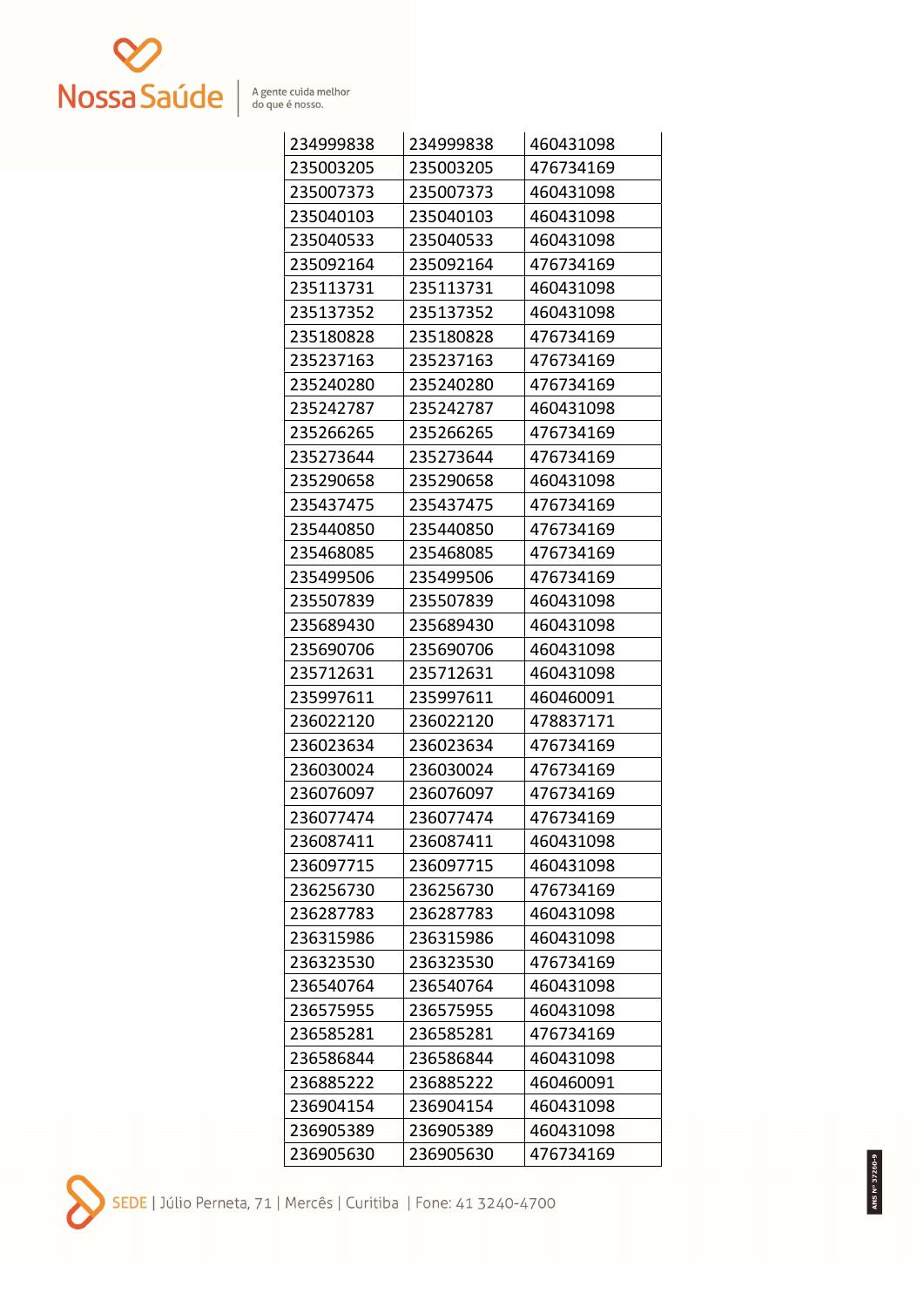

| 234999838 | 234999838 | 460431098 |
|-----------|-----------|-----------|
| 235003205 | 235003205 | 476734169 |
| 235007373 | 235007373 | 460431098 |
| 235040103 | 235040103 | 460431098 |
| 235040533 | 235040533 | 460431098 |
| 235092164 | 235092164 | 476734169 |
| 235113731 | 235113731 | 460431098 |
| 235137352 | 235137352 | 460431098 |
| 235180828 | 235180828 | 476734169 |
| 235237163 | 235237163 | 476734169 |
| 235240280 | 235240280 | 476734169 |
| 235242787 | 235242787 | 460431098 |
| 235266265 | 235266265 | 476734169 |
| 235273644 | 235273644 | 476734169 |
| 235290658 | 235290658 | 460431098 |
| 235437475 | 235437475 | 476734169 |
| 235440850 | 235440850 | 476734169 |
| 235468085 | 235468085 | 476734169 |
| 235499506 | 235499506 | 476734169 |
| 235507839 | 235507839 | 460431098 |
| 235689430 | 235689430 | 460431098 |
| 235690706 | 235690706 | 460431098 |
| 235712631 | 235712631 | 460431098 |
| 235997611 | 235997611 | 460460091 |
| 236022120 | 236022120 | 478837171 |
| 236023634 | 236023634 | 476734169 |
| 236030024 | 236030024 | 476734169 |
| 236076097 | 236076097 | 476734169 |
| 236077474 | 236077474 | 476734169 |
| 236087411 | 236087411 | 460431098 |
| 236097715 | 236097715 | 460431098 |
| 236256730 | 236256730 | 476734169 |
| 236287783 | 236287783 | 460431098 |
| 236315986 | 236315986 | 460431098 |
| 236323530 | 236323530 | 476734169 |
| 236540764 | 236540764 | 460431098 |
| 236575955 | 236575955 | 460431098 |
| 236585281 | 236585281 | 476734169 |
| 236586844 | 236586844 | 460431098 |
| 236885222 | 236885222 | 460460091 |
| 236904154 | 236904154 | 460431098 |
| 236905389 | 236905389 | 460431098 |
| 236905630 | 236905630 | 476734169 |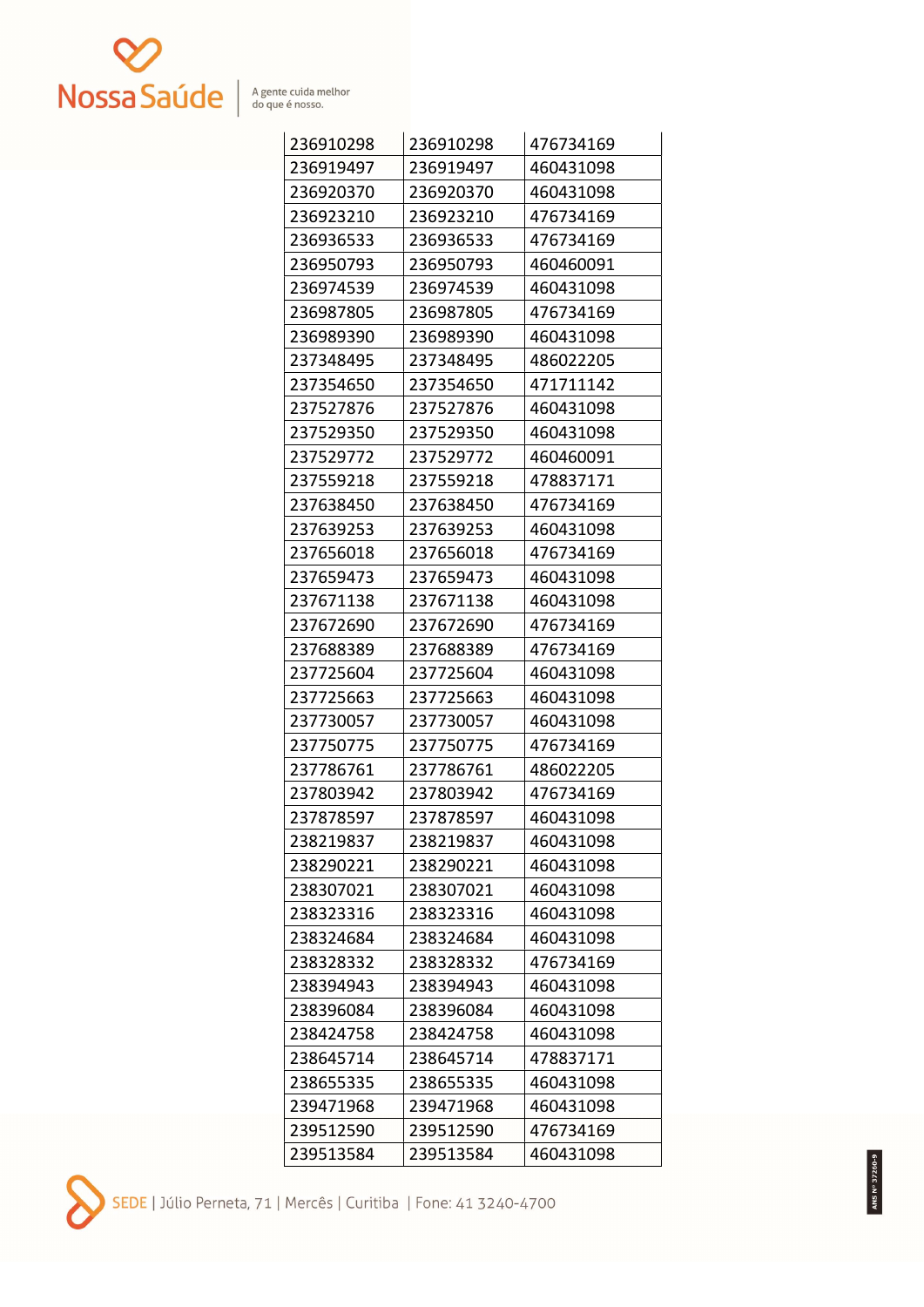

| 236910298 | 236910298 | 476734169 |
|-----------|-----------|-----------|
| 236919497 | 236919497 | 460431098 |
| 236920370 | 236920370 | 460431098 |
| 236923210 | 236923210 | 476734169 |
| 236936533 | 236936533 | 476734169 |
| 236950793 | 236950793 | 460460091 |
| 236974539 | 236974539 | 460431098 |
| 236987805 | 236987805 | 476734169 |
| 236989390 | 236989390 | 460431098 |
| 237348495 | 237348495 | 486022205 |
| 237354650 | 237354650 | 471711142 |
| 237527876 | 237527876 | 460431098 |
| 237529350 | 237529350 | 460431098 |
| 237529772 | 237529772 | 460460091 |
| 237559218 | 237559218 | 478837171 |
| 237638450 | 237638450 | 476734169 |
| 237639253 | 237639253 | 460431098 |
| 237656018 | 237656018 | 476734169 |
| 237659473 | 237659473 | 460431098 |
| 237671138 | 237671138 | 460431098 |
| 237672690 | 237672690 | 476734169 |
| 237688389 | 237688389 | 476734169 |
| 237725604 | 237725604 | 460431098 |
| 237725663 | 237725663 | 460431098 |
| 237730057 | 237730057 | 460431098 |
| 237750775 | 237750775 | 476734169 |
| 237786761 | 237786761 | 486022205 |
| 237803942 | 237803942 | 476734169 |
| 237878597 | 237878597 | 460431098 |
| 238219837 | 238219837 | 460431098 |
| 238290221 | 238290221 | 460431098 |
| 238307021 | 238307021 | 460431098 |
| 238323316 | 238323316 | 460431098 |
| 238324684 | 238324684 | 460431098 |
| 238328332 | 238328332 | 476734169 |
| 238394943 | 238394943 | 460431098 |
| 238396084 | 238396084 | 460431098 |
| 238424758 | 238424758 | 460431098 |
| 238645714 | 238645714 | 478837171 |
| 238655335 | 238655335 | 460431098 |
| 239471968 | 239471968 | 460431098 |
| 239512590 | 239512590 | 476734169 |
| 239513584 | 239513584 | 460431098 |

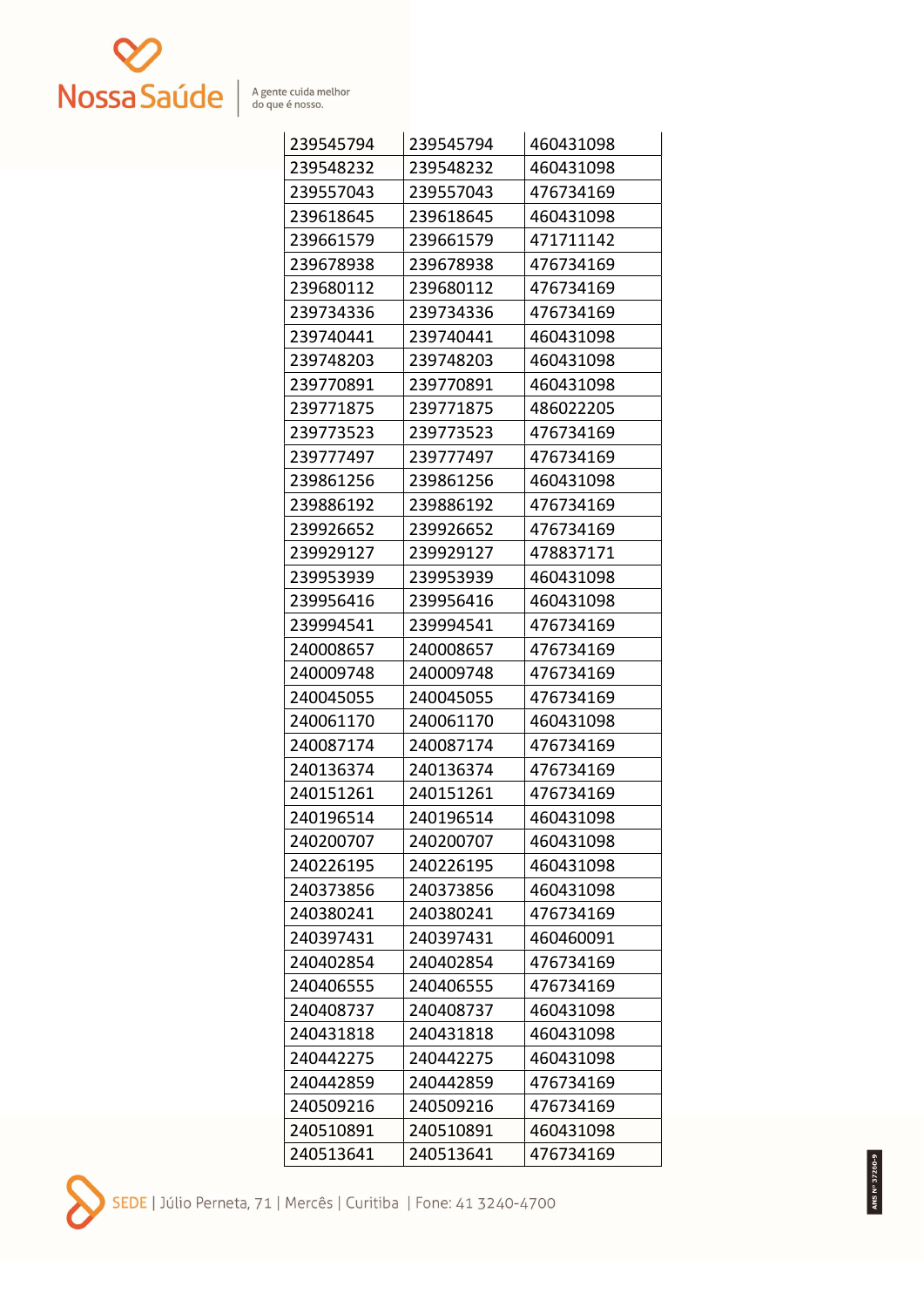

| 239545794 | 239545794 | 460431098 |
|-----------|-----------|-----------|
| 239548232 | 239548232 | 460431098 |
| 239557043 | 239557043 | 476734169 |
| 239618645 | 239618645 | 460431098 |
| 239661579 | 239661579 | 471711142 |
| 239678938 | 239678938 | 476734169 |
| 239680112 | 239680112 | 476734169 |
| 239734336 | 239734336 | 476734169 |
| 239740441 | 239740441 | 460431098 |
| 239748203 | 239748203 | 460431098 |
| 239770891 | 239770891 | 460431098 |
| 239771875 | 239771875 | 486022205 |
| 239773523 | 239773523 | 476734169 |
| 239777497 | 239777497 | 476734169 |
| 239861256 | 239861256 | 460431098 |
| 239886192 | 239886192 | 476734169 |
| 239926652 | 239926652 | 476734169 |
| 239929127 | 239929127 | 478837171 |
| 239953939 | 239953939 | 460431098 |
| 239956416 | 239956416 | 460431098 |
| 239994541 | 239994541 | 476734169 |
| 240008657 | 240008657 | 476734169 |
| 240009748 | 240009748 | 476734169 |
| 240045055 | 240045055 | 476734169 |
| 240061170 | 240061170 | 460431098 |
| 240087174 | 240087174 | 476734169 |
| 240136374 | 240136374 | 476734169 |
| 240151261 | 240151261 | 476734169 |
| 240196514 | 240196514 | 460431098 |
| 240200707 | 240200707 | 460431098 |
| 240226195 | 240226195 | 460431098 |
| 240373856 | 240373856 | 460431098 |
| 240380241 | 240380241 | 476734169 |
| 240397431 | 240397431 | 460460091 |
| 240402854 | 240402854 | 476734169 |
| 240406555 | 240406555 | 476734169 |
| 240408737 | 240408737 | 460431098 |
| 240431818 | 240431818 | 460431098 |
| 240442275 | 240442275 | 460431098 |
| 240442859 | 240442859 | 476734169 |
| 240509216 | 240509216 | 476734169 |
| 240510891 | 240510891 | 460431098 |
| 240513641 | 240513641 | 476734169 |

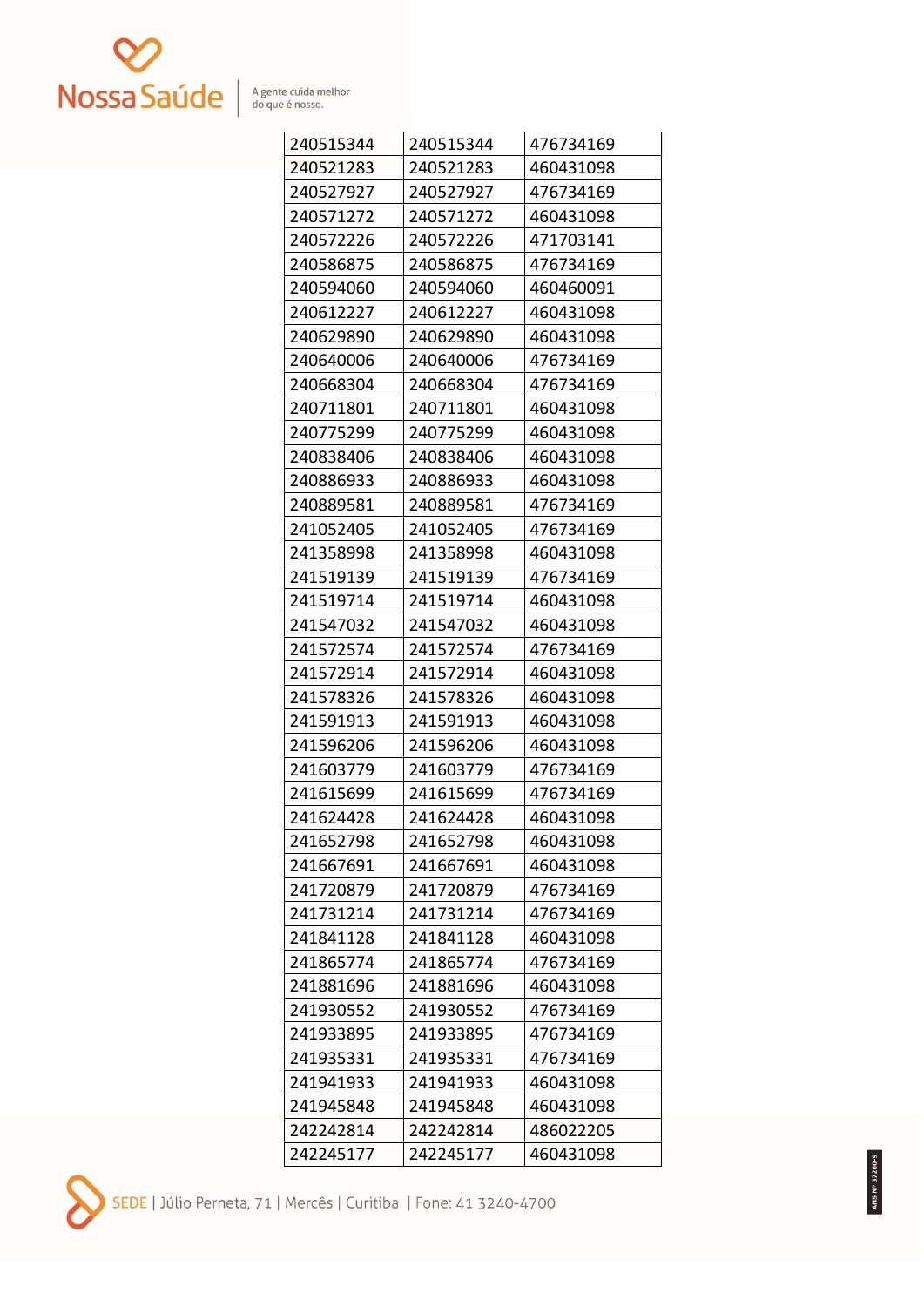

| 240515344 | 240515344 | 476734169 |
|-----------|-----------|-----------|
| 240521283 | 240521283 | 460431098 |
| 240527927 | 240527927 | 476734169 |
| 240571272 | 240571272 | 460431098 |
| 240572226 | 240572226 | 471703141 |
| 240586875 | 240586875 | 476734169 |
| 240594060 | 240594060 | 460460091 |
| 240612227 | 240612227 | 460431098 |
| 240629890 | 240629890 | 460431098 |
| 240640006 | 240640006 | 476734169 |
| 240668304 | 240668304 | 476734169 |
| 240711801 | 240711801 | 460431098 |
| 240775299 | 240775299 | 460431098 |
| 240838406 | 240838406 | 460431098 |
| 240886933 | 240886933 | 460431098 |
| 240889581 | 240889581 | 476734169 |
| 241052405 | 241052405 | 476734169 |
| 241358998 | 241358998 | 460431098 |
| 241519139 | 241519139 | 476734169 |
| 241519714 | 241519714 | 460431098 |
| 241547032 | 241547032 | 460431098 |
| 241572574 | 241572574 | 476734169 |
| 241572914 | 241572914 | 460431098 |
| 241578326 | 241578326 | 460431098 |
| 241591913 | 241591913 | 460431098 |
| 241596206 | 241596206 | 460431098 |
| 241603779 | 241603779 | 476734169 |
| 241615699 | 241615699 | 476734169 |
| 241624428 | 241624428 | 460431098 |
| 241652798 | 241652798 | 460431098 |
| 241667691 | 241667691 | 460431098 |
| 241720879 | 241720879 | 476734169 |
| 241731214 | 241731214 | 476734169 |
| 241841128 | 241841128 | 460431098 |
| 241865774 | 241865774 | 476734169 |
| 241881696 | 241881696 | 460431098 |
| 241930552 | 241930552 | 476734169 |
| 241933895 | 241933895 | 476734169 |
| 241935331 | 241935331 | 476734169 |
| 241941933 | 241941933 | 460431098 |
| 241945848 | 241945848 | 460431098 |
| 242242814 | 242242814 | 486022205 |
| 242245177 | 242245177 | 460431098 |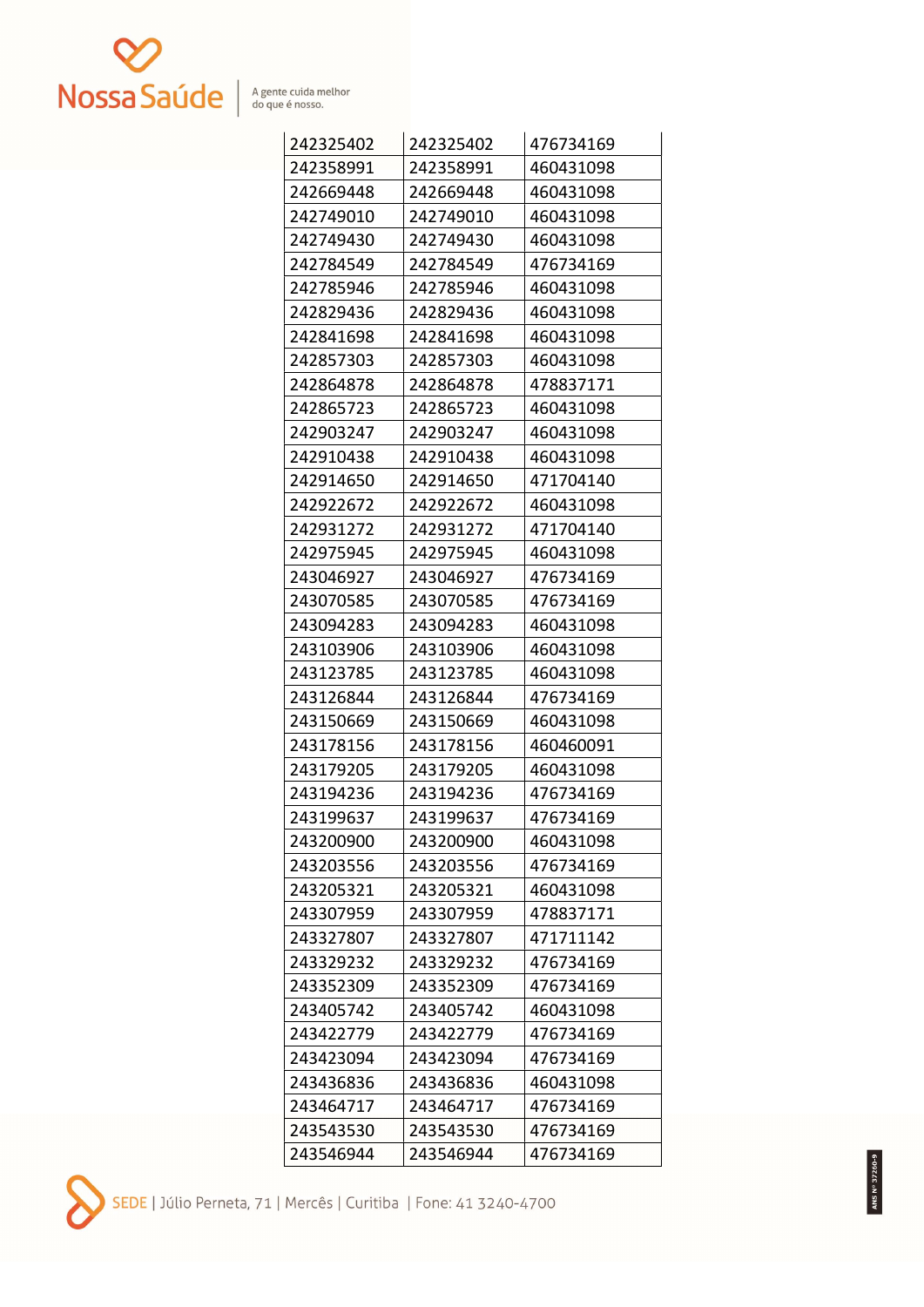

| 242325402 | 242325402 | 476734169 |
|-----------|-----------|-----------|
| 242358991 | 242358991 | 460431098 |
| 242669448 | 242669448 | 460431098 |
| 242749010 | 242749010 | 460431098 |
| 242749430 | 242749430 | 460431098 |
| 242784549 | 242784549 | 476734169 |
| 242785946 | 242785946 | 460431098 |
| 242829436 | 242829436 | 460431098 |
| 242841698 | 242841698 | 460431098 |
| 242857303 | 242857303 | 460431098 |
| 242864878 | 242864878 | 478837171 |
| 242865723 | 242865723 | 460431098 |
| 242903247 | 242903247 | 460431098 |
| 242910438 | 242910438 | 460431098 |
| 242914650 | 242914650 | 471704140 |
| 242922672 | 242922672 | 460431098 |
| 242931272 | 242931272 | 471704140 |
| 242975945 | 242975945 | 460431098 |
| 243046927 | 243046927 | 476734169 |
| 243070585 | 243070585 | 476734169 |
| 243094283 | 243094283 | 460431098 |
| 243103906 | 243103906 | 460431098 |
| 243123785 | 243123785 | 460431098 |
| 243126844 | 243126844 | 476734169 |
| 243150669 | 243150669 | 460431098 |
| 243178156 | 243178156 | 460460091 |
| 243179205 | 243179205 | 460431098 |
| 243194236 | 243194236 | 476734169 |
| 243199637 | 243199637 | 476734169 |
| 243200900 | 243200900 | 460431098 |
| 243203556 | 243203556 | 476734169 |
| 243205321 | 243205321 | 460431098 |
| 243307959 | 243307959 | 478837171 |
| 243327807 | 243327807 | 471711142 |
| 243329232 | 243329232 | 476734169 |
| 243352309 | 243352309 | 476734169 |
| 243405742 | 243405742 | 460431098 |
| 243422779 | 243422779 | 476734169 |
| 243423094 | 243423094 | 476734169 |
| 243436836 | 243436836 | 460431098 |
| 243464717 | 243464717 | 476734169 |
| 243543530 | 243543530 | 476734169 |
| 243546944 | 243546944 | 476734169 |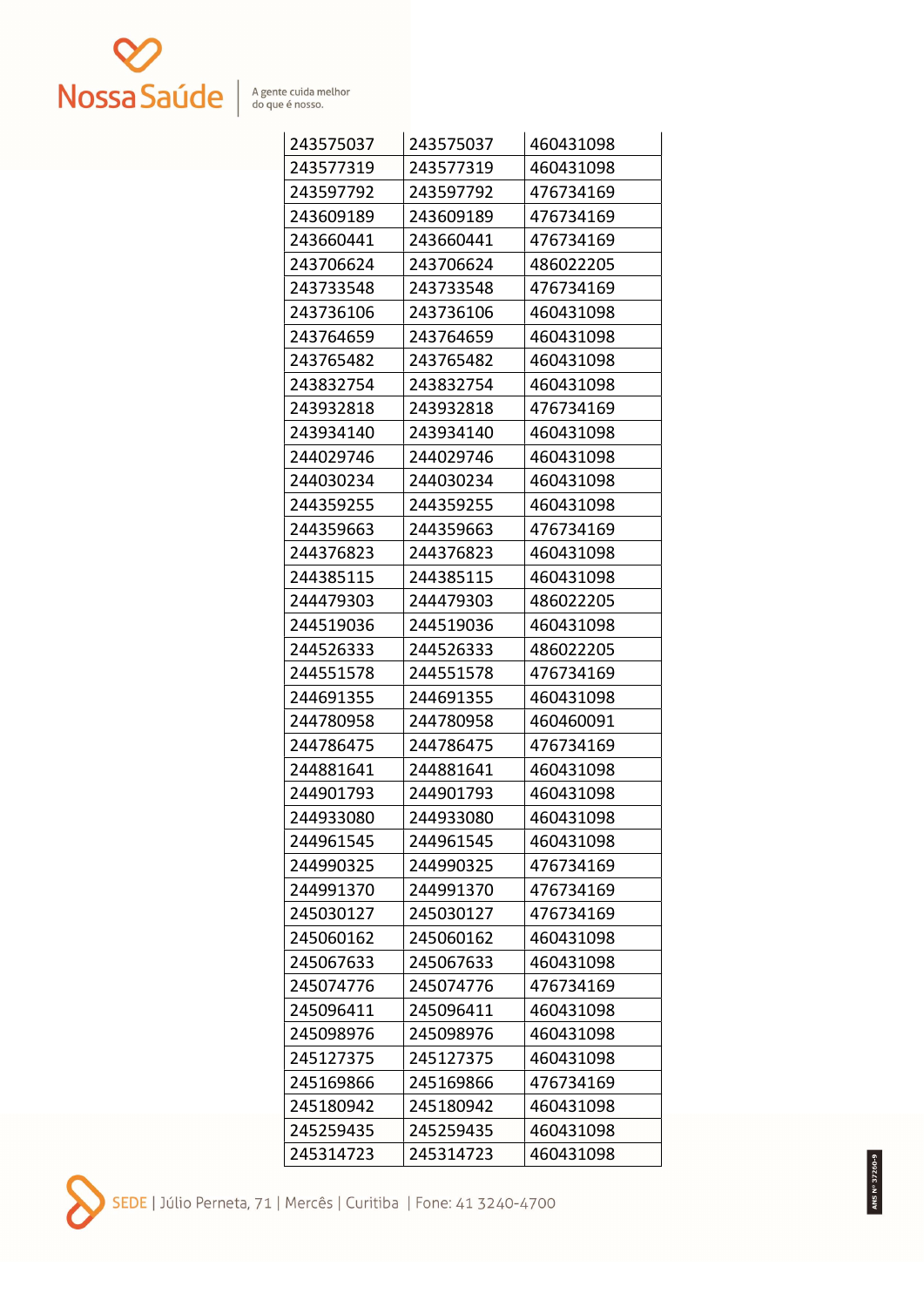

| 243575037 | 243575037 | 460431098 |
|-----------|-----------|-----------|
| 243577319 | 243577319 | 460431098 |
| 243597792 | 243597792 | 476734169 |
| 243609189 | 243609189 | 476734169 |
| 243660441 | 243660441 | 476734169 |
| 243706624 | 243706624 | 486022205 |
| 243733548 | 243733548 | 476734169 |
| 243736106 | 243736106 | 460431098 |
| 243764659 | 243764659 | 460431098 |
| 243765482 | 243765482 | 460431098 |
| 243832754 | 243832754 | 460431098 |
| 243932818 | 243932818 | 476734169 |
| 243934140 | 243934140 | 460431098 |
| 244029746 | 244029746 | 460431098 |
| 244030234 | 244030234 | 460431098 |
| 244359255 | 244359255 | 460431098 |
| 244359663 | 244359663 | 476734169 |
| 244376823 | 244376823 | 460431098 |
| 244385115 | 244385115 | 460431098 |
| 244479303 | 244479303 | 486022205 |
| 244519036 | 244519036 | 460431098 |
| 244526333 | 244526333 | 486022205 |
| 244551578 | 244551578 | 476734169 |
| 244691355 | 244691355 | 460431098 |
| 244780958 | 244780958 | 460460091 |
| 244786475 | 244786475 | 476734169 |
| 244881641 | 244881641 | 460431098 |
| 244901793 | 244901793 | 460431098 |
| 244933080 | 244933080 | 460431098 |
| 244961545 | 244961545 | 460431098 |
| 244990325 | 244990325 | 476734169 |
| 244991370 | 244991370 | 476734169 |
| 245030127 | 245030127 | 476734169 |
| 245060162 | 245060162 | 460431098 |
| 245067633 | 245067633 | 460431098 |
| 245074776 | 245074776 | 476734169 |
| 245096411 | 245096411 | 460431098 |
| 245098976 | 245098976 | 460431098 |
| 245127375 | 245127375 | 460431098 |
| 245169866 | 245169866 | 476734169 |
| 245180942 | 245180942 | 460431098 |
| 245259435 | 245259435 | 460431098 |
| 245314723 | 245314723 | 460431098 |